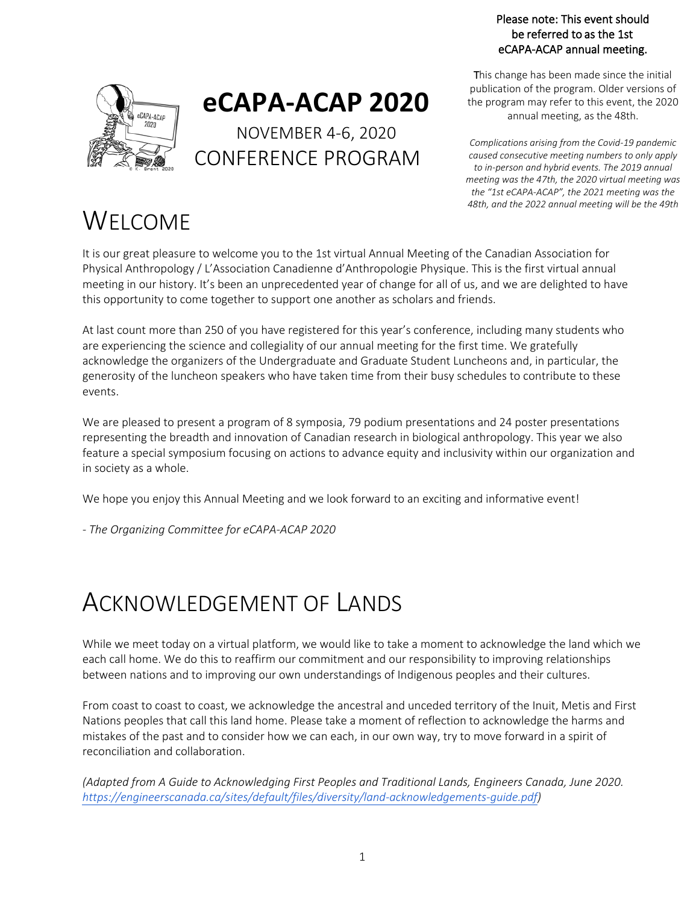#### Please note: This event should be referred to as the 1st eCAPA-ACAP annual meeting.



# **eCAPA-ACAP 2020**

NOVEMBER 4-6, 2020 CONFERENCE PROGRAM

This change has been made since the initial publication of the program. Older versions of the program may refer to this event, the 2020 annual meeting, as the 48th.

*Complications arising from the Covid-19 pandemic caused consecutive meeting numbers to only apply to in-person and hybrid events. The 2019 annual meeting was the 47th, the 2020 virtual meeting was the "1st eCAPA-ACAP", the 2021 meeting was the 48th, and the 2022 annual meeting will be the 49th*

# WELCOME

It is our great pleasure to welcome you to the 1st virtual Annual Meeting of the Canadian Association for Physical Anthropology / L'Association Canadienne d'Anthropologie Physique. This is the first virtual annual meeting in our history. It's been an unprecedented year of change for all of us, and we are delighted to have this opportunity to come together to support one another as scholars and friends.

At last count more than 250 of you have registered for this year's conference, including many students who are experiencing the science and collegiality of our annual meeting for the first time. We gratefully acknowledge the organizers of the Undergraduate and Graduate Student Luncheons and, in particular, the generosity of the luncheon speakers who have taken time from their busy schedules to contribute to these events.

We are pleased to present a program of 8 symposia, 79 podium presentations and 24 poster presentations representing the breadth and innovation of Canadian research in biological anthropology. This year we also feature a special symposium focusing on actions to advance equity and inclusivity within our organization and in society as a whole.

We hope you enjoy this Annual Meeting and we look forward to an exciting and informative event!

*- The Organizing Committee for eCAPA-ACAP 2020*

# ACKNOWLEDGEMENT OF LANDS

While we meet today on a virtual platform, we would like to take a moment to acknowledge the land which we each call home. We do this to reaffirm our commitment and our responsibility to improving relationships between nations and to improving our own understandings of Indigenous peoples and their cultures.

From coast to coast to coast, we acknowledge the ancestral and unceded territory of the Inuit, Metis and First Nations peoples that call this land home. Please take a moment of reflection to acknowledge the harms and mistakes of the past and to consider how we can each, in our own way, try to move forward in a spirit of reconciliation and collaboration.

*(Adapted from A Guide to Acknowledging First Peoples and Traditional Lands, Engineers Canada, June 2020. https://engineerscanada.ca/sites/default/files/diversity/land-acknowledgements-guide.pdf)*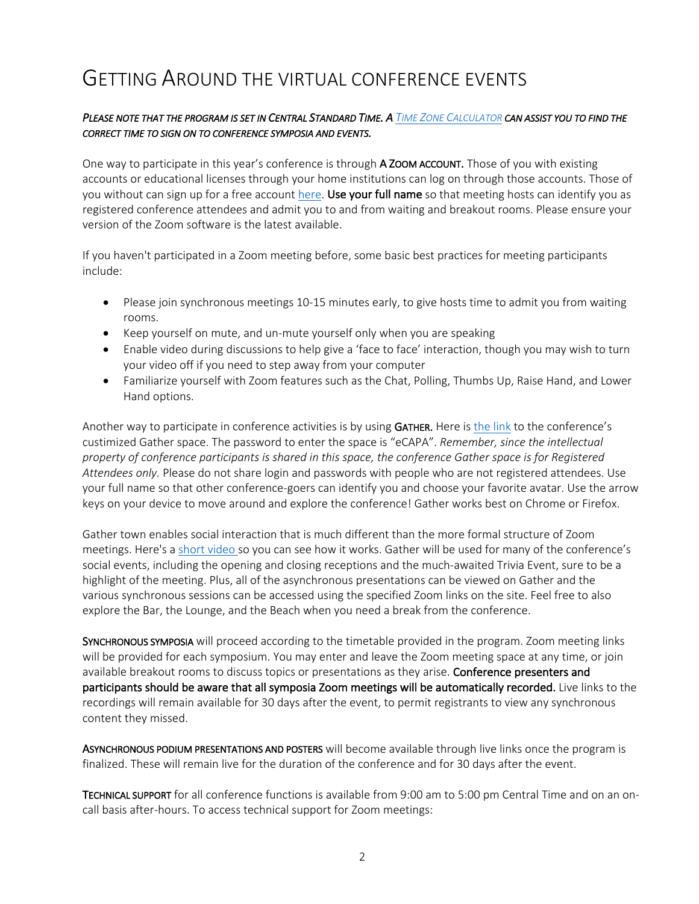# GETTING AROUND THE VIRTUAL CONFERENCE EVENTS

#### *PLEASE NOTE THAT THE PROGRAM IS SET IN CENTRAL STANDARD TIME. A TIME ZONE CALCULATOR CAN ASSIST YOU TO FIND THE CORRECT TIME TO SIGN ON TO CONFERENCE SYMPOSIA AND EVENTS.*

One way to participate in this year's conference is through A ZOOM ACCOUNT. Those of you with existing accounts or educational licenses through your home institutions can log on through those accounts. Those of you without can sign up for a free account here. Use your full name so that meeting hosts can identify you as registered conference attendees and admit you to and from waiting and breakout rooms. Please ensure your version of the Zoom software is the latest available.

If you haven't participated in a Zoom meeting before, some basic best practices for meeting participants include:

- Please join synchronous meetings 10-15 minutes early, to give hosts time to admit you from waiting rooms.
- Keep yourself on mute, and un-mute yourself only when you are speaking
- Enable video during discussions to help give a 'face to face' interaction, though you may wish to turn your video off if you need to step away from your computer
- Familiarize yourself with Zoom features such as the Chat, Polling, Thumbs Up, Raise Hand, and Lower Hand options.

Another way to participate in conference activities is by using GATHER. Here is the link to the conference's custimized Gather space. The password to enter the space is "eCAPA". *Remember, since the intellectual property of conference participants is shared in this space, the conference Gather space is for Registered Attendees only.* Please do not share login and passwords with people who are not registered attendees. Use your full name so that other conference-goers can identify you and choose your favorite avatar. Use the arrow keys on your device to move around and explore the conference! Gather works best on Chrome or Firefox.

Gather town enables social interaction that is much different than the more formal structure of Zoom meetings. Here's a short video so you can see how it works. Gather will be used for many of the conference's social events, including the opening and closing receptions and the much-awaited Trivia Event, sure to be a highlight of the meeting. Plus, all of the asynchronous presentations can be viewed on Gather and the various synchronous sessions can be accessed using the specified Zoom links on the site. Feel free to also explore the Bar, the Lounge, and the Beach when you need a break from the conference.

SYNCHRONOUS SYMPOSIA will proceed according to the timetable provided in the program. Zoom meeting links will be provided for each symposium. You may enter and leave the Zoom meeting space at any time, or join available breakout rooms to discuss topics or presentations as they arise. Conference presenters and participants should be aware that all symposia Zoom meetings will be automatically recorded. Live links to the recordings will remain available for 30 days after the event, to permit registrants to view any synchronous content they missed.

ASYNCHRONOUS PODIUM PRESENTATIONS AND POSTERS will become available through live links once the program is finalized. These will remain live for the duration of the conference and for 30 days after the event.

TECHNICAL SUPPORT for all conference functions is available from 9:00 am to 5:00 pm Central Time and on an oncall basis after-hours. To access technical support for Zoom meetings: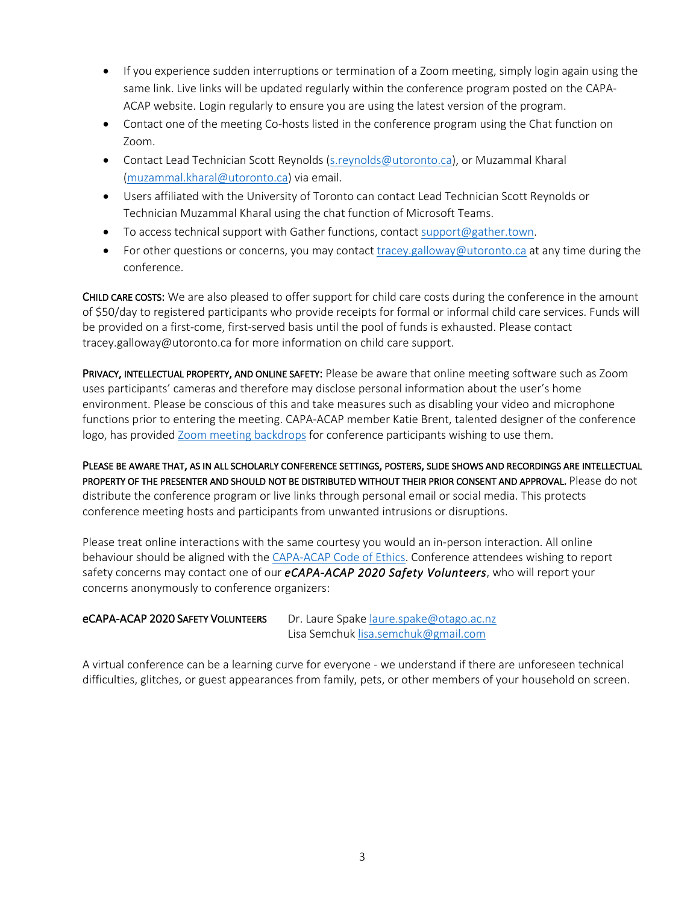- If you experience sudden interruptions or termination of a Zoom meeting, simply login again using the same link. Live links will be updated regularly within the conference program posted on the CAPA-ACAP website. Login regularly to ensure you are using the latest version of the program.
- Contact one of the meeting Co-hosts listed in the conference program using the Chat function on Zoom.
- Contact Lead Technician Scott Reynolds (s.reynolds@utoronto.ca), or Muzammal Kharal (muzammal.kharal@utoronto.ca) via email.
- Users affiliated with the University of Toronto can contact Lead Technician Scott Reynolds or Technician Muzammal Kharal using the chat function of Microsoft Teams.
- To access technical support with Gather functions, contact support@gather.town.
- For other questions or concerns, you may contact tracey.galloway@utoronto.ca at any time during the conference.

CHILD CARE COSTS: We are also pleased to offer support for child care costs during the conference in the amount of \$50/day to registered participants who provide receipts for formal or informal child care services. Funds will be provided on a first-come, first-served basis until the pool of funds is exhausted. Please contact tracey.galloway@utoronto.ca for more information on child care support.

PRIVACY, INTELLECTUAL PROPERTY, AND ONLINE SAFETY: Please be aware that online meeting software such as Zoom uses participants' cameras and therefore may disclose personal information about the user's home environment. Please be conscious of this and take measures such as disabling your video and microphone functions prior to entering the meeting. CAPA-ACAP member Katie Brent, talented designer of the conference logo, has provided Zoom meeting backdrops for conference participants wishing to use them.

PLEASE BE AWARE THAT, AS IN ALL SCHOLARLY CONFERENCE SETTINGS, POSTERS, SLIDE SHOWS AND RECORDINGS ARE INTELLECTUAL PROPERTY OF THE PRESENTER AND SHOULD NOT BE DISTRIBUTED WITHOUT THEIR PRIOR CONSENT AND APPROVAL. Please do not distribute the conference program or live links through personal email or social media. This protects conference meeting hosts and participants from unwanted intrusions or disruptions.

Please treat online interactions with the same courtesy you would an in-person interaction. All online behaviour should be aligned with the CAPA-ACAP Code of Ethics. Conference attendees wishing to report safety concerns may contact one of our *eCAPA-ACAP 2020 Safety Volunteers*, who will report your concerns anonymously to conference organizers:

### eCAPA-ACAP 2020 SAFETY VOLUNTEERS Dr. Laure Spake laure.spake@otago.ac.nz

Lisa Semchuk lisa.semchuk@gmail.com

A virtual conference can be a learning curve for everyone - we understand if there are unforeseen technical difficulties, glitches, or guest appearances from family, pets, or other members of your household on screen.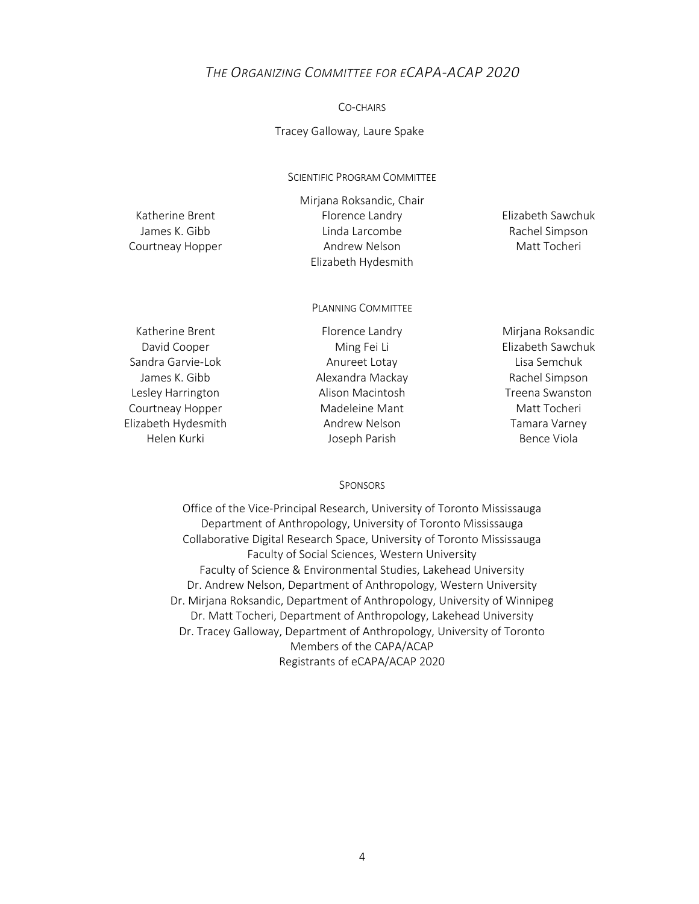#### *THE ORGANIZING COMMITTEE FOR ECAPA-ACAP 2020*

#### CO-CHAIRS

Tracey Galloway, Laure Spake

SCIENTIFIC PROGRAM COMMITTEE

Mirjana Roksandic, Chair Katherine Brent Florence Landry Elizabeth Sawchuk James K. Gibb **Linda Larcombe** Rachel Simpson Courtneay Hopper Andrew Nelson Matt Tocheri Elizabeth Hydesmith

PLANNING COMMITTEE

Sandra Garvie-Lok **Anureet Lotay** Anureet Lotay **Lisa Semchuk** Lesley Harrington **Alison Macintosh** Treena Swanston Courtneay Hopper Madeleine Mant Matt Tocheri Elizabeth Hydesmith Andrew Nelson Tamara Varney

Katherine Brent Florence Landry **Florence Landry** Mirjana Roksandic David Cooper **Ming Fei Li** Elizabeth Sawchuk James K. Gibb **Alexandra Mackay** Rachel Simpson Helen Kurki **Marki Australia State Joseph Parish** Bence Viola

#### **SPONSORS**

Office of the Vice-Principal Research, University of Toronto Mississauga Department of Anthropology, University of Toronto Mississauga Collaborative Digital Research Space, University of Toronto Mississauga Faculty of Social Sciences, Western University Faculty of Science & Environmental Studies, Lakehead University Dr. Andrew Nelson, Department of Anthropology, Western University Dr. Mirjana Roksandic, Department of Anthropology, University of Winnipeg Dr. Matt Tocheri, Department of Anthropology, Lakehead University Dr. Tracey Galloway, Department of Anthropology, University of Toronto Members of the CAPA/ACAP Registrants of eCAPA/ACAP 2020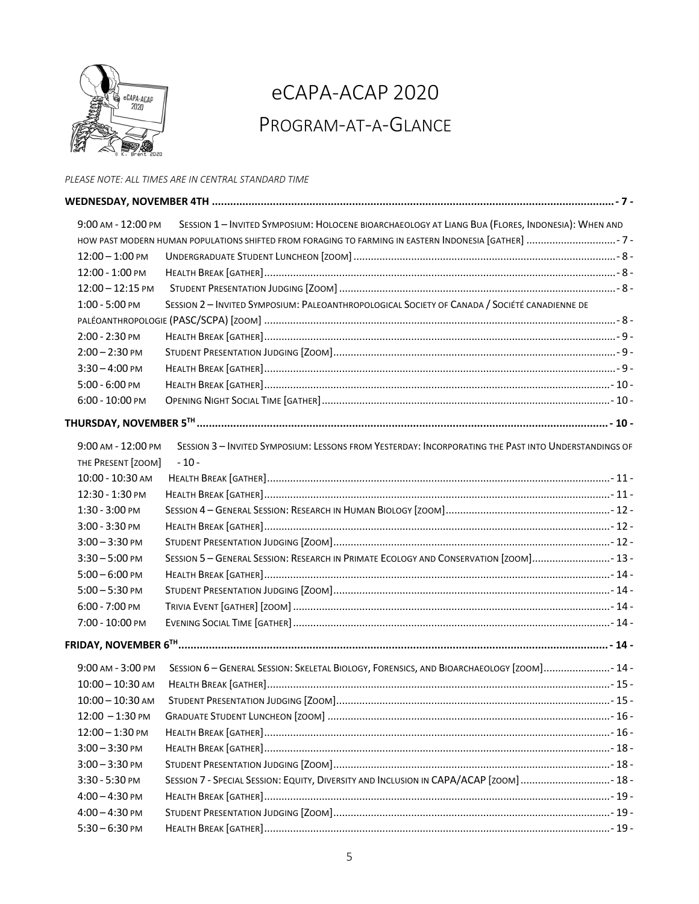

# eCAPA-ACAP 2020 PROGRAM-AT-A-GLANCE

#### *PLEASE NOTE: ALL TIMES ARE IN CENTRAL STANDARD TIME*

| 9:00 AM - 12:00 PM | SESSION 1 - INVITED SYMPOSIUM: HOLOCENE BIOARCHAEOLOGY AT LIANG BUA (FLORES, INDONESIA): WHEN AND    |  |
|--------------------|------------------------------------------------------------------------------------------------------|--|
|                    |                                                                                                      |  |
| $12:00 - 1:00$ PM  |                                                                                                      |  |
| 12:00 - 1:00 PM    |                                                                                                      |  |
| $12:00 - 12:15$ PM |                                                                                                      |  |
| 1:00 - 5:00 PM     | SESSION 2-INVITED SYMPOSIUM: PALEOANTHROPOLOGICAL SOCIETY OF CANADA / SOCIÉTÉ CANADIENNE DE          |  |
|                    |                                                                                                      |  |
| 2:00 - 2:30 PM     |                                                                                                      |  |
| $2:00 - 2:30$ PM   |                                                                                                      |  |
| $3:30 - 4:00$ PM   |                                                                                                      |  |
| 5:00 - 6:00 PM     |                                                                                                      |  |
| 6:00 - 10:00 PM    |                                                                                                      |  |
|                    |                                                                                                      |  |
| 9:00 AM - 12:00 PM | SESSION 3 - INVITED SYMPOSIUM: LESSONS FROM YESTERDAY: INCORPORATING THE PAST INTO UNDERSTANDINGS OF |  |
| THE PRESENT [ZOOM] | $-10-$                                                                                               |  |
| 10:00 - 10:30 AM   |                                                                                                      |  |
| 12:30 - 1:30 PM    |                                                                                                      |  |
| 1:30 - 3:00 PM     |                                                                                                      |  |
| 3:00 - 3:30 PM     |                                                                                                      |  |
| $3:00 - 3:30$ PM   |                                                                                                      |  |
| $3:30 - 5:00$ PM   | SESSION 5 - GENERAL SESSION: RESEARCH IN PRIMATE ECOLOGY AND CONSERVATION [ZOOM] 13-                 |  |
| $5:00 - 6:00$ PM   |                                                                                                      |  |
| $5:00 - 5:30$ PM   |                                                                                                      |  |
| 6:00 - 7:00 PM     |                                                                                                      |  |
| 7:00 - 10:00 PM    |                                                                                                      |  |
|                    |                                                                                                      |  |
| 9:00 AM - 3:00 PM  | SESSION 6-GENERAL SESSION: SKELETAL BIOLOGY, FORENSICS, AND BIOARCHAEOLOGY [ZOOM] 14-                |  |
| $10:00 - 10:30$ AM |                                                                                                      |  |
| $10:00 - 10:30$ AM |                                                                                                      |  |
| $12:00 - 1:30$ PM  |                                                                                                      |  |
| $12:00 - 1:30$ PM  |                                                                                                      |  |
| $3:00 - 3:30$ PM   |                                                                                                      |  |
| $3:00 - 3:30$ PM   |                                                                                                      |  |
| 3:30 - 5:30 PM     | SESSION 7 - SPECIAL SESSION: EQUITY, DIVERSITY AND INCLUSION IN CAPA/ACAP [ZOOM] 18 -                |  |
| $4:00 - 4:30$ PM   |                                                                                                      |  |
| $4:00 - 4:30$ PM   |                                                                                                      |  |
| $5:30 - 6:30$ PM   |                                                                                                      |  |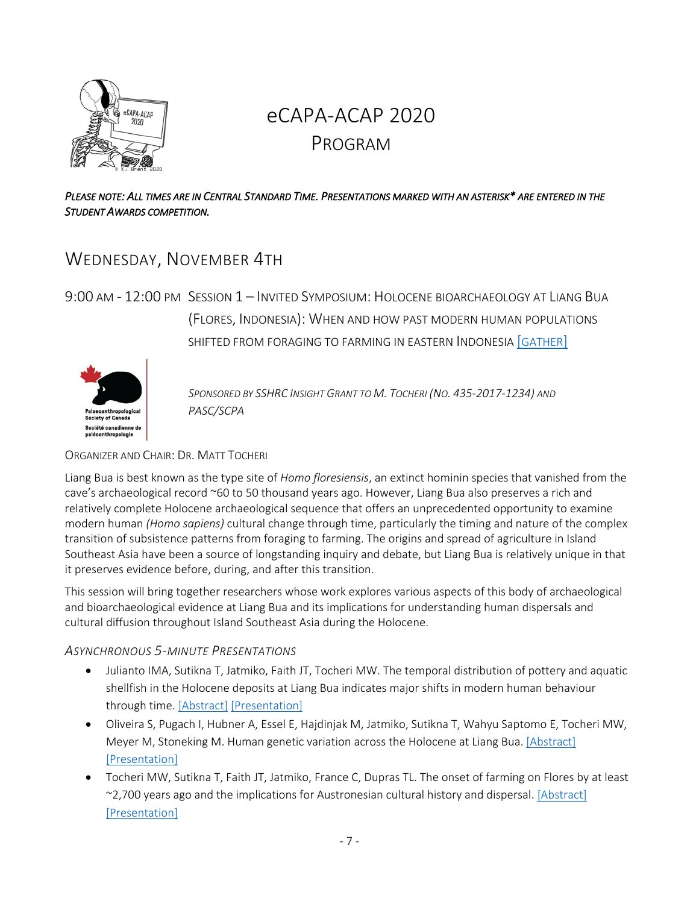

# eCAPA-ACAP 2020 PROGRAM

#### *PLEASE NOTE: ALL TIMES ARE IN CENTRAL STANDARD TIME. PRESENTATIONS MARKED WITH AN ASTERISK\* ARE ENTERED IN THE STUDENT AWARDS COMPETITION.*

# WEDNESDAY, NOVEMBER 4TH

9:00 AM - 12:00 PM SESSION 1 – INVITED SYMPOSIUM: HOLOCENE BIOARCHAEOLOGY AT LIANG BUA (FLORES, INDONESIA): WHEN AND HOW PAST MODERN HUMAN POPULATIONS SHIFTED FROM FORAGING TO FARMING IN EASTERN INDONESIA [GATHER]



*SPONSORED BY SSHRC INSIGHT GRANT TO M. TOCHERI (NO. 435-2017-1234) AND PASC/SCPA*

#### ORGANIZER AND CHAIR: DR. MATT TOCHERI

Liang Bua is best known as the type site of *Homo floresiensis*, an extinct hominin species that vanished from the cave's archaeological record ~60 to 50 thousand years ago. However, Liang Bua also preserves a rich and relatively complete Holocene archaeological sequence that offers an unprecedented opportunity to examine modern human *(Homo sapiens)* cultural change through time, particularly the timing and nature of the complex transition of subsistence patterns from foraging to farming. The origins and spread of agriculture in Island Southeast Asia have been a source of longstanding inquiry and debate, but Liang Bua is relatively unique in that it preserves evidence before, during, and after this transition.

This session will bring together researchers whose work explores various aspects of this body of archaeological and bioarchaeological evidence at Liang Bua and its implications for understanding human dispersals and cultural diffusion throughout Island Southeast Asia during the Holocene.

### *ASYNCHRONOUS 5-MINUTE PRESENTATIONS*

- Julianto IMA, Sutikna T, Jatmiko, Faith JT, Tocheri MW. The temporal distribution of pottery and aquatic shellfish in the Holocene deposits at Liang Bua indicates major shifts in modern human behaviour through time. [Abstract] [Presentation]
- Oliveira S, Pugach I, Hubner A, Essel E, Hajdinjak M, Jatmiko, Sutikna T, Wahyu Saptomo E, Tocheri MW, Meyer M, Stoneking M. Human genetic variation across the Holocene at Liang Bua. [Abstract] [Presentation]
- Tocheri MW, Sutikna T, Faith JT, Jatmiko, France C, Dupras TL. The onset of farming on Flores by at least ~2,700 years ago and the implications for Austronesian cultural history and dispersal. [Abstract] [Presentation]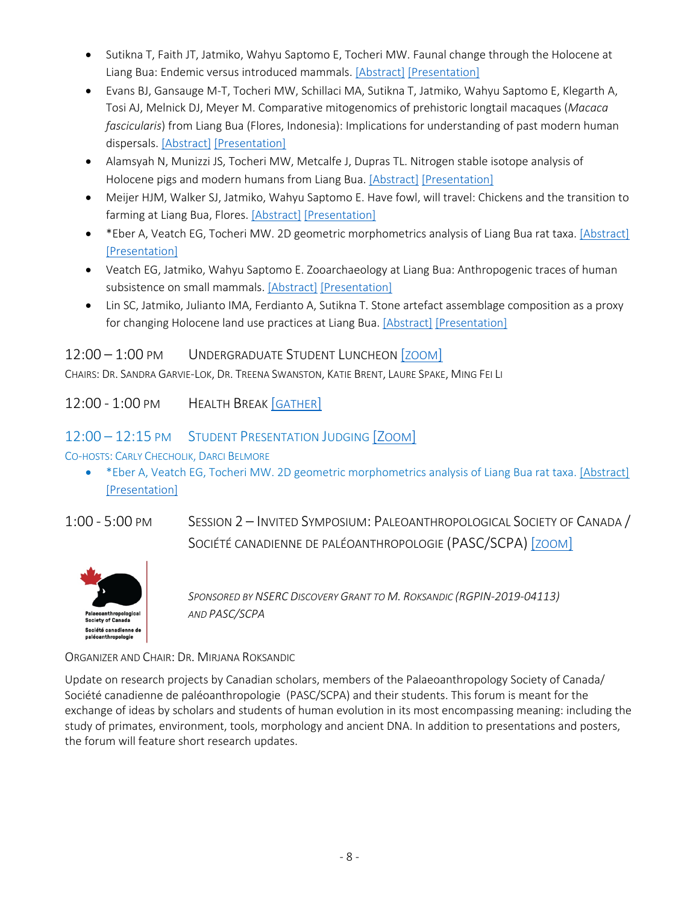- Sutikna T, Faith JT, Jatmiko, Wahyu Saptomo E, Tocheri MW. Faunal change through the Holocene at Liang Bua: Endemic versus introduced mammals. [Abstract] [Presentation]
- Evans BJ, Gansauge M-T, Tocheri MW, Schillaci MA, Sutikna T, Jatmiko, Wahyu Saptomo E, Klegarth A, Tosi AJ, Melnick DJ, Meyer M. Comparative mitogenomics of prehistoric longtail macaques (*Macaca fascicularis*) from Liang Bua (Flores, Indonesia): Implications for understanding of past modern human dispersals. [Abstract] [Presentation]
- Alamsyah N, Munizzi JS, Tocheri MW, Metcalfe J, Dupras TL. Nitrogen stable isotope analysis of Holocene pigs and modern humans from Liang Bua. [Abstract] [Presentation]
- Meijer HJM, Walker SJ, Jatmiko, Wahyu Saptomo E. Have fowl, will travel: Chickens and the transition to farming at Liang Bua, Flores. [Abstract] [Presentation]
- \*Eber A, Veatch EG, Tocheri MW. 2D geometric morphometrics analysis of Liang Bua rat taxa. [Abstract] [Presentation]
- Veatch EG, Jatmiko, Wahyu Saptomo E. Zooarchaeology at Liang Bua: Anthropogenic traces of human subsistence on small mammals. [Abstract] [Presentation]
- Lin SC, Jatmiko, Julianto IMA, Ferdianto A, Sutikna T. Stone artefact assemblage composition as a proxy for changing Holocene land use practices at Liang Bua. [Abstract] [Presentation]

# 12:00 – 1:00 PM UNDERGRADUATE STUDENT LUNCHEON [ZOOM]

CHAIRS: DR. SANDRA GARVIE-LOK, DR. TREENA SWANSTON, KATIE BRENT, LAURE SPAKE, MING FEI LI

12:00 - 1:00 PM HEALTH BREAK [GATHER]

# 12:00 – 12:15 PM STUDENT PRESENTATION JUDGING [ZOOM]

CO-HOSTS: CARLY CHECHOLIK, DARCI BELMORE

• \* Eber A, Veatch EG, Tocheri MW. 2D geometric morphometrics analysis of Liang Bua rat taxa. [Abstract] [Presentation]

1:00 - 5:00 PM SESSION 2 – INVITED SYMPOSIUM: PALEOANTHROPOLOGICAL SOCIETY OF CANADA /

SOCIÉTÉ CANADIENNE DE PALÉOANTHROPOLOGIE (PASC/SCPA) [ZOOM]



*SPONSORED BY NSERC DISCOVERY GRANT TO M. ROKSANDIC (RGPIN-2019-04113) AND PASC/SCPA*

ORGANIZER AND CHAIR: DR. MIRJANA ROKSANDIC

Update on research projects by Canadian scholars, members of the Palaeoanthropology Society of Canada/ Société canadienne de paléoanthropologie (PASC/SCPA) and their students. This forum is meant for the exchange of ideas by scholars and students of human evolution in its most encompassing meaning: including the study of primates, environment, tools, morphology and ancient DNA. In addition to presentations and posters, the forum will feature short research updates.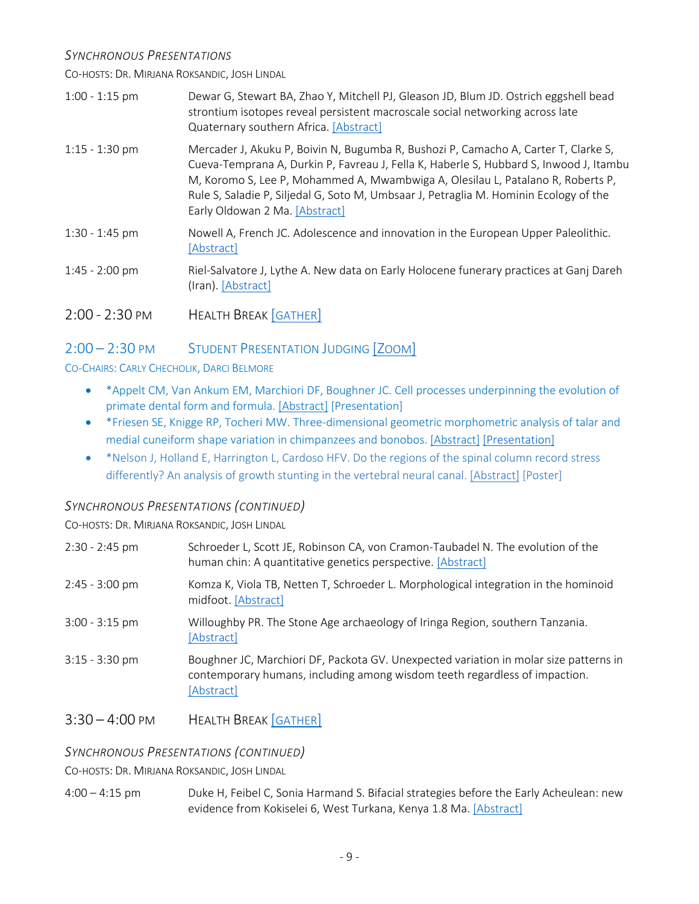#### *SYNCHRONOUS PRESENTATIONS*

CO-HOSTS: DR. MIRJANA ROKSANDIC, JOSH LINDAL

| $1:00 - 1:15$ pm | Dewar G, Stewart BA, Zhao Y, Mitchell PJ, Gleason JD, Blum JD. Ostrich eggshell bead<br>strontium isotopes reveal persistent macroscale social networking across late<br>Quaternary southern Africa. [Abstract]                                                                                                                                                                             |
|------------------|---------------------------------------------------------------------------------------------------------------------------------------------------------------------------------------------------------------------------------------------------------------------------------------------------------------------------------------------------------------------------------------------|
| $1:15 - 1:30$ pm | Mercader J, Akuku P, Boivin N, Bugumba R, Bushozi P, Camacho A, Carter T, Clarke S,<br>Cueva-Temprana A, Durkin P, Favreau J, Fella K, Haberle S, Hubbard S, Inwood J, Itambu<br>M, Koromo S, Lee P, Mohammed A, Mwambwiga A, Olesilau L, Patalano R, Roberts P,<br>Rule S, Saladie P, Siljedal G, Soto M, Umbsaar J, Petraglia M. Hominin Ecology of the<br>Early Oldowan 2 Ma. [Abstract] |
| $1:30 - 1:45$ pm | Nowell A, French JC. Adolescence and innovation in the European Upper Paleolithic.<br>[Abstract]                                                                                                                                                                                                                                                                                            |
| $1:45 - 2:00$ pm | Riel-Salvatore J, Lythe A. New data on Early Holocene funerary practices at Ganj Dareh<br>(Iran). [Abstract]                                                                                                                                                                                                                                                                                |
| $2:00 - 2:30$ PM | <b>HEALTH BREAK [GATHER]</b>                                                                                                                                                                                                                                                                                                                                                                |
|                  |                                                                                                                                                                                                                                                                                                                                                                                             |

# 2:00 – 2:30 PM STUDENT PRESENTATION JUDGING [ZOOM]

#### CO-CHAIRS: CARLY CHECHOLIK, DARCI BELMORE

- \*Appelt CM, Van Ankum EM, Marchiori DF, Boughner JC. Cell processes underpinning the evolution of primate dental form and formula. [Abstract] [Presentation]
- \*Friesen SE, Knigge RP, Tocheri MW. Three-dimensional geometric morphometric analysis of talar and medial cuneiform shape variation in chimpanzees and bonobos. [Abstract] [Presentation]
- \*Nelson J, Holland E, Harrington L, Cardoso HFV. Do the regions of the spinal column record stress differently? An analysis of growth stunting in the vertebral neural canal. [Abstract] [Poster]

### *SYNCHRONOUS PRESENTATIONS (CONTINUED)*

CO-HOSTS: DR. MIRJANA ROKSANDIC, JOSH LINDAL

| $2:30 - 2:45$ pm | Schroeder L, Scott JE, Robinson CA, von Cramon-Taubadel N. The evolution of the<br>human chin: A quantitative genetics perspective. [Abstract]                                    |
|------------------|-----------------------------------------------------------------------------------------------------------------------------------------------------------------------------------|
| $2:45 - 3:00$ pm | Komza K, Viola TB, Netten T, Schroeder L. Morphological integration in the hominoid<br>midfoot. [Abstract]                                                                        |
| $3:00 - 3:15$ pm | Willoughby PR. The Stone Age archaeology of Iringa Region, southern Tanzania.<br>[Abstract]                                                                                       |
| $3:15 - 3:30$ pm | Boughner JC, Marchiori DF, Packota GV. Unexpected variation in molar size patterns in<br>contemporary humans, including among wisdom teeth regardless of impaction.<br>[Abstract] |

3:30 – 4:00 PM HEALTH BREAK [GATHER]

### *SYNCHRONOUS PRESENTATIONS (CONTINUED)*

CO-HOSTS: DR. MIRJANA ROKSANDIC, JOSH LINDAL

4:00 – 4:15 pm Duke H, Feibel C, Sonia Harmand S. Bifacial strategies before the Early Acheulean: new evidence from Kokiselei 6, West Turkana, Kenya 1.8 Ma. [Abstract]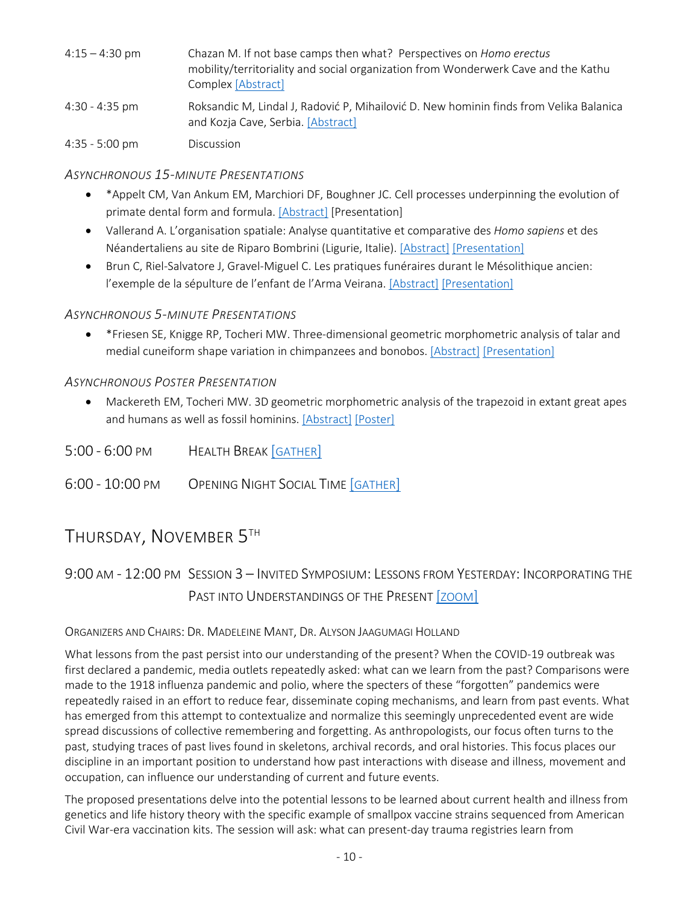| 4:15 – 4:30 pm | Chazan M. If not base camps then what? Perspectives on Homo erectus<br>mobility/territoriality and social organization from Wonderwerk Cave and the Kathu<br>Complex [Abstract] |
|----------------|---------------------------------------------------------------------------------------------------------------------------------------------------------------------------------|
| 4:30 - 4:35 pm | Roksandic M, Lindal J, Radović P, Mihailović D. New hominin finds from Velika Balanica<br>and Kozja Cave, Serbia. [Abstract]                                                    |

4:35 - 5:00 pm Discussion

#### *ASYNCHRONOUS 15-MINUTE PRESENTATIONS*

- \*Appelt CM, Van Ankum EM, Marchiori DF, Boughner JC. Cell processes underpinning the evolution of primate dental form and formula. [Abstract] [Presentation]
- Vallerand A. L'organisation spatiale: Analyse quantitative et comparative des *Homo sapiens* et des Néandertaliens au site de Riparo Bombrini (Ligurie, Italie). [Abstract] [Presentation]
- Brun C, Riel-Salvatore J, Gravel-Miguel C. Les pratiques funéraires durant le Mésolithique ancien: l'exemple de la sépulture de l'enfant de l'Arma Veirana. [Abstract] [Presentation]

#### *ASYNCHRONOUS 5-MINUTE PRESENTATIONS*

• \*Friesen SE, Knigge RP, Tocheri MW. Three-dimensional geometric morphometric analysis of talar and medial cuneiform shape variation in chimpanzees and bonobos. [Abstract] [Presentation]

#### *ASYNCHRONOUS POSTER PRESENTATION*

- Mackereth EM, Tocheri MW. 3D geometric morphometric analysis of the trapezoid in extant great apes and humans as well as fossil hominins. [Abstract] [Poster]
- 5:00 6:00 PM HEALTH BREAK [GATHER]
- 6:00 10:00 PM OPENING NIGHT SOCIAL TIME [GATHER]

# THURSDAY, NOVEMBER 5TH

# 9:00 AM - 12:00 PM SESSION 3 – INVITED SYMPOSIUM: LESSONS FROM YESTERDAY: INCORPORATING THE PAST INTO UNDERSTANDINGS OF THE PRESENT [ZOOM]

#### ORGANIZERS AND CHAIRS: DR. MADELEINE MANT, DR. ALYSON JAAGUMAGI HOLLAND

What lessons from the past persist into our understanding of the present? When the COVID-19 outbreak was first declared a pandemic, media outlets repeatedly asked: what can we learn from the past? Comparisons were made to the 1918 influenza pandemic and polio, where the specters of these "forgotten" pandemics were repeatedly raised in an effort to reduce fear, disseminate coping mechanisms, and learn from past events. What has emerged from this attempt to contextualize and normalize this seemingly unprecedented event are wide spread discussions of collective remembering and forgetting. As anthropologists, our focus often turns to the past, studying traces of past lives found in skeletons, archival records, and oral histories. This focus places our discipline in an important position to understand how past interactions with disease and illness, movement and occupation, can influence our understanding of current and future events.

The proposed presentations delve into the potential lessons to be learned about current health and illness from genetics and life history theory with the specific example of smallpox vaccine strains sequenced from American Civil War-era vaccination kits. The session will ask: what can present-day trauma registries learn from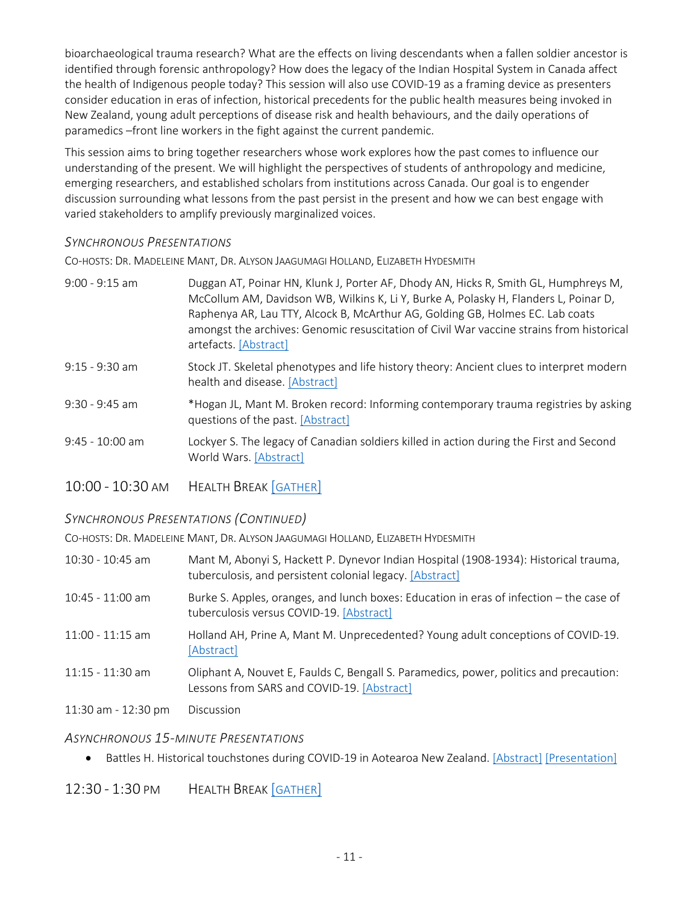bioarchaeological trauma research? What are the effects on living descendants when a fallen soldier ancestor is identified through forensic anthropology? How does the legacy of the Indian Hospital System in Canada affect the health of Indigenous people today? This session will also use COVID-19 as a framing device as presenters consider education in eras of infection, historical precedents for the public health measures being invoked in New Zealand, young adult perceptions of disease risk and health behaviours, and the daily operations of paramedics –front line workers in the fight against the current pandemic.

This session aims to bring together researchers whose work explores how the past comes to influence our understanding of the present. We will highlight the perspectives of students of anthropology and medicine, emerging researchers, and established scholars from institutions across Canada. Our goal is to engender discussion surrounding what lessons from the past persist in the present and how we can best engage with varied stakeholders to amplify previously marginalized voices.

#### *SYNCHRONOUS PRESENTATIONS*

CO-HOSTS: DR. MADELEINE MANT, DR. ALYSON JAAGUMAGI HOLLAND, ELIZABETH HYDESMITH

| $9:00 - 9:15$ am  | Duggan AT, Poinar HN, Klunk J, Porter AF, Dhody AN, Hicks R, Smith GL, Humphreys M,<br>McCollum AM, Davidson WB, Wilkins K, Li Y, Burke A, Polasky H, Flanders L, Poinar D,<br>Raphenya AR, Lau TTY, Alcock B, McArthur AG, Golding GB, Holmes EC. Lab coats<br>amongst the archives: Genomic resuscitation of Civil War vaccine strains from historical<br>artefacts. [Abstract] |
|-------------------|-----------------------------------------------------------------------------------------------------------------------------------------------------------------------------------------------------------------------------------------------------------------------------------------------------------------------------------------------------------------------------------|
| $9:15 - 9:30$ am  | Stock JT. Skeletal phenotypes and life history theory: Ancient clues to interpret modern<br>health and disease. [Abstract]                                                                                                                                                                                                                                                        |
| $9:30 - 9:45$ am  | *Hogan JL, Mant M. Broken record: Informing contemporary trauma registries by asking<br>questions of the past. [Abstract]                                                                                                                                                                                                                                                         |
| $9:45 - 10:00$ am | Lockyer S. The legacy of Canadian soldiers killed in action during the First and Second<br>World Wars. [Abstract]                                                                                                                                                                                                                                                                 |
|                   |                                                                                                                                                                                                                                                                                                                                                                                   |

10:00 - 10:30 am Health Break | GATHER |

#### *SYNCHRONOUS PRESENTATIONS (CONTINUED)*

CO-HOSTS: DR. MADELEINE MANT, DR. ALYSON JAAGUMAGI HOLLAND, ELIZABETH HYDESMITH

| $10:30 - 10:45$ am | Mant M, Abonyi S, Hackett P. Dynevor Indian Hospital (1908-1934): Historical trauma,<br>tuberculosis, and persistent colonial legacy. [Abstract] |
|--------------------|--------------------------------------------------------------------------------------------------------------------------------------------------|
| $10:45 - 11:00$ am | Burke S. Apples, oranges, and lunch boxes: Education in eras of infection – the case of<br>tuberculosis versus COVID-19. [Abstract]              |
| $11:00 - 11:15$ am | Holland AH, Prine A, Mant M. Unprecedented? Young adult conceptions of COVID-19.<br>[Abstract]                                                   |
| $11:15 - 11:30$ am | Oliphant A, Nouvet E, Faulds C, Bengall S. Paramedics, power, politics and precaution:<br>Lessons from SARS and COVID-19. [Abstract]             |

11:30 am - 12:30 pm Discussion

#### *ASYNCHRONOUS 15-MINUTE PRESENTATIONS*

• Battles H. Historical touchstones during COVID-19 in Aotearoa New Zealand. [Abstract] [Presentation]

### 12:30 - 1:30 PM HEALTH BREAK [GATHER]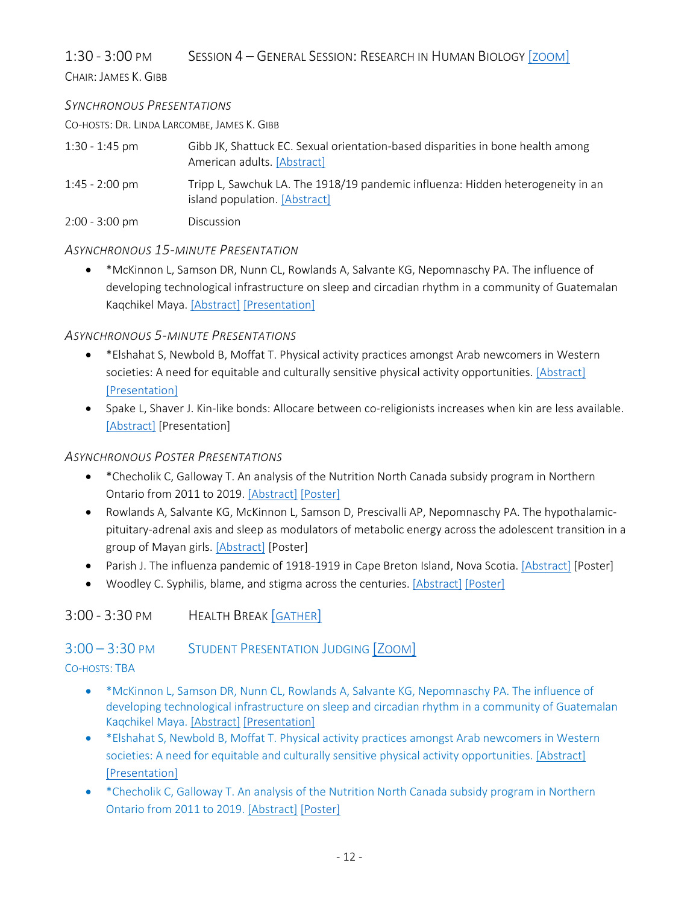1:30 - 3:00 PM SESSION 4 – GENERAL SESSION: RESEARCH IN HUMAN BIOLOGY [ZOOM]

CHAIR: JAMES K. GIBB

#### *SYNCHRONOUS PRESENTATIONS*

CO-HOSTS: DR. LINDA LARCOMBE, JAMES K. GIBB

| $1:30 - 1:45$ pm         | Gibb JK, Shattuck EC. Sexual orientation-based disparities in bone health among<br>American adults. [Abstract]   |
|--------------------------|------------------------------------------------------------------------------------------------------------------|
| $1:45 - 2:00 \text{ pm}$ | Tripp L, Sawchuk LA. The 1918/19 pandemic influenza: Hidden heterogeneity in an<br>island population. [Abstract] |
| $2:00 - 3:00$ pm         | <b>Discussion</b>                                                                                                |

#### *ASYNCHRONOUS 15-MINUTE PRESENTATION*

• \*McKinnon L, Samson DR, Nunn CL, Rowlands A, Salvante KG, Nepomnaschy PA. The influence of developing technological infrastructure on sleep and circadian rhythm in a community of Guatemalan Kaqchikel Maya. [Abstract] [Presentation]

### *ASYNCHRONOUS 5-MINUTE PRESENTATIONS*

- \*Elshahat S, Newbold B, Moffat T. Physical activity practices amongst Arab newcomers in Western societies: A need for equitable and culturally sensitive physical activity opportunities. [Abstract] [Presentation]
- Spake L, Shaver J. Kin-like bonds: Allocare between co-religionists increases when kin are less available. [Abstract] [Presentation]

#### *ASYNCHRONOUS POSTER PRESENTATIONS*

- \*Checholik C, Galloway T. An analysis of the Nutrition North Canada subsidy program in Northern Ontario from 2011 to 2019. [Abstract] [Poster]
- Rowlands A, Salvante KG, McKinnon L, Samson D, Prescivalli AP, Nepomnaschy PA. The hypothalamicpituitary-adrenal axis and sleep as modulators of metabolic energy across the adolescent transition in a group of Mayan girls. [Abstract] [Poster]
- Parish J. The influenza pandemic of 1918-1919 in Cape Breton Island, Nova Scotia. [Abstract] [Poster]
- Woodley C. Syphilis, blame, and stigma across the centuries. [Abstract] [Poster]

# 3:00 - 3:30 PM HEALTH BREAK [GATHER]

# 3:00 – 3:30 PM STUDENT PRESENTATION JUDGING [ZOOM]

### CO-HOSTS: TBA

- \*McKinnon L, Samson DR, Nunn CL, Rowlands A, Salvante KG, Nepomnaschy PA. The influence of developing technological infrastructure on sleep and circadian rhythm in a community of Guatemalan Kaqchikel Maya. [Abstract] [Presentation]
- \*Elshahat S, Newbold B, Moffat T. Physical activity practices amongst Arab newcomers in Western societies: A need for equitable and culturally sensitive physical activity opportunities. [Abstract] [Presentation]
- \* Checholik C, Galloway T. An analysis of the Nutrition North Canada subsidy program in Northern Ontario from 2011 to 2019. [Abstract] [Poster]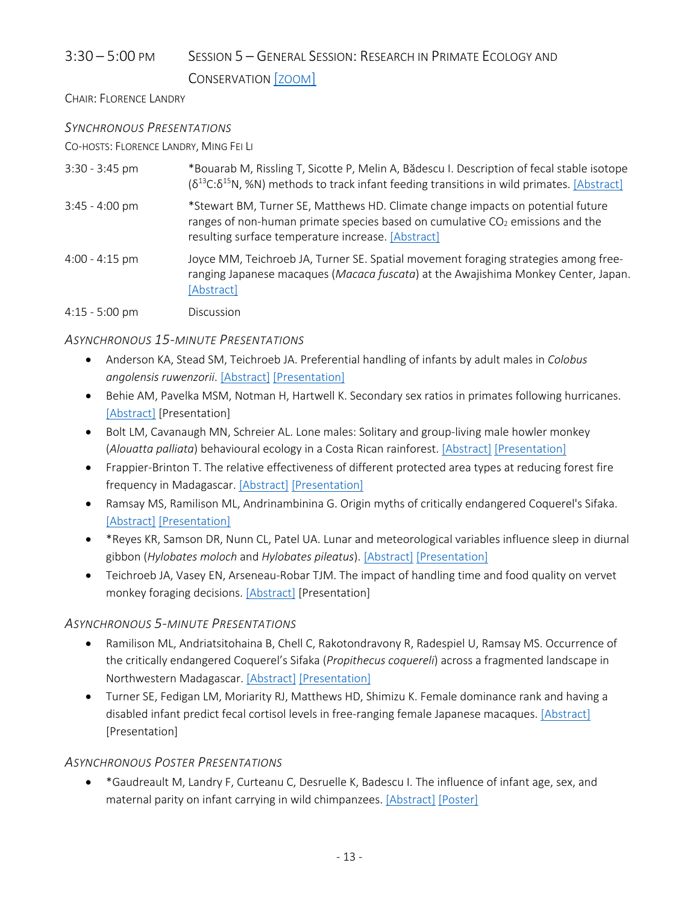# 3:30 – 5:00 PM SESSION 5 – GENERAL SESSION: RESEARCH IN PRIMATE ECOLOGY AND

### CONSERVATION [ZOOM]

CHAIR: FLORENCE LANDRY

### *SYNCHRONOUS PRESENTATIONS*

CO-HOSTS: FLORENCE LANDRY, MING FEI LI

| $3:30 - 3:45$ pm         | *Bouarab M, Rissling T, Sicotte P, Melin A, Bădescu I. Description of fecal stable isotope<br>$(\delta^{13}C:\delta^{15}N,$ %N) methods to track infant feeding transitions in wild primates. [Abstract]                 |
|--------------------------|--------------------------------------------------------------------------------------------------------------------------------------------------------------------------------------------------------------------------|
| $3:45 - 4:00 \text{ pm}$ | *Stewart BM, Turner SE, Matthews HD. Climate change impacts on potential future<br>ranges of non-human primate species based on cumulative $CO2$ emissions and the<br>resulting surface temperature increase. [Abstract] |
| $4:00 - 4:15$ pm         | Joyce MM, Teichroeb JA, Turner SE. Spatial movement foraging strategies among free-<br>ranging Japanese macaques (Macaca fuscata) at the Awajishima Monkey Center, Japan.<br>[Abstract]                                  |
| $4:15 - 5:00$ pm         | <b>Discussion</b>                                                                                                                                                                                                        |

### *ASYNCHRONOUS 15-MINUTE PRESENTATIONS*

- Anderson KA, Stead SM, Teichroeb JA. Preferential handling of infants by adult males in *Colobus angolensis ruwenzorii*. [Abstract] [Presentation]
- Behie AM, Pavelka MSM, Notman H, Hartwell K. Secondary sex ratios in primates following hurricanes. [Abstract] [Presentation]
- Bolt LM, Cavanaugh MN, Schreier AL. Lone males: Solitary and group-living male howler monkey (*Alouatta palliata*) behavioural ecology in a Costa Rican rainforest. [Abstract] [Presentation]
- Frappier-Brinton T. The relative effectiveness of different protected area types at reducing forest fire frequency in Madagascar. [Abstract] [Presentation]
- Ramsay MS, Ramilison ML, Andrinambinina G. Origin myths of critically endangered Coquerel's Sifaka. [Abstract] [Presentation]
- \*Reyes KR, Samson DR, Nunn CL, Patel UA. Lunar and meteorological variables influence sleep in diurnal gibbon (*Hylobates moloch* and *Hylobates pileatus*). [Abstract] [Presentation]
- Teichroeb JA, Vasey EN, Arseneau-Robar TJM. The impact of handling time and food quality on vervet monkey foraging decisions. [Abstract] [Presentation]

### *ASYNCHRONOUS 5-MINUTE PRESENTATIONS*

- Ramilison ML, Andriatsitohaina B, Chell C, Rakotondravony R, Radespiel U, Ramsay MS. Occurrence of the critically endangered Coquerel's Sifaka (*Propithecus coquereli*) across a fragmented landscape in Northwestern Madagascar. [Abstract] [Presentation]
- Turner SE, Fedigan LM, Moriarity RJ, Matthews HD, Shimizu K. Female dominance rank and having a disabled infant predict fecal cortisol levels in free-ranging female Japanese macaques. [Abstract] [Presentation]

# *ASYNCHRONOUS POSTER PRESENTATIONS*

• \*Gaudreault M, Landry F, Curteanu C, Desruelle K, Badescu I. The influence of infant age, sex, and maternal parity on infant carrying in wild chimpanzees. [Abstract] [Poster]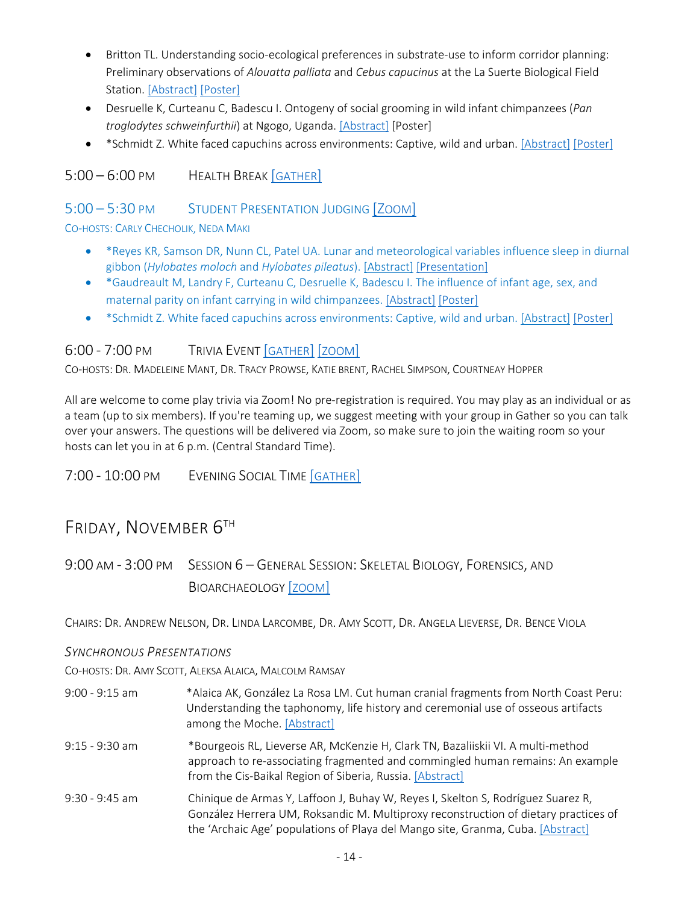- Britton TL. Understanding socio-ecological preferences in substrate-use to inform corridor planning: Preliminary observations of *Alouatta palliata* and *Cebus capucinus* at the La Suerte Biological Field Station. [Abstract] [Poster]
- Desruelle K, Curteanu C, Badescu I. Ontogeny of social grooming in wild infant chimpanzees (*Pan troglodytes schweinfurthii*) at Ngogo, Uganda. [Abstract] [Poster]
- \*Schmidt Z. White faced capuchins across environments: Captive, wild and urban. [Abstract] [Poster]

# 5:00 – 6:00 PM HEALTH BREAK [GATHER]

## 5:00 – 5:30 PM STUDENT PRESENTATION JUDGING [ZOOM]

#### CO-HOSTS: CARLY CHECHOLIK, NEDA MAKI

- \*Reyes KR, Samson DR, Nunn CL, Patel UA. Lunar and meteorological variables influence sleep in diurnal gibbon (*Hylobates moloch* and *Hylobates pileatus*). [Abstract] [Presentation]
- \*Gaudreault M, Landry F, Curteanu C, Desruelle K, Badescu I. The influence of infant age, sex, and maternal parity on infant carrying in wild chimpanzees. [Abstract] [Poster]
- \*Schmidt Z. White faced capuchins across environments: Captive, wild and urban. [Abstract] [Poster]

# 6:00 - 7:00 PM TRIVIA EVENT [GATHER] [ZOOM]

CO-HOSTS: DR. MADELEINE MANT, DR. TRACY PROWSE, KATIE BRENT, RACHEL SIMPSON, COURTNEAY HOPPER

All are welcome to come play trivia via Zoom! No pre-registration is required. You may play as an individual or as a team (up to six members). If you're teaming up, we suggest meeting with your group in Gather so you can talk over your answers. The questions will be delivered via Zoom, so make sure to join the waiting room so your hosts can let you in at 6 p.m. (Central Standard Time).

7:00 - 10:00 PM EVENING SOCIAL TIME [GATHER]

# FRIDAY, NOVEMBER 6TH

9:00 AM - 3:00 PM SESSION 6 – GENERAL SESSION: SKELETAL BIOLOGY, FORENSICS, AND BIOARCHAEOLOGY [ZOOM]

CHAIRS: DR. ANDREW NELSON, DR. LINDA LARCOMBE, DR. AMY SCOTT, DR. ANGELA LIEVERSE, DR. BENCE VIOLA

#### *SYNCHRONOUS PRESENTATIONS*

CO-HOSTS: DR. AMY SCOTT, ALEKSA ALAICA, MALCOLM RAMSAY

- 9:00 9:15 am \*Alaica AK, González La Rosa LM. Cut human cranial fragments from North Coast Peru: Understanding the taphonomy, life history and ceremonial use of osseous artifacts among the Moche. [Abstract]
- 9:15 9:30 am \*Bourgeois RL, Lieverse AR, McKenzie H, Clark TN, Bazaliiskii VI. A multi-method approach to re-associating fragmented and commingled human remains: An example from the Cis-Baikal Region of Siberia, Russia. [Abstract]
- 9:30 9:45 am Chinique de Armas Y, Laffoon J, Buhay W, Reyes I, Skelton S, Rodríguez Suarez R, González Herrera UM, Roksandic M. Multiproxy reconstruction of dietary practices of the 'Archaic Age' populations of Playa del Mango site, Granma, Cuba. [Abstract]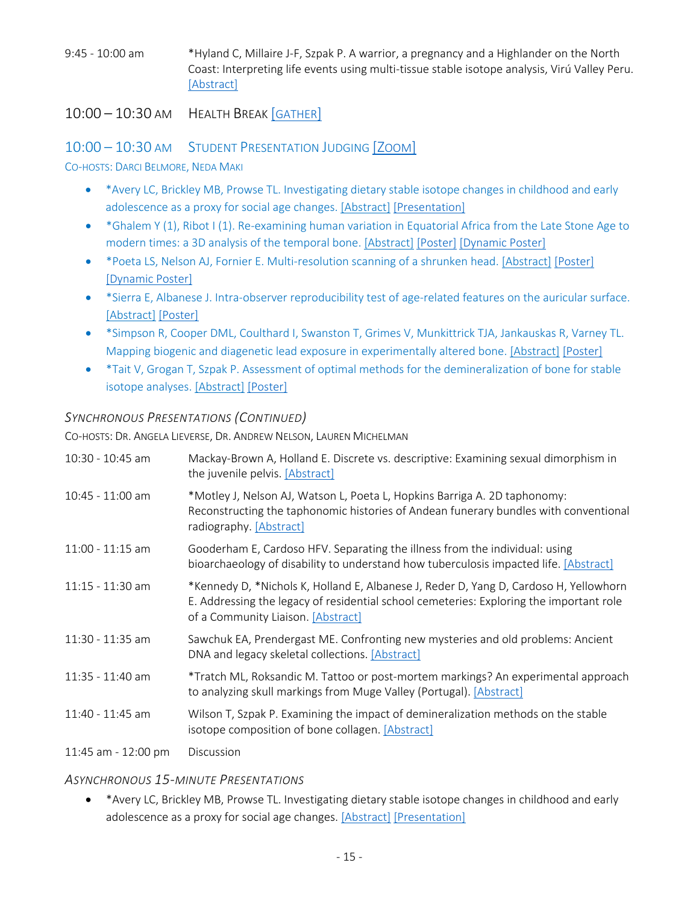9:45 - 10:00 am \*Hyland C, Millaire J-F, Szpak P. A warrior, a pregnancy and a Highlander on the North Coast: Interpreting life events using multi-tissue stable isotope analysis, Virú Valley Peru. [Abstract]

## 10:00 – 10:30 AM HEALTH BREAK [GATHER]

# 10:00 – 10:30 AM STUDENT PRESENTATION JUDGING [ZOOM]

CO-HOSTS: DARCI BELMORE, NEDA MAKI

- \*Avery LC, Brickley MB, Prowse TL. Investigating dietary stable isotope changes in childhood and early adolescence as a proxy for social age changes. [Abstract] [Presentation]
- \*Ghalem Y (1), Ribot I (1). Re-examining human variation in Equatorial Africa from the Late Stone Age to modern times: a 3D analysis of the temporal bone. [Abstract] [Poster] [Dynamic Poster]
- \*Poeta LS, Nelson AJ, Fornier E. Multi-resolution scanning of a shrunken head. [Abstract] [Poster] [Dynamic Poster]
- \*Sierra E, Albanese J. Intra-observer reproducibility test of age-related features on the auricular surface. [Abstract] [Poster]
- \*Simpson R, Cooper DML, Coulthard I, Swanston T, Grimes V, Munkittrick TJA, Jankauskas R, Varney TL. Mapping biogenic and diagenetic lead exposure in experimentally altered bone. [Abstract] [Poster]
- \*Tait V, Grogan T, Szpak P. Assessment of optimal methods for the demineralization of bone for stable isotope analyses. [Abstract] [Poster]

### *SYNCHRONOUS PRESENTATIONS (CONTINUED)*

CO-HOSTS: DR. ANGELA LIEVERSE, DR. ANDREW NELSON, LAUREN MICHELMAN

| 10:30 - 10:45 am    | Mackay-Brown A, Holland E. Discrete vs. descriptive: Examining sexual dimorphism in<br>the juvenile pelvis. [Abstract]                                                                                                 |
|---------------------|------------------------------------------------------------------------------------------------------------------------------------------------------------------------------------------------------------------------|
| 10:45 - 11:00 am    | *Motley J, Nelson AJ, Watson L, Poeta L, Hopkins Barriga A. 2D taphonomy:<br>Reconstructing the taphonomic histories of Andean funerary bundles with conventional<br>radiography. [Abstract]                           |
| $11:00 - 11:15$ am  | Gooderham E, Cardoso HFV. Separating the illness from the individual: using<br>bioarchaeology of disability to understand how tuberculosis impacted life. [Abstract]                                                   |
| $11:15 - 11:30$ am  | *Kennedy D, *Nichols K, Holland E, Albanese J, Reder D, Yang D, Cardoso H, Yellowhorn<br>E. Addressing the legacy of residential school cemeteries: Exploring the important role<br>of a Community Liaison. [Abstract] |
| 11:30 - 11:35 am    | Sawchuk EA, Prendergast ME. Confronting new mysteries and old problems: Ancient<br>DNA and legacy skeletal collections. [Abstract]                                                                                     |
| $11:35 - 11:40$ am  | *Tratch ML, Roksandic M. Tattoo or post-mortem markings? An experimental approach<br>to analyzing skull markings from Muge Valley (Portugal). [Abstract]                                                               |
| 11:40 - 11:45 am    | Wilson T, Szpak P. Examining the impact of demineralization methods on the stable<br>isotope composition of bone collagen. [Abstract]                                                                                  |
| 11:45 am - 12:00 pm | Discussion                                                                                                                                                                                                             |

#### *ASYNCHRONOUS 15-MINUTE PRESENTATIONS*

• \*Avery LC, Brickley MB, Prowse TL. Investigating dietary stable isotope changes in childhood and early adolescence as a proxy for social age changes. [Abstract] [Presentation]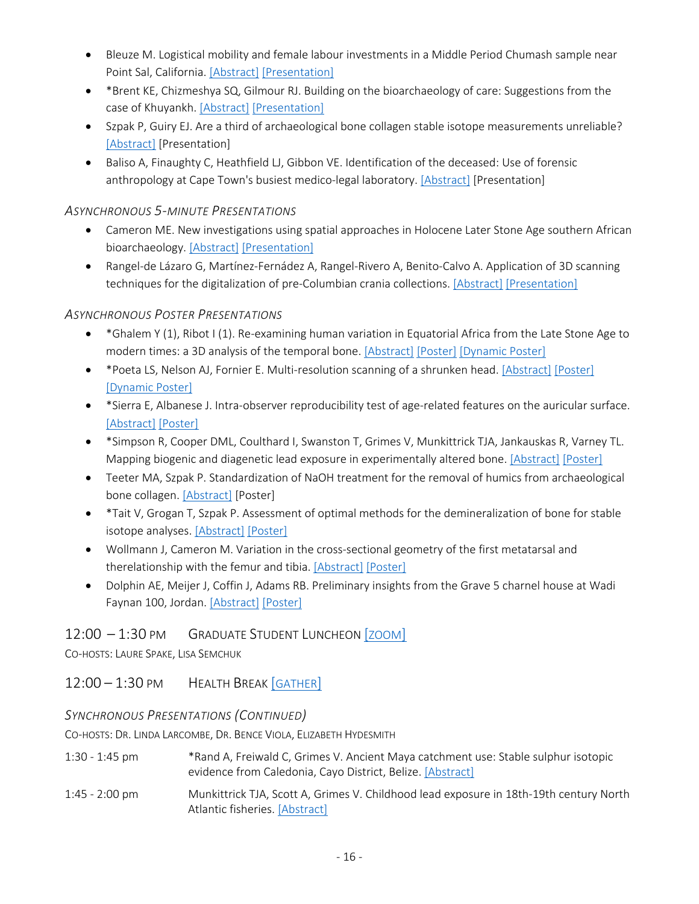- Bleuze M. Logistical mobility and female labour investments in a Middle Period Chumash sample near Point Sal, California. [Abstract] [Presentation]
- \*Brent KE, Chizmeshya SQ, Gilmour RJ. Building on the bioarchaeology of care: Suggestions from the case of Khuyankh. [Abstract] [Presentation]
- Szpak P, Guiry EJ. Are a third of archaeological bone collagen stable isotope measurements unreliable? [Abstract] [Presentation]
- Baliso A, Finaughty C, Heathfield LJ, Gibbon VE. Identification of the deceased: Use of forensic anthropology at Cape Town's busiest medico-legal laboratory. [Abstract] [Presentation]

#### *ASYNCHRONOUS 5-MINUTE PRESENTATIONS*

- Cameron ME. New investigations using spatial approaches in Holocene Later Stone Age southern African bioarchaeology. [Abstract] [Presentation]
- Rangel-de Lázaro G, Martínez-Fernádez A, Rangel-Rivero A, Benito-Calvo A. Application of 3D scanning techniques for the digitalization of pre-Columbian crania collections. [Abstract] [Presentation]

### *ASYNCHRONOUS POSTER PRESENTATIONS*

- \*Ghalem Y (1), Ribot I (1). Re-examining human variation in Equatorial Africa from the Late Stone Age to modern times: a 3D analysis of the temporal bone. [Abstract] [Poster] [Dynamic Poster]
- \*Poeta LS, Nelson AJ, Fornier E. Multi-resolution scanning of a shrunken head. [Abstract] [Poster] [Dynamic Poster]
- \*Sierra E, Albanese J. Intra-observer reproducibility test of age-related features on the auricular surface. [Abstract] [Poster]
- \*Simpson R, Cooper DML, Coulthard I, Swanston T, Grimes V, Munkittrick TJA, Jankauskas R, Varney TL. Mapping biogenic and diagenetic lead exposure in experimentally altered bone. [Abstract] [Poster]
- Teeter MA, Szpak P. Standardization of NaOH treatment for the removal of humics from archaeological bone collagen. [Abstract] [Poster]
- \*Tait V, Grogan T, Szpak P. Assessment of optimal methods for the demineralization of bone for stable isotope analyses. [Abstract] [Poster]
- Wollmann J, Cameron M. Variation in the cross-sectional geometry of the first metatarsal and therelationship with the femur and tibia. [Abstract] [Poster]
- Dolphin AE, Meijer J, Coffin J, Adams RB. Preliminary insights from the Grave 5 charnel house at Wadi Faynan 100, Jordan. [Abstract] [Poster]

### 12:00 – 1:30 PM GRADUATE STUDENT LUNCHEON [ZOOM]

CO-HOSTS: LAURE SPAKE, LISA SEMCHUK

12:00 – 1:30 PM HEALTH BREAK [GATHER]

### *SYNCHRONOUS PRESENTATIONS (CONTINUED)*

CO-HOSTS: DR. LINDA LARCOMBE, DR. BENCE VIOLA, ELIZABETH HYDESMITH

- 1:30 1:45 pm \*Rand A, Freiwald C, Grimes V. Ancient Maya catchment use: Stable sulphur isotopic evidence from Caledonia, Cayo District, Belize. [Abstract]
- 1:45 2:00 pm Munkittrick TJA, Scott A, Grimes V. Childhood lead exposure in 18th-19th century North Atlantic fisheries. [Abstract]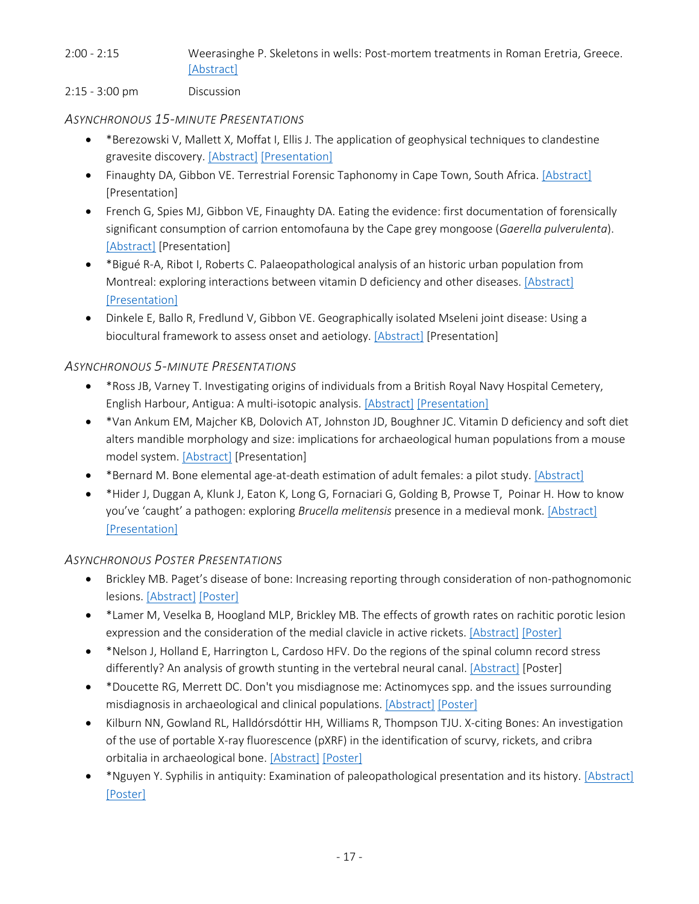## 2:00 - 2:15 Weerasinghe P. Skeletons in wells: Post-mortem treatments in Roman Eretria, Greece. [Abstract]

#### 2:15 - 3:00 pm Discussion

## *ASYNCHRONOUS 15-MINUTE PRESENTATIONS*

- \*Berezowski V, Mallett X, Moffat I, Ellis J. The application of geophysical techniques to clandestine gravesite discovery. [Abstract] [Presentation]
- Finaughty DA, Gibbon VE. Terrestrial Forensic Taphonomy in Cape Town, South Africa. [Abstract] [Presentation]
- French G, Spies MJ, Gibbon VE, Finaughty DA. Eating the evidence: first documentation of forensically significant consumption of carrion entomofauna by the Cape grey mongoose (*Gaerella pulverulenta*). [Abstract] [Presentation]
- \*Bigué R-A, Ribot I, Roberts C. Palaeopathological analysis of an historic urban population from Montreal: exploring interactions between vitamin D deficiency and other diseases. [Abstract] [Presentation]
- Dinkele E, Ballo R, Fredlund V, Gibbon VE. Geographically isolated Mseleni joint disease: Using a biocultural framework to assess onset and aetiology. [Abstract] [Presentation]

## *ASYNCHRONOUS 5-MINUTE PRESENTATIONS*

- \*Ross JB, Varney T. Investigating origins of individuals from a British Royal Navy Hospital Cemetery, English Harbour, Antigua: A multi-isotopic analysis. [Abstract] [Presentation]
- \*Van Ankum EM, Majcher KB, Dolovich AT, Johnston JD, Boughner JC. Vitamin D deficiency and soft diet alters mandible morphology and size: implications for archaeological human populations from a mouse model system. [Abstract] [Presentation]
- \* Bernard M. Bone elemental age-at-death estimation of adult females: a pilot study. [Abstract]
- \*Hider J, Duggan A, Klunk J, Eaton K, Long G, Fornaciari G, Golding B, Prowse T, Poinar H. How to know you've 'caught' a pathogen: exploring *Brucella melitensis* presence in a medieval monk. [Abstract] [Presentation]

### *ASYNCHRONOUS POSTER PRESENTATIONS*

- Brickley MB. Paget's disease of bone: Increasing reporting through consideration of non-pathognomonic lesions. [Abstract] [Poster]
- \*Lamer M, Veselka B, Hoogland MLP, Brickley MB. The effects of growth rates on rachitic porotic lesion expression and the consideration of the medial clavicle in active rickets. [Abstract] [Poster]
- \*Nelson J, Holland E, Harrington L, Cardoso HFV. Do the regions of the spinal column record stress differently? An analysis of growth stunting in the vertebral neural canal. [Abstract] [Poster]
- \*Doucette RG, Merrett DC. Don't you misdiagnose me: Actinomyces spp. and the issues surrounding misdiagnosis in archaeological and clinical populations. [Abstract] [Poster]
- Kilburn NN, Gowland RL, Halldórsdóttir HH, Williams R, Thompson TJU. X-citing Bones: An investigation of the use of portable X-ray fluorescence (pXRF) in the identification of scurvy, rickets, and cribra orbitalia in archaeological bone. [Abstract] [Poster]
- \*Nguyen Y. Syphilis in antiquity: Examination of paleopathological presentation and its history. [Abstract] [Poster]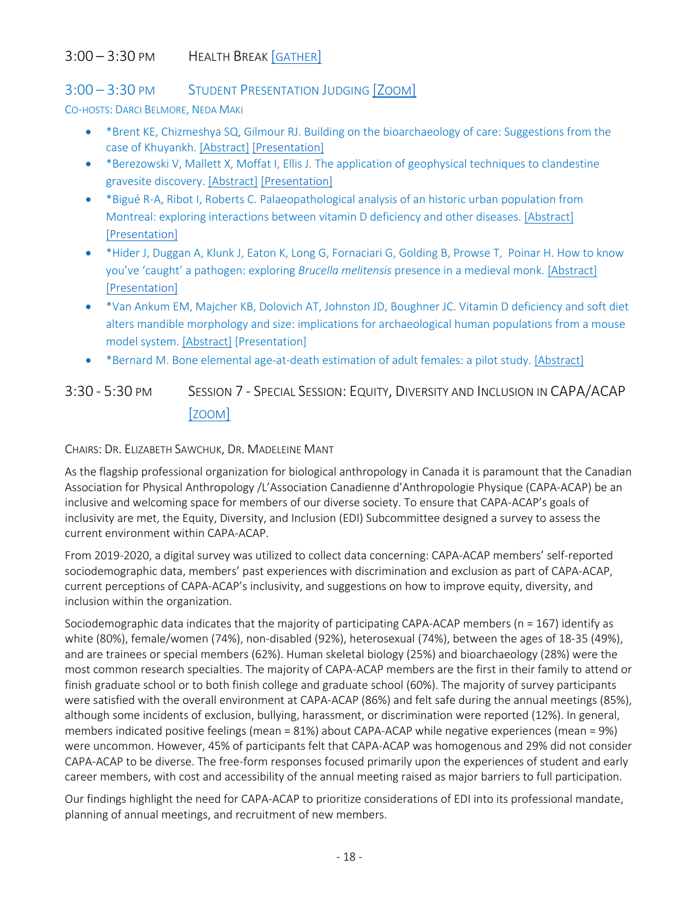# 3:00 – 3:30 PM HEALTH BREAK [GATHER]

### 3:00 – 3:30 PM STUDENT PRESENTATION JUDGING [ZOOM]

CO-HOSTS: DARCI BELMORE, NEDA MAKI

- \*Brent KE, Chizmeshya SQ, Gilmour RJ. Building on the bioarchaeology of care: Suggestions from the case of Khuyankh. [Abstract] [Presentation]
- \*Berezowski V, Mallett X, Moffat I, Ellis J. The application of geophysical techniques to clandestine gravesite discovery. [Abstract] [Presentation]
- \*Bigué R-A, Ribot I, Roberts C. Palaeopathological analysis of an historic urban population from Montreal: exploring interactions between vitamin D deficiency and other diseases. [Abstract] [Presentation]
- \*Hider J, Duggan A, Klunk J, Eaton K, Long G, Fornaciari G, Golding B, Prowse T, Poinar H. How to know you've 'caught' a pathogen: exploring *Brucella melitensis* presence in a medieval monk. [Abstract] [Presentation]
- \*Van Ankum EM, Majcher KB, Dolovich AT, Johnston JD, Boughner JC. Vitamin D deficiency and soft diet alters mandible morphology and size: implications for archaeological human populations from a mouse model system. [Abstract] [Presentation]
- \*Bernard M. Bone elemental age-at-death estimation of adult females: a pilot study. [Abstract]

3:30 - 5:30 PM SESSION 7 - SPECIAL SESSION: EQUITY, DIVERSITY AND INCLUSION IN CAPA/ACAP [ZOOM]

CHAIRS: DR. ELIZABETH SAWCHUK, DR. MADELEINE MANT

As the flagship professional organization for biological anthropology in Canada it is paramount that the Canadian Association for Physical Anthropology /L'Association Canadienne d'Anthropologie Physique (CAPA-ACAP) be an inclusive and welcoming space for members of our diverse society. To ensure that CAPA-ACAP's goals of inclusivity are met, the Equity, Diversity, and Inclusion (EDI) Subcommittee designed a survey to assess the current environment within CAPA-ACAP.

From 2019-2020, a digital survey was utilized to collect data concerning: CAPA-ACAP members' self-reported sociodemographic data, members' past experiences with discrimination and exclusion as part of CAPA-ACAP, current perceptions of CAPA-ACAP's inclusivity, and suggestions on how to improve equity, diversity, and inclusion within the organization.

Sociodemographic data indicates that the majority of participating CAPA-ACAP members (n = 167) identify as white (80%), female/women (74%), non-disabled (92%), heterosexual (74%), between the ages of 18-35 (49%), and are trainees or special members (62%). Human skeletal biology (25%) and bioarchaeology (28%) were the most common research specialties. The majority of CAPA-ACAP members are the first in their family to attend or finish graduate school or to both finish college and graduate school (60%). The majority of survey participants were satisfied with the overall environment at CAPA-ACAP (86%) and felt safe during the annual meetings (85%), although some incidents of exclusion, bullying, harassment, or discrimination were reported (12%). In general, members indicated positive feelings (mean = 81%) about CAPA-ACAP while negative experiences (mean = 9%) were uncommon. However, 45% of participants felt that CAPA-ACAP was homogenous and 29% did not consider CAPA-ACAP to be diverse. The free-form responses focused primarily upon the experiences of student and early career members, with cost and accessibility of the annual meeting raised as major barriers to full participation.

Our findings highlight the need for CAPA-ACAP to prioritize considerations of EDI into its professional mandate, planning of annual meetings, and recruitment of new members.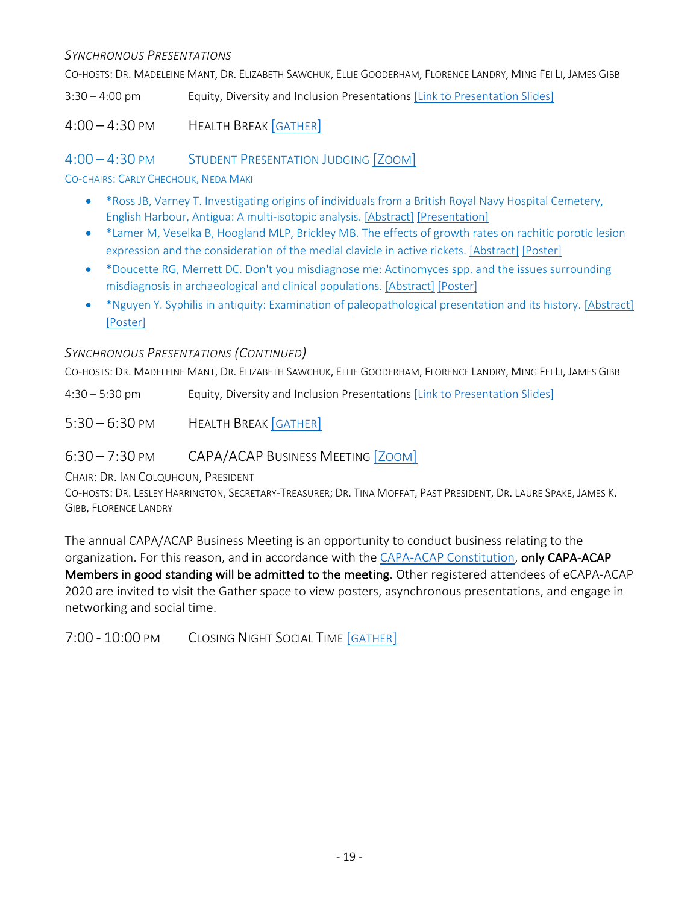#### *SYNCHRONOUS PRESENTATIONS*

CO-HOSTS: DR. MADELEINE MANT, DR. ELIZABETH SAWCHUK, ELLIE GOODERHAM, FLORENCE LANDRY, MING FEI LI, JAMES GIBB

3:30 – 4:00 pm Equity, Diversity and Inclusion Presentations [Link to Presentation Slides]

4:00 – 4:30 PM HEALTH BREAK [GATHER]

4:00 – 4:30 PM STUDENT PRESENTATION JUDGING [ZOOM]

CO-CHAIRS: CARLY CHECHOLIK, NEDA MAKI

- \*Ross JB, Varney T. Investigating origins of individuals from a British Royal Navy Hospital Cemetery, English Harbour, Antigua: A multi-isotopic analysis. [Abstract] [Presentation]
- \*Lamer M, Veselka B, Hoogland MLP, Brickley MB. The effects of growth rates on rachitic porotic lesion expression and the consideration of the medial clavicle in active rickets. [Abstract] [Poster]
- \*Doucette RG, Merrett DC. Don't you misdiagnose me: Actinomyces spp. and the issues surrounding misdiagnosis in archaeological and clinical populations. [Abstract] [Poster]
- \*Nguyen Y. Syphilis in antiquity: Examination of paleopathological presentation and its history. [Abstract] [Poster]

### *SYNCHRONOUS PRESENTATIONS (CONTINUED)*

CO-HOSTS: DR. MADELEINE MANT, DR. ELIZABETH SAWCHUK, ELLIE GOODERHAM, FLORENCE LANDRY, MING FEI LI, JAMES GIBB

4:30 – 5:30 pm Equity, Diversity and Inclusion Presentations [Link to Presentation Slides]

5:30 – 6:30 PM HEALTH BREAK [GATHER]

6:30 – 7:30 PM CAPA/ACAP BUSINESS MEETING [ZOOM]

CHAIR: DR. IAN COLQUHOUN, PRESIDENT

CO-HOSTS: DR. LESLEY HARRINGTON, SECRETARY-TREASURER; DR. TINA MOFFAT, PAST PRESIDENT, DR. LAURE SPAKE, JAMES K. GIBB, FLORENCE LANDRY

The annual CAPA/ACAP Business Meeting is an opportunity to conduct business relating to the organization. For this reason, and in accordance with the CAPA-ACAP Constitution, only CAPA-ACAP Members in good standing will be admitted to the meeting. Other registered attendees of eCAPA-ACAP 2020 are invited to visit the Gather space to view posters, asynchronous presentations, and engage in networking and social time.

7:00 - 10:00 PM CLOSING NIGHT SOCIAL TIME [GATHER]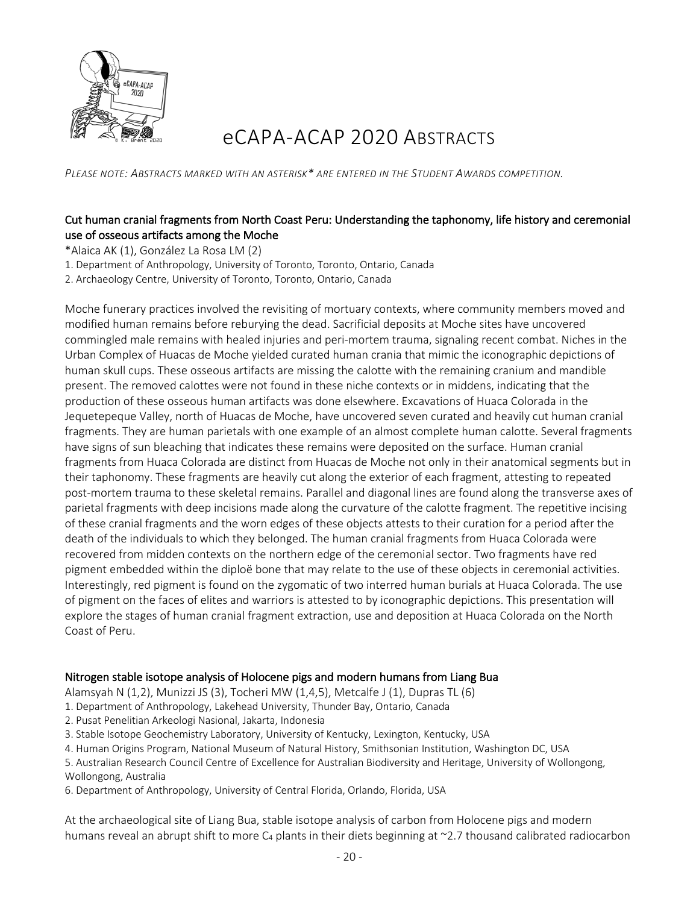

# eCAPA-ACAP 2020 ABSTRACTS

*PLEASE NOTE: ABSTRACTS MARKED WITH AN ASTERISK\* ARE ENTERED IN THE STUDENT AWARDS COMPETITION.* 

#### Cut human cranial fragments from North Coast Peru: Understanding the taphonomy, life history and ceremonial use of osseous artifacts among the Moche

\*Alaica AK (1), González La Rosa LM (2)

1. Department of Anthropology, University of Toronto, Toronto, Ontario, Canada

2. Archaeology Centre, University of Toronto, Toronto, Ontario, Canada

Moche funerary practices involved the revisiting of mortuary contexts, where community members moved and modified human remains before reburying the dead. Sacrificial deposits at Moche sites have uncovered commingled male remains with healed injuries and peri-mortem trauma, signaling recent combat. Niches in the Urban Complex of Huacas de Moche yielded curated human crania that mimic the iconographic depictions of human skull cups. These osseous artifacts are missing the calotte with the remaining cranium and mandible present. The removed calottes were not found in these niche contexts or in middens, indicating that the production of these osseous human artifacts was done elsewhere. Excavations of Huaca Colorada in the Jequetepeque Valley, north of Huacas de Moche, have uncovered seven curated and heavily cut human cranial fragments. They are human parietals with one example of an almost complete human calotte. Several fragments have signs of sun bleaching that indicates these remains were deposited on the surface. Human cranial fragments from Huaca Colorada are distinct from Huacas de Moche not only in their anatomical segments but in their taphonomy. These fragments are heavily cut along the exterior of each fragment, attesting to repeated post-mortem trauma to these skeletal remains. Parallel and diagonal lines are found along the transverse axes of parietal fragments with deep incisions made along the curvature of the calotte fragment. The repetitive incising of these cranial fragments and the worn edges of these objects attests to their curation for a period after the death of the individuals to which they belonged. The human cranial fragments from Huaca Colorada were recovered from midden contexts on the northern edge of the ceremonial sector. Two fragments have red pigment embedded within the diploë bone that may relate to the use of these objects in ceremonial activities. Interestingly, red pigment is found on the zygomatic of two interred human burials at Huaca Colorada. The use of pigment on the faces of elites and warriors is attested to by iconographic depictions. This presentation will explore the stages of human cranial fragment extraction, use and deposition at Huaca Colorada on the North Coast of Peru.

#### Nitrogen stable isotope analysis of Holocene pigs and modern humans from Liang Bua

Alamsyah N (1,2), Munizzi JS (3), Tocheri MW (1,4,5), Metcalfe J (1), Dupras TL (6)

- 1. Department of Anthropology, Lakehead University, Thunder Bay, Ontario, Canada
- 2. Pusat Penelitian Arkeologi Nasional, Jakarta, Indonesia
- 3. Stable Isotope Geochemistry Laboratory, University of Kentucky, Lexington, Kentucky, USA
- 4. Human Origins Program, National Museum of Natural History, Smithsonian Institution, Washington DC, USA

5. Australian Research Council Centre of Excellence for Australian Biodiversity and Heritage, University of Wollongong, Wollongong, Australia

6. Department of Anthropology, University of Central Florida, Orlando, Florida, USA

At the archaeological site of Liang Bua, stable isotope analysis of carbon from Holocene pigs and modern humans reveal an abrupt shift to more  $C_4$  plants in their diets beginning at  $\sim$ 2.7 thousand calibrated radiocarbon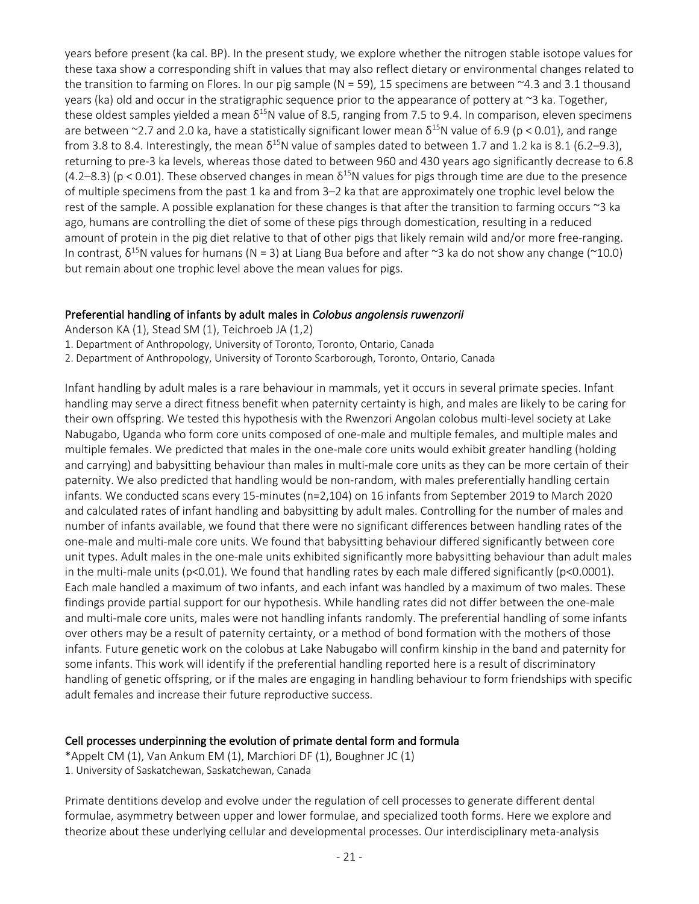years before present (ka cal. BP). In the present study, we explore whether the nitrogen stable isotope values for these taxa show a corresponding shift in values that may also reflect dietary or environmental changes related to the transition to farming on Flores. In our pig sample ( $N = 59$ ), 15 specimens are between  $\sim$ 4.3 and 3.1 thousand years (ka) old and occur in the stratigraphic sequence prior to the appearance of pottery at ~3 ka. Together, these oldest samples yielded a mean  $\delta^{15}N$  value of 8.5, ranging from 7.5 to 9.4. In comparison, eleven specimens are between ~2.7 and 2.0 ka, have a statistically significant lower mean  $\delta^{15}N$  value of 6.9 (p < 0.01), and range from 3.8 to 8.4. Interestingly, the mean  $\delta^{15}N$  value of samples dated to between 1.7 and 1.2 ka is 8.1 (6.2–9.3), returning to pre-3 ka levels, whereas those dated to between 960 and 430 years ago significantly decrease to 6.8  $(4.2–8.3)$  (p < 0.01). These observed changes in mean  $\delta^{15}$ N values for pigs through time are due to the presence of multiple specimens from the past 1 ka and from 3–2 ka that are approximately one trophic level below the rest of the sample. A possible explanation for these changes is that after the transition to farming occurs ~3 ka ago, humans are controlling the diet of some of these pigs through domestication, resulting in a reduced amount of protein in the pig diet relative to that of other pigs that likely remain wild and/or more free-ranging. In contrast,  $\delta^{15}$ N values for humans (N = 3) at Liang Bua before and after ~3 ka do not show any change (~10.0) but remain about one trophic level above the mean values for pigs.

#### Preferential handling of infants by adult males in *Colobus angolensis ruwenzorii*

Anderson KA (1), Stead SM (1), Teichroeb JA (1,2)

1. Department of Anthropology, University of Toronto, Toronto, Ontario, Canada

2. Department of Anthropology, University of Toronto Scarborough, Toronto, Ontario, Canada

Infant handling by adult males is a rare behaviour in mammals, yet it occurs in several primate species. Infant handling may serve a direct fitness benefit when paternity certainty is high, and males are likely to be caring for their own offspring. We tested this hypothesis with the Rwenzori Angolan colobus multi-level society at Lake Nabugabo, Uganda who form core units composed of one-male and multiple females, and multiple males and multiple females. We predicted that males in the one-male core units would exhibit greater handling (holding and carrying) and babysitting behaviour than males in multi-male core units as they can be more certain of their paternity. We also predicted that handling would be non-random, with males preferentially handling certain infants. We conducted scans every 15-minutes (n=2,104) on 16 infants from September 2019 to March 2020 and calculated rates of infant handling and babysitting by adult males. Controlling for the number of males and number of infants available, we found that there were no significant differences between handling rates of the one-male and multi-male core units. We found that babysitting behaviour differed significantly between core unit types. Adult males in the one-male units exhibited significantly more babysitting behaviour than adult males in the multi-male units (p<0.01). We found that handling rates by each male differed significantly (p<0.0001). Each male handled a maximum of two infants, and each infant was handled by a maximum of two males. These findings provide partial support for our hypothesis. While handling rates did not differ between the one-male and multi-male core units, males were not handling infants randomly. The preferential handling of some infants over others may be a result of paternity certainty, or a method of bond formation with the mothers of those infants. Future genetic work on the colobus at Lake Nabugabo will confirm kinship in the band and paternity for some infants. This work will identify if the preferential handling reported here is a result of discriminatory handling of genetic offspring, or if the males are engaging in handling behaviour to form friendships with specific adult females and increase their future reproductive success.

#### Cell processes underpinning the evolution of primate dental form and formula

\*Appelt CM (1), Van Ankum EM (1), Marchiori DF (1), Boughner JC (1)

1. University of Saskatchewan, Saskatchewan, Canada

Primate dentitions develop and evolve under the regulation of cell processes to generate different dental formulae, asymmetry between upper and lower formulae, and specialized tooth forms. Here we explore and theorize about these underlying cellular and developmental processes. Our interdisciplinary meta-analysis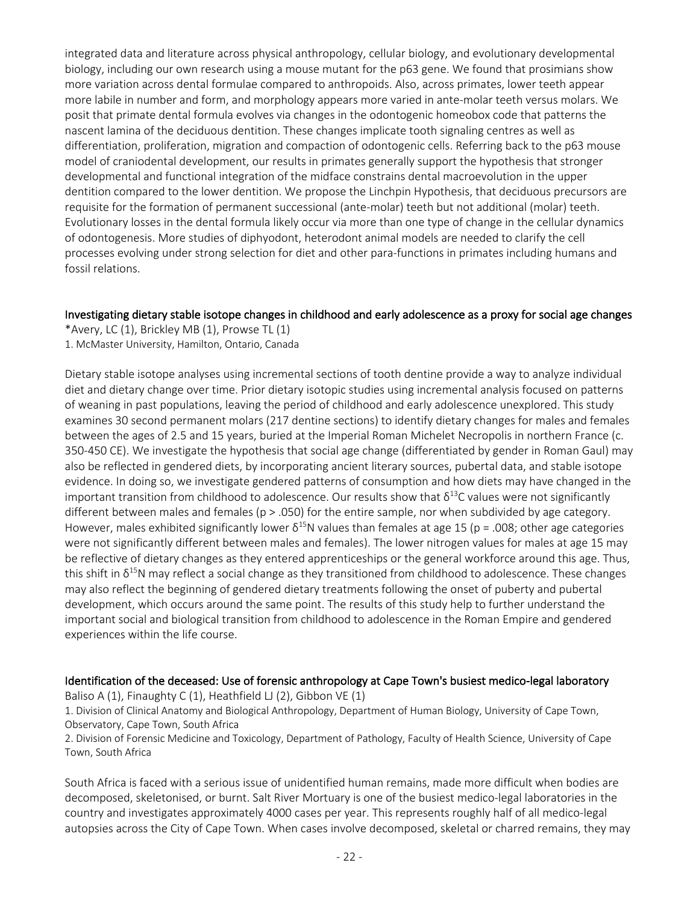integrated data and literature across physical anthropology, cellular biology, and evolutionary developmental biology, including our own research using a mouse mutant for the p63 gene. We found that prosimians show more variation across dental formulae compared to anthropoids. Also, across primates, lower teeth appear more labile in number and form, and morphology appears more varied in ante-molar teeth versus molars. We posit that primate dental formula evolves via changes in the odontogenic homeobox code that patterns the nascent lamina of the deciduous dentition. These changes implicate tooth signaling centres as well as differentiation, proliferation, migration and compaction of odontogenic cells. Referring back to the p63 mouse model of craniodental development, our results in primates generally support the hypothesis that stronger developmental and functional integration of the midface constrains dental macroevolution in the upper dentition compared to the lower dentition. We propose the Linchpin Hypothesis, that deciduous precursors are requisite for the formation of permanent successional (ante-molar) teeth but not additional (molar) teeth. Evolutionary losses in the dental formula likely occur via more than one type of change in the cellular dynamics of odontogenesis. More studies of diphyodont, heterodont animal models are needed to clarify the cell processes evolving under strong selection for diet and other para-functions in primates including humans and fossil relations.

#### Investigating dietary stable isotope changes in childhood and early adolescence as a proxy for social age changes

\*Avery, LC (1), Brickley MB (1), Prowse TL (1) 1. McMaster University, Hamilton, Ontario, Canada

Dietary stable isotope analyses using incremental sections of tooth dentine provide a way to analyze individual diet and dietary change over time. Prior dietary isotopic studies using incremental analysis focused on patterns of weaning in past populations, leaving the period of childhood and early adolescence unexplored. This study examines 30 second permanent molars (217 dentine sections) to identify dietary changes for males and females between the ages of 2.5 and 15 years, buried at the Imperial Roman Michelet Necropolis in northern France (c. 350-450 CE). We investigate the hypothesis that social age change (differentiated by gender in Roman Gaul) may also be reflected in gendered diets, by incorporating ancient literary sources, pubertal data, and stable isotope evidence. In doing so, we investigate gendered patterns of consumption and how diets may have changed in the important transition from childhood to adolescence. Our results show that  $\delta^{13}$ C values were not significantly different between males and females ( $p > 0.050$ ) for the entire sample, nor when subdivided by age category. However, males exhibited significantly lower  $\delta^{15}N$  values than females at age 15 (p = .008; other age categories were not significantly different between males and females). The lower nitrogen values for males at age 15 may be reflective of dietary changes as they entered apprenticeships or the general workforce around this age. Thus, this shift in  $\delta^{15}$ N may reflect a social change as they transitioned from childhood to adolescence. These changes may also reflect the beginning of gendered dietary treatments following the onset of puberty and pubertal development, which occurs around the same point. The results of this study help to further understand the important social and biological transition from childhood to adolescence in the Roman Empire and gendered experiences within the life course.

#### Identification of the deceased: Use of forensic anthropology at Cape Town's busiest medico-legal laboratory

Baliso A (1), Finaughty C (1), Heathfield LJ (2), Gibbon VE (1)

1. Division of Clinical Anatomy and Biological Anthropology, Department of Human Biology, University of Cape Town, Observatory, Cape Town, South Africa

2. Division of Forensic Medicine and Toxicology, Department of Pathology, Faculty of Health Science, University of Cape Town, South Africa

South Africa is faced with a serious issue of unidentified human remains, made more difficult when bodies are decomposed, skeletonised, or burnt. Salt River Mortuary is one of the busiest medico-legal laboratories in the country and investigates approximately 4000 cases per year. This represents roughly half of all medico-legal autopsies across the City of Cape Town. When cases involve decomposed, skeletal or charred remains, they may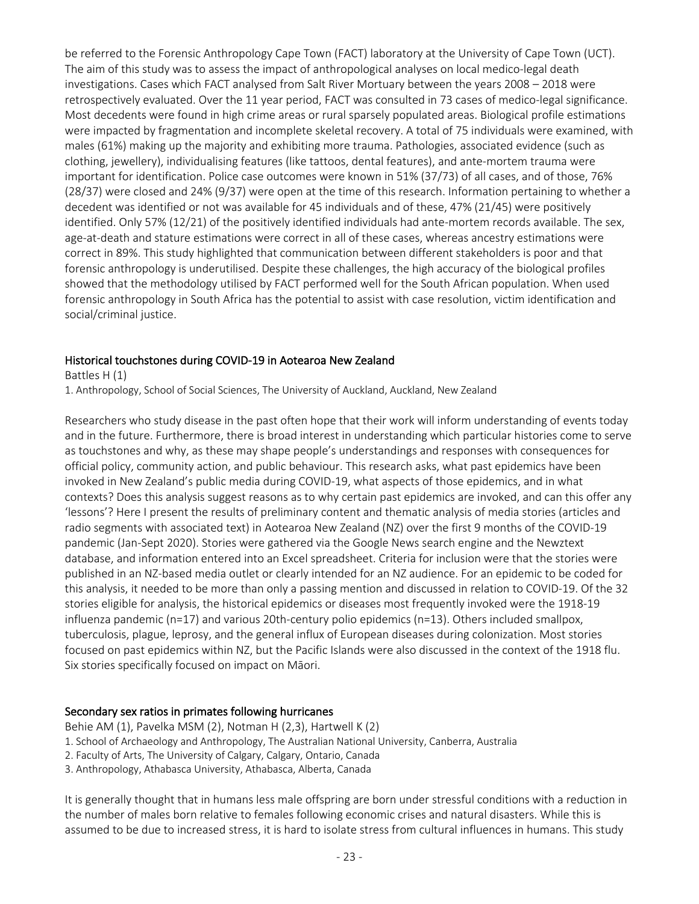be referred to the Forensic Anthropology Cape Town (FACT) laboratory at the University of Cape Town (UCT). The aim of this study was to assess the impact of anthropological analyses on local medico-legal death investigations. Cases which FACT analysed from Salt River Mortuary between the years 2008 – 2018 were retrospectively evaluated. Over the 11 year period, FACT was consulted in 73 cases of medico-legal significance. Most decedents were found in high crime areas or rural sparsely populated areas. Biological profile estimations were impacted by fragmentation and incomplete skeletal recovery. A total of 75 individuals were examined, with males (61%) making up the majority and exhibiting more trauma. Pathologies, associated evidence (such as clothing, jewellery), individualising features (like tattoos, dental features), and ante-mortem trauma were important for identification. Police case outcomes were known in 51% (37/73) of all cases, and of those, 76% (28/37) were closed and 24% (9/37) were open at the time of this research. Information pertaining to whether a decedent was identified or not was available for 45 individuals and of these, 47% (21/45) were positively identified. Only 57% (12/21) of the positively identified individuals had ante-mortem records available. The sex, age-at-death and stature estimations were correct in all of these cases, whereas ancestry estimations were correct in 89%. This study highlighted that communication between different stakeholders is poor and that forensic anthropology is underutilised. Despite these challenges, the high accuracy of the biological profiles showed that the methodology utilised by FACT performed well for the South African population. When used forensic anthropology in South Africa has the potential to assist with case resolution, victim identification and social/criminal justice.

#### Historical touchstones during COVID-19 in Aotearoa New Zealand

Battles H (1) 1. Anthropology, School of Social Sciences, The University of Auckland, Auckland, New Zealand

Researchers who study disease in the past often hope that their work will inform understanding of events today and in the future. Furthermore, there is broad interest in understanding which particular histories come to serve as touchstones and why, as these may shape people's understandings and responses with consequences for official policy, community action, and public behaviour. This research asks, what past epidemics have been invoked in New Zealand's public media during COVID-19, what aspects of those epidemics, and in what contexts? Does this analysis suggest reasons as to why certain past epidemics are invoked, and can this offer any 'lessons'? Here I present the results of preliminary content and thematic analysis of media stories (articles and radio segments with associated text) in Aotearoa New Zealand (NZ) over the first 9 months of the COVID-19 pandemic (Jan-Sept 2020). Stories were gathered via the Google News search engine and the Newztext database, and information entered into an Excel spreadsheet. Criteria for inclusion were that the stories were published in an NZ-based media outlet or clearly intended for an NZ audience. For an epidemic to be coded for this analysis, it needed to be more than only a passing mention and discussed in relation to COVID-19. Of the 32 stories eligible for analysis, the historical epidemics or diseases most frequently invoked were the 1918-19 influenza pandemic (n=17) and various 20th-century polio epidemics (n=13). Others included smallpox, tuberculosis, plague, leprosy, and the general influx of European diseases during colonization. Most stories focused on past epidemics within NZ, but the Pacific Islands were also discussed in the context of the 1918 flu. Six stories specifically focused on impact on Māori.

#### Secondary sex ratios in primates following hurricanes

Behie AM (1), Pavelka MSM (2), Notman H (2,3), Hartwell K (2)

- 1. School of Archaeology and Anthropology, The Australian National University, Canberra, Australia
- 2. Faculty of Arts, The University of Calgary, Calgary, Ontario, Canada
- 3. Anthropology, Athabasca University, Athabasca, Alberta, Canada

It is generally thought that in humans less male offspring are born under stressful conditions with a reduction in the number of males born relative to females following economic crises and natural disasters. While this is assumed to be due to increased stress, it is hard to isolate stress from cultural influences in humans. This study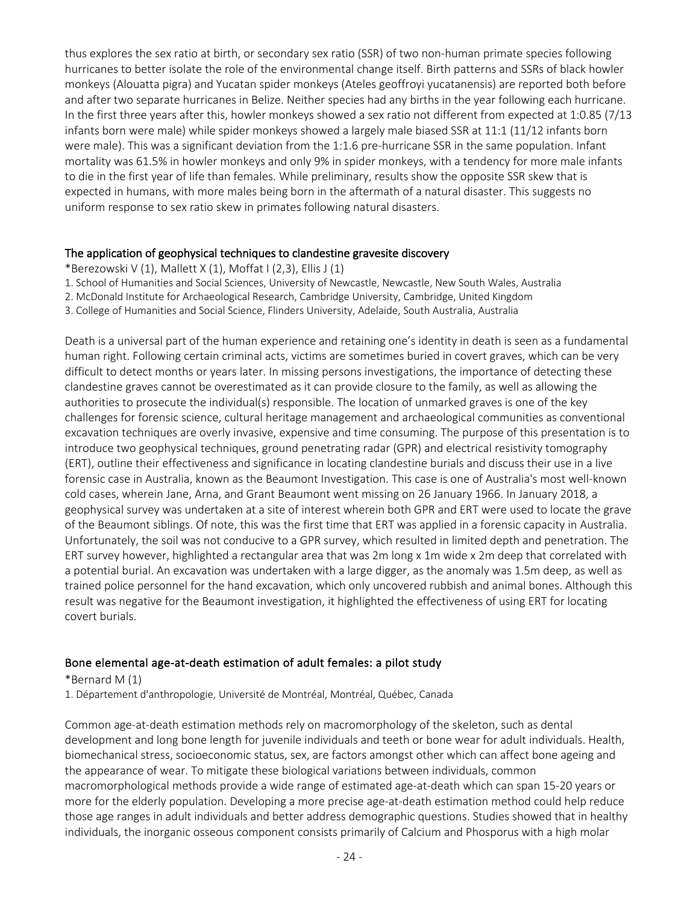thus explores the sex ratio at birth, or secondary sex ratio (SSR) of two non-human primate species following hurricanes to better isolate the role of the environmental change itself. Birth patterns and SSRs of black howler monkeys (Alouatta pigra) and Yucatan spider monkeys (Ateles geoffroyi yucatanensis) are reported both before and after two separate hurricanes in Belize. Neither species had any births in the year following each hurricane. In the first three years after this, howler monkeys showed a sex ratio not different from expected at 1:0.85 (7/13 infants born were male) while spider monkeys showed a largely male biased SSR at 11:1 (11/12 infants born were male). This was a significant deviation from the 1:1.6 pre-hurricane SSR in the same population. Infant mortality was 61.5% in howler monkeys and only 9% in spider monkeys, with a tendency for more male infants to die in the first year of life than females. While preliminary, results show the opposite SSR skew that is expected in humans, with more males being born in the aftermath of a natural disaster. This suggests no uniform response to sex ratio skew in primates following natural disasters.

#### The application of geophysical techniques to clandestine gravesite discovery

- \*Berezowski V (1), Mallett X (1), Moffat I (2,3), Ellis J (1)
- 1. School of Humanities and Social Sciences, University of Newcastle, Newcastle, New South Wales, Australia
- 2. McDonald Institute for Archaeological Research, Cambridge University, Cambridge, United Kingdom
- 3. College of Humanities and Social Science, Flinders University, Adelaide, South Australia, Australia

Death is a universal part of the human experience and retaining one's identity in death is seen as a fundamental human right. Following certain criminal acts, victims are sometimes buried in covert graves, which can be very difficult to detect months or years later. In missing persons investigations, the importance of detecting these clandestine graves cannot be overestimated as it can provide closure to the family, as well as allowing the authorities to prosecute the individual(s) responsible. The location of unmarked graves is one of the key challenges for forensic science, cultural heritage management and archaeological communities as conventional excavation techniques are overly invasive, expensive and time consuming. The purpose of this presentation is to introduce two geophysical techniques, ground penetrating radar (GPR) and electrical resistivity tomography (ERT), outline their effectiveness and significance in locating clandestine burials and discuss their use in a live forensic case in Australia, known as the Beaumont Investigation. This case is one of Australia's most well-known cold cases, wherein Jane, Arna, and Grant Beaumont went missing on 26 January 1966. In January 2018, a geophysical survey was undertaken at a site of interest wherein both GPR and ERT were used to locate the grave of the Beaumont siblings. Of note, this was the first time that ERT was applied in a forensic capacity in Australia. Unfortunately, the soil was not conducive to a GPR survey, which resulted in limited depth and penetration. The ERT survey however, highlighted a rectangular area that was 2m long x 1m wide x 2m deep that correlated with a potential burial. An excavation was undertaken with a large digger, as the anomaly was 1.5m deep, as well as trained police personnel for the hand excavation, which only uncovered rubbish and animal bones. Although this result was negative for the Beaumont investigation, it highlighted the effectiveness of using ERT for locating covert burials.

#### Bone elemental age-at-death estimation of adult females: a pilot study

\*Bernard M (1)

1. Département d'anthropologie, Université de Montréal, Montréal, Québec, Canada

Common age-at-death estimation methods rely on macromorphology of the skeleton, such as dental development and long bone length for juvenile individuals and teeth or bone wear for adult individuals. Health, biomechanical stress, socioeconomic status, sex, are factors amongst other which can affect bone ageing and the appearance of wear. To mitigate these biological variations between individuals, common macromorphological methods provide a wide range of estimated age-at-death which can span 15-20 years or more for the elderly population. Developing a more precise age-at-death estimation method could help reduce those age ranges in adult individuals and better address demographic questions. Studies showed that in healthy individuals, the inorganic osseous component consists primarily of Calcium and Phosporus with a high molar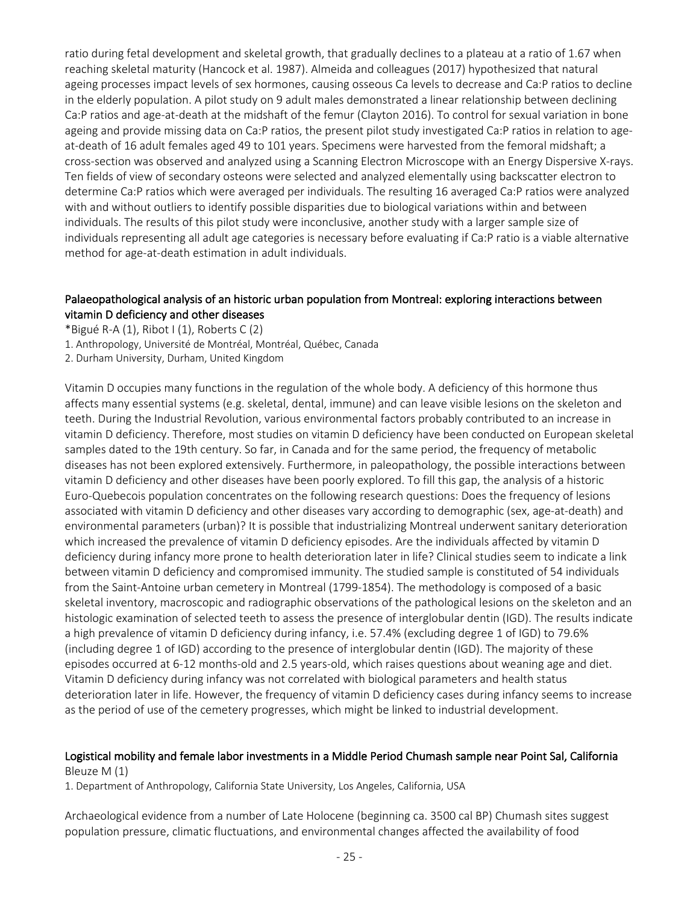ratio during fetal development and skeletal growth, that gradually declines to a plateau at a ratio of 1.67 when reaching skeletal maturity (Hancock et al. 1987). Almeida and colleagues (2017) hypothesized that natural ageing processes impact levels of sex hormones, causing osseous Ca levels to decrease and Ca:P ratios to decline in the elderly population. A pilot study on 9 adult males demonstrated a linear relationship between declining Ca:P ratios and age-at-death at the midshaft of the femur (Clayton 2016). To control for sexual variation in bone ageing and provide missing data on Ca:P ratios, the present pilot study investigated Ca:P ratios in relation to ageat-death of 16 adult females aged 49 to 101 years. Specimens were harvested from the femoral midshaft; a cross-section was observed and analyzed using a Scanning Electron Microscope with an Energy Dispersive X-rays. Ten fields of view of secondary osteons were selected and analyzed elementally using backscatter electron to determine Ca:P ratios which were averaged per individuals. The resulting 16 averaged Ca:P ratios were analyzed with and without outliers to identify possible disparities due to biological variations within and between individuals. The results of this pilot study were inconclusive, another study with a larger sample size of individuals representing all adult age categories is necessary before evaluating if Ca:P ratio is a viable alternative method for age-at-death estimation in adult individuals.

#### Palaeopathological analysis of an historic urban population from Montreal: exploring interactions between vitamin D deficiency and other diseases

\*Bigué R-A  $(1)$ , Ribot I $(1)$ , Roberts C $(2)$ 

- 1. Anthropology, Université de Montréal, Montréal, Québec, Canada
- 2. Durham University, Durham, United Kingdom

Vitamin D occupies many functions in the regulation of the whole body. A deficiency of this hormone thus affects many essential systems (e.g. skeletal, dental, immune) and can leave visible lesions on the skeleton and teeth. During the Industrial Revolution, various environmental factors probably contributed to an increase in vitamin D deficiency. Therefore, most studies on vitamin D deficiency have been conducted on European skeletal samples dated to the 19th century. So far, in Canada and for the same period, the frequency of metabolic diseases has not been explored extensively. Furthermore, in paleopathology, the possible interactions between vitamin D deficiency and other diseases have been poorly explored. To fill this gap, the analysis of a historic Euro-Quebecois population concentrates on the following research questions: Does the frequency of lesions associated with vitamin D deficiency and other diseases vary according to demographic (sex, age-at-death) and environmental parameters (urban)? It is possible that industrializing Montreal underwent sanitary deterioration which increased the prevalence of vitamin D deficiency episodes. Are the individuals affected by vitamin D deficiency during infancy more prone to health deterioration later in life? Clinical studies seem to indicate a link between vitamin D deficiency and compromised immunity. The studied sample is constituted of 54 individuals from the Saint-Antoine urban cemetery in Montreal (1799-1854). The methodology is composed of a basic skeletal inventory, macroscopic and radiographic observations of the pathological lesions on the skeleton and an histologic examination of selected teeth to assess the presence of interglobular dentin (IGD). The results indicate a high prevalence of vitamin D deficiency during infancy, i.e. 57.4% (excluding degree 1 of IGD) to 79.6% (including degree 1 of IGD) according to the presence of interglobular dentin (IGD). The majority of these episodes occurred at 6-12 months-old and 2.5 years-old, which raises questions about weaning age and diet. Vitamin D deficiency during infancy was not correlated with biological parameters and health status deterioration later in life. However, the frequency of vitamin D deficiency cases during infancy seems to increase as the period of use of the cemetery progresses, which might be linked to industrial development.

#### Logistical mobility and female labor investments in a Middle Period Chumash sample near Point Sal, California Bleuze M (1)

1. Department of Anthropology, California State University, Los Angeles, California, USA

Archaeological evidence from a number of Late Holocene (beginning ca. 3500 cal BP) Chumash sites suggest population pressure, climatic fluctuations, and environmental changes affected the availability of food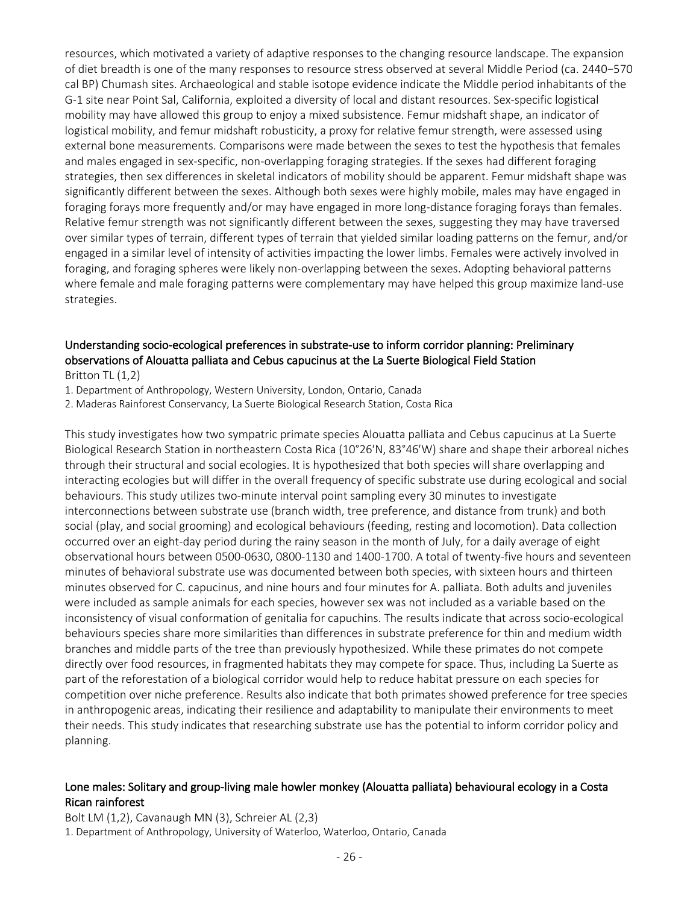resources, which motivated a variety of adaptive responses to the changing resource landscape. The expansion of diet breadth is one of the many responses to resource stress observed at several Middle Period (ca. 2440−570 cal BP) Chumash sites. Archaeological and stable isotope evidence indicate the Middle period inhabitants of the G-1 site near Point Sal, California, exploited a diversity of local and distant resources. Sex-specific logistical mobility may have allowed this group to enjoy a mixed subsistence. Femur midshaft shape, an indicator of logistical mobility, and femur midshaft robusticity, a proxy for relative femur strength, were assessed using external bone measurements. Comparisons were made between the sexes to test the hypothesis that females and males engaged in sex-specific, non-overlapping foraging strategies. If the sexes had different foraging strategies, then sex differences in skeletal indicators of mobility should be apparent. Femur midshaft shape was significantly different between the sexes. Although both sexes were highly mobile, males may have engaged in foraging forays more frequently and/or may have engaged in more long-distance foraging forays than females. Relative femur strength was not significantly different between the sexes, suggesting they may have traversed over similar types of terrain, different types of terrain that yielded similar loading patterns on the femur, and/or engaged in a similar level of intensity of activities impacting the lower limbs. Females were actively involved in foraging, and foraging spheres were likely non-overlapping between the sexes. Adopting behavioral patterns where female and male foraging patterns were complementary may have helped this group maximize land-use strategies.

# Understanding socio-ecological preferences in substrate-use to inform corridor planning: Preliminary observations of Alouatta palliata and Cebus capucinus at the La Suerte Biological Field Station

Britton TL (1,2)

1. Department of Anthropology, Western University, London, Ontario, Canada

2. Maderas Rainforest Conservancy, La Suerte Biological Research Station, Costa Rica

This study investigates how two sympatric primate species Alouatta palliata and Cebus capucinus at La Suerte Biological Research Station in northeastern Costa Rica (10°26ʹN, 83°46ʹW) share and shape their arboreal niches through their structural and social ecologies. It is hypothesized that both species will share overlapping and interacting ecologies but will differ in the overall frequency of specific substrate use during ecological and social behaviours. This study utilizes two-minute interval point sampling every 30 minutes to investigate interconnections between substrate use (branch width, tree preference, and distance from trunk) and both social (play, and social grooming) and ecological behaviours (feeding, resting and locomotion). Data collection occurred over an eight-day period during the rainy season in the month of July, for a daily average of eight observational hours between 0500-0630, 0800-1130 and 1400-1700. A total of twenty-five hours and seventeen minutes of behavioral substrate use was documented between both species, with sixteen hours and thirteen minutes observed for C. capucinus, and nine hours and four minutes for A. palliata. Both adults and juveniles were included as sample animals for each species, however sex was not included as a variable based on the inconsistency of visual conformation of genitalia for capuchins. The results indicate that across socio-ecological behaviours species share more similarities than differences in substrate preference for thin and medium width branches and middle parts of the tree than previously hypothesized. While these primates do not compete directly over food resources, in fragmented habitats they may compete for space. Thus, including La Suerte as part of the reforestation of a biological corridor would help to reduce habitat pressure on each species for competition over niche preference. Results also indicate that both primates showed preference for tree species in anthropogenic areas, indicating their resilience and adaptability to manipulate their environments to meet their needs. This study indicates that researching substrate use has the potential to inform corridor policy and planning.

#### Lone males: Solitary and group-living male howler monkey (Alouatta palliata) behavioural ecology in a Costa Rican rainforest

Bolt LM (1,2), Cavanaugh MN (3), Schreier AL (2,3) 1. Department of Anthropology, University of Waterloo, Waterloo, Ontario, Canada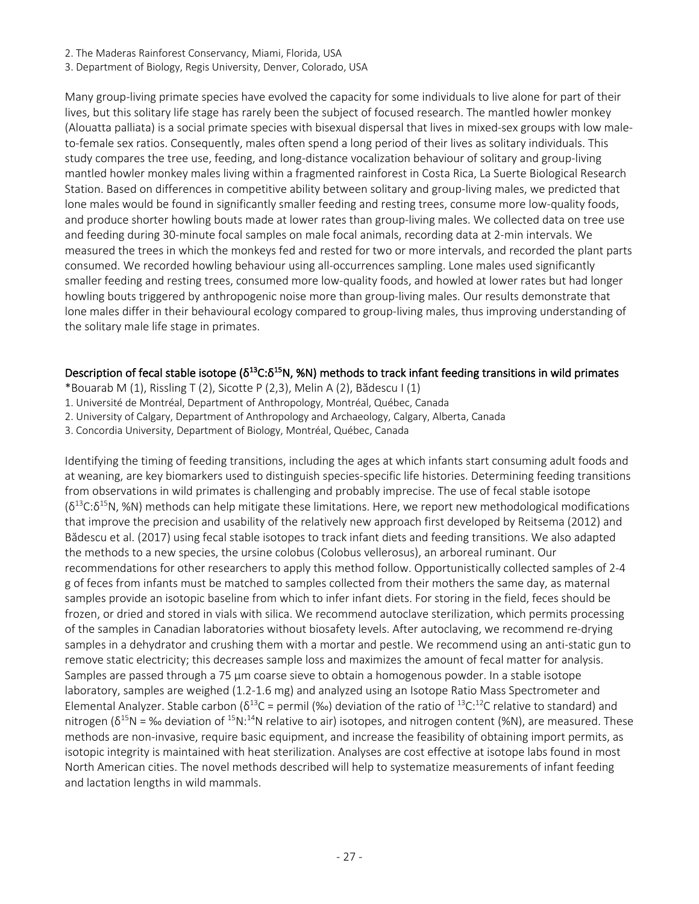- 2. The Maderas Rainforest Conservancy, Miami, Florida, USA
- 3. Department of Biology, Regis University, Denver, Colorado, USA

Many group-living primate species have evolved the capacity for some individuals to live alone for part of their lives, but this solitary life stage has rarely been the subject of focused research. The mantled howler monkey (Alouatta palliata) is a social primate species with bisexual dispersal that lives in mixed-sex groups with low maleto-female sex ratios. Consequently, males often spend a long period of their lives as solitary individuals. This study compares the tree use, feeding, and long-distance vocalization behaviour of solitary and group-living mantled howler monkey males living within a fragmented rainforest in Costa Rica, La Suerte Biological Research Station. Based on differences in competitive ability between solitary and group-living males, we predicted that lone males would be found in significantly smaller feeding and resting trees, consume more low-quality foods, and produce shorter howling bouts made at lower rates than group-living males. We collected data on tree use and feeding during 30-minute focal samples on male focal animals, recording data at 2-min intervals. We measured the trees in which the monkeys fed and rested for two or more intervals, and recorded the plant parts consumed. We recorded howling behaviour using all-occurrences sampling. Lone males used significantly smaller feeding and resting trees, consumed more low-quality foods, and howled at lower rates but had longer howling bouts triggered by anthropogenic noise more than group-living males. Our results demonstrate that lone males differ in their behavioural ecology compared to group-living males, thus improving understanding of the solitary male life stage in primates.

#### Description of fecal stable isotope ( $\delta^{13}C:\delta^{15}N$ , %N) methods to track infant feeding transitions in wild primates

- \*Bouarab M (1), Rissling T (2), Sicotte P (2,3), Melin A (2), Bădescu I (1)
- 1. Université de Montréal, Department of Anthropology, Montréal, Québec, Canada
- 2. University of Calgary, Department of Anthropology and Archaeology, Calgary, Alberta, Canada
- 3. Concordia University, Department of Biology, Montréal, Québec, Canada

Identifying the timing of feeding transitions, including the ages at which infants start consuming adult foods and at weaning, are key biomarkers used to distinguish species-specific life histories. Determining feeding transitions from observations in wild primates is challenging and probably imprecise. The use of fecal stable isotope  $(\delta^{13}C:\delta^{15}N,$  %N) methods can help mitigate these limitations. Here, we report new methodological modifications that improve the precision and usability of the relatively new approach first developed by Reitsema (2012) and Bădescu et al. (2017) using fecal stable isotopes to track infant diets and feeding transitions. We also adapted the methods to a new species, the ursine colobus (Colobus vellerosus), an arboreal ruminant. Our recommendations for other researchers to apply this method follow. Opportunistically collected samples of 2-4 g of feces from infants must be matched to samples collected from their mothers the same day, as maternal samples provide an isotopic baseline from which to infer infant diets. For storing in the field, feces should be frozen, or dried and stored in vials with silica. We recommend autoclave sterilization, which permits processing of the samples in Canadian laboratories without biosafety levels. After autoclaving, we recommend re-drying samples in a dehydrator and crushing them with a mortar and pestle. We recommend using an anti-static gun to remove static electricity; this decreases sample loss and maximizes the amount of fecal matter for analysis. Samples are passed through a 75 μm coarse sieve to obtain a homogenous powder. In a stable isotope laboratory, samples are weighed (1.2-1.6 mg) and analyzed using an Isotope Ratio Mass Spectrometer and Elemental Analyzer. Stable carbon ( $\delta^{13}C$  = permil (‰) deviation of the ratio of  $^{13}C$ :<sup>12</sup>C relative to standard) and nitrogen ( $\delta^{15}N$  = ‰ deviation of  $^{15}N$ :<sup>14</sup>N relative to air) isotopes, and nitrogen content (%N), are measured. These methods are non-invasive, require basic equipment, and increase the feasibility of obtaining import permits, as isotopic integrity is maintained with heat sterilization. Analyses are cost effective at isotope labs found in most North American cities. The novel methods described will help to systematize measurements of infant feeding and lactation lengths in wild mammals.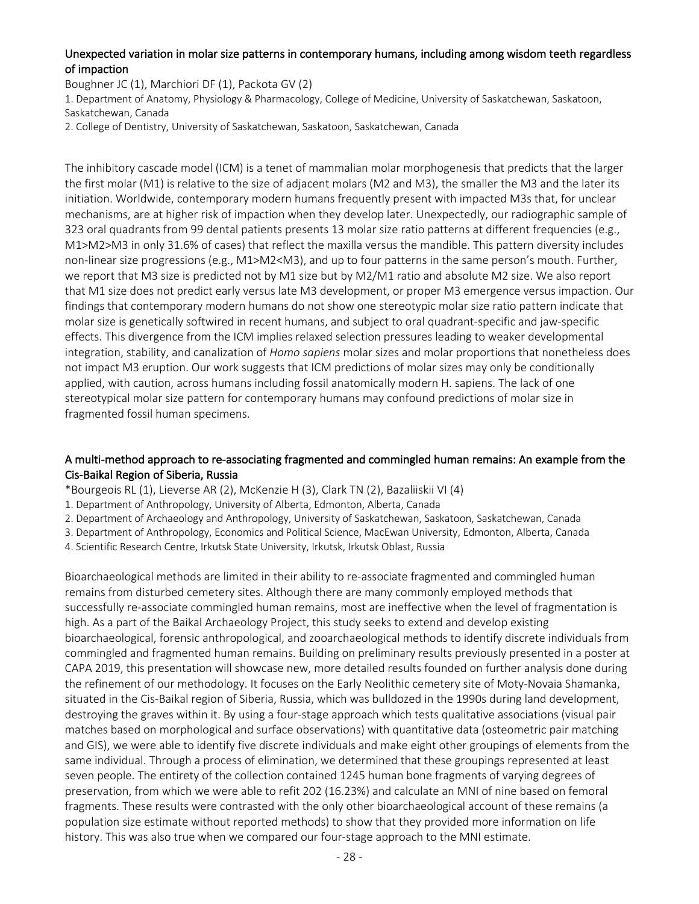#### Unexpected variation in molar size patterns in contemporary humans, including among wisdom teeth regardless of impaction

Boughner JC (1), Marchiori DF (1), Packota GV (2)

1. Department of Anatomy, Physiology & Pharmacology, College of Medicine, University of Saskatchewan, Saskatoon, Saskatchewan, Canada

2. College of Dentistry, University of Saskatchewan, Saskatoon, Saskatchewan, Canada

The inhibitory cascade model (ICM) is a tenet of mammalian molar morphogenesis that predicts that the larger the first molar (M1) is relative to the size of adjacent molars (M2 and M3), the smaller the M3 and the later its initiation. Worldwide, contemporary modern humans frequently present with impacted M3s that, for unclear mechanisms, are at higher risk of impaction when they develop later. Unexpectedly, our radiographic sample of 323 oral quadrants from 99 dental patients presents 13 molar size ratio patterns at different frequencies (e.g., M1>M2>M3 in only 31.6% of cases) that reflect the maxilla versus the mandible. This pattern diversity includes non-linear size progressions (e.g., M1>M2<M3), and up to four patterns in the same person's mouth. Further, we report that M3 size is predicted not by M1 size but by M2/M1 ratio and absolute M2 size. We also report that M1 size does not predict early versus late M3 development, or proper M3 emergence versus impaction. Our findings that contemporary modern humans do not show one stereotypic molar size ratio pattern indicate that molar size is genetically softwired in recent humans, and subject to oral quadrant-specific and jaw-specific effects. This divergence from the ICM implies relaxed selection pressures leading to weaker developmental integration, stability, and canalization of *Homo sapiens* molar sizes and molar proportions that nonetheless does not impact M3 eruption. Our work suggests that ICM predictions of molar sizes may only be conditionally applied, with caution, across humans including fossil anatomically modern H. sapiens. The lack of one stereotypical molar size pattern for contemporary humans may confound predictions of molar size in fragmented fossil human specimens.

#### A multi-method approach to re-associating fragmented and commingled human remains: An example from the Cis-Baikal Region of Siberia, Russia

- \*Bourgeois RL (1), Lieverse AR (2), McKenzie H (3), Clark TN (2), Bazaliiskii VI (4)
- 1. Department of Anthropology, University of Alberta, Edmonton, Alberta, Canada
- 2. Department of Archaeology and Anthropology, University of Saskatchewan, Saskatoon, Saskatchewan, Canada
- 3. Department of Anthropology, Economics and Political Science, MacEwan University, Edmonton, Alberta, Canada

4. Scientific Research Centre, Irkutsk State University, Irkutsk, Irkutsk Oblast, Russia

Bioarchaeological methods are limited in their ability to re-associate fragmented and commingled human remains from disturbed cemetery sites. Although there are many commonly employed methods that successfully re-associate commingled human remains, most are ineffective when the level of fragmentation is high. As a part of the Baikal Archaeology Project, this study seeks to extend and develop existing bioarchaeological, forensic anthropological, and zooarchaeological methods to identify discrete individuals from commingled and fragmented human remains. Building on preliminary results previously presented in a poster at CAPA 2019, this presentation will showcase new, more detailed results founded on further analysis done during the refinement of our methodology. It focuses on the Early Neolithic cemetery site of Moty-Novaia Shamanka, situated in the Cis-Baikal region of Siberia, Russia, which was bulldozed in the 1990s during land development, destroying the graves within it. By using a four-stage approach which tests qualitative associations (visual pair matches based on morphological and surface observations) with quantitative data (osteometric pair matching and GIS), we were able to identify five discrete individuals and make eight other groupings of elements from the same individual. Through a process of elimination, we determined that these groupings represented at least seven people. The entirety of the collection contained 1245 human bone fragments of varying degrees of preservation, from which we were able to refit 202 (16.23%) and calculate an MNI of nine based on femoral fragments. These results were contrasted with the only other bioarchaeological account of these remains (a population size estimate without reported methods) to show that they provided more information on life history. This was also true when we compared our four-stage approach to the MNI estimate.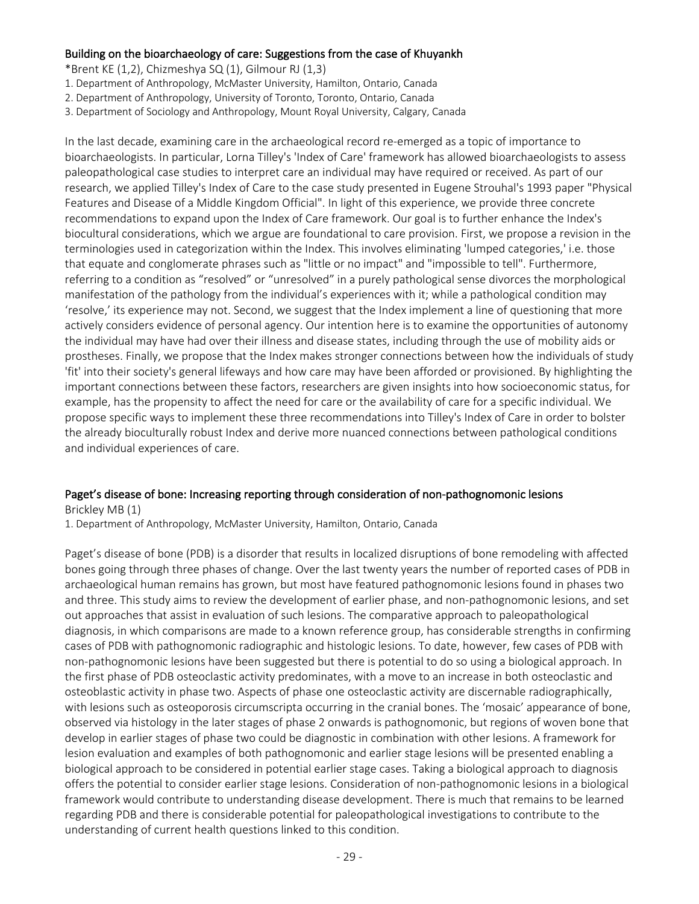#### Building on the bioarchaeology of care: Suggestions from the case of Khuyankh

\*Brent KE (1,2), Chizmeshya SQ (1), Gilmour RJ (1,3)

- 1. Department of Anthropology, McMaster University, Hamilton, Ontario, Canada
- 2. Department of Anthropology, University of Toronto, Toronto, Ontario, Canada
- 3. Department of Sociology and Anthropology, Mount Royal University, Calgary, Canada

In the last decade, examining care in the archaeological record re-emerged as a topic of importance to bioarchaeologists. In particular, Lorna Tilley's 'Index of Care' framework has allowed bioarchaeologists to assess paleopathological case studies to interpret care an individual may have required or received. As part of our research, we applied Tilley's Index of Care to the case study presented in Eugene Strouhal's 1993 paper "Physical Features and Disease of a Middle Kingdom Official". In light of this experience, we provide three concrete recommendations to expand upon the Index of Care framework. Our goal is to further enhance the Index's biocultural considerations, which we argue are foundational to care provision. First, we propose a revision in the terminologies used in categorization within the Index. This involves eliminating 'lumped categories,' i.e. those that equate and conglomerate phrases such as "little or no impact" and "impossible to tell". Furthermore, referring to a condition as "resolved" or "unresolved" in a purely pathological sense divorces the morphological manifestation of the pathology from the individual's experiences with it; while a pathological condition may 'resolve,' its experience may not. Second, we suggest that the Index implement a line of questioning that more actively considers evidence of personal agency. Our intention here is to examine the opportunities of autonomy the individual may have had over their illness and disease states, including through the use of mobility aids or prostheses. Finally, we propose that the Index makes stronger connections between how the individuals of study 'fit' into their society's general lifeways and how care may have been afforded or provisioned. By highlighting the important connections between these factors, researchers are given insights into how socioeconomic status, for example, has the propensity to affect the need for care or the availability of care for a specific individual. We propose specific ways to implement these three recommendations into Tilley's Index of Care in order to bolster the already bioculturally robust Index and derive more nuanced connections between pathological conditions and individual experiences of care.

#### Paget's disease of bone: Increasing reporting through consideration of non-pathognomonic lesions

Brickley MB (1)

1. Department of Anthropology, McMaster University, Hamilton, Ontario, Canada

Paget's disease of bone (PDB) is a disorder that results in localized disruptions of bone remodeling with affected bones going through three phases of change. Over the last twenty years the number of reported cases of PDB in archaeological human remains has grown, but most have featured pathognomonic lesions found in phases two and three. This study aims to review the development of earlier phase, and non-pathognomonic lesions, and set out approaches that assist in evaluation of such lesions. The comparative approach to paleopathological diagnosis, in which comparisons are made to a known reference group, has considerable strengths in confirming cases of PDB with pathognomonic radiographic and histologic lesions. To date, however, few cases of PDB with non-pathognomonic lesions have been suggested but there is potential to do so using a biological approach. In the first phase of PDB osteoclastic activity predominates, with a move to an increase in both osteoclastic and osteoblastic activity in phase two. Aspects of phase one osteoclastic activity are discernable radiographically, with lesions such as osteoporosis circumscripta occurring in the cranial bones. The 'mosaic' appearance of bone, observed via histology in the later stages of phase 2 onwards is pathognomonic, but regions of woven bone that develop in earlier stages of phase two could be diagnostic in combination with other lesions. A framework for lesion evaluation and examples of both pathognomonic and earlier stage lesions will be presented enabling a biological approach to be considered in potential earlier stage cases. Taking a biological approach to diagnosis offers the potential to consider earlier stage lesions. Consideration of non-pathognomonic lesions in a biological framework would contribute to understanding disease development. There is much that remains to be learned regarding PDB and there is considerable potential for paleopathological investigations to contribute to the understanding of current health questions linked to this condition.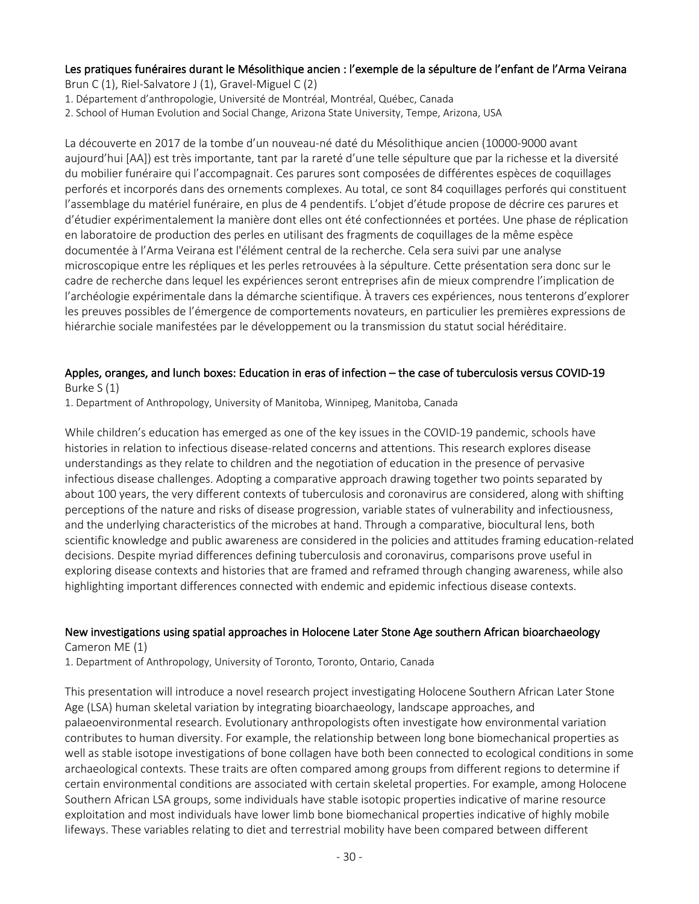# Les pratiques funéraires durant le Mésolithique ancien : l'exemple de la sépulture de l'enfant de l'Arma Veirana

Brun C (1), Riel-Salvatore J (1), Gravel-Miguel C (2)

1. Département d'anthropologie, Université de Montréal, Montréal, Québec, Canada

2. School of Human Evolution and Social Change, Arizona State University, Tempe, Arizona, USA

La découverte en 2017 de la tombe d'un nouveau-né daté du Mésolithique ancien (10000-9000 avant aujourd'hui [AA]) est très importante, tant par la rareté d'une telle sépulture que par la richesse et la diversité du mobilier funéraire qui l'accompagnait. Ces parures sont composées de différentes espèces de coquillages perforés et incorporés dans des ornements complexes. Au total, ce sont 84 coquillages perforés qui constituent l'assemblage du matériel funéraire, en plus de 4 pendentifs. L'objet d'étude propose de décrire ces parures et d'étudier expérimentalement la manière dont elles ont été confectionnées et portées. Une phase de réplication en laboratoire de production des perles en utilisant des fragments de coquillages de la même espèce documentée à l'Arma Veirana est l'élément central de la recherche. Cela sera suivi par une analyse microscopique entre les répliques et les perles retrouvées à la sépulture. Cette présentation sera donc sur le cadre de recherche dans lequel les expériences seront entreprises afin de mieux comprendre l'implication de l'archéologie expérimentale dans la démarche scientifique. À travers ces expériences, nous tenterons d'explorer les preuves possibles de l'émergence de comportements novateurs, en particulier les premières expressions de hiérarchie sociale manifestées par le développement ou la transmission du statut social héréditaire.

#### Apples, oranges, and lunch boxes: Education in eras of infection – the case of tuberculosis versus COVID-19 Burke S (1)

1. Department of Anthropology, University of Manitoba, Winnipeg, Manitoba, Canada

While children's education has emerged as one of the key issues in the COVID-19 pandemic, schools have histories in relation to infectious disease-related concerns and attentions. This research explores disease understandings as they relate to children and the negotiation of education in the presence of pervasive infectious disease challenges. Adopting a comparative approach drawing together two points separated by about 100 years, the very different contexts of tuberculosis and coronavirus are considered, along with shifting perceptions of the nature and risks of disease progression, variable states of vulnerability and infectiousness, and the underlying characteristics of the microbes at hand. Through a comparative, biocultural lens, both scientific knowledge and public awareness are considered in the policies and attitudes framing education-related decisions. Despite myriad differences defining tuberculosis and coronavirus, comparisons prove useful in exploring disease contexts and histories that are framed and reframed through changing awareness, while also highlighting important differences connected with endemic and epidemic infectious disease contexts.

### New investigations using spatial approaches in Holocene Later Stone Age southern African bioarchaeology

Cameron ME (1)

1. Department of Anthropology, University of Toronto, Toronto, Ontario, Canada

This presentation will introduce a novel research project investigating Holocene Southern African Later Stone Age (LSA) human skeletal variation by integrating bioarchaeology, landscape approaches, and palaeoenvironmental research. Evolutionary anthropologists often investigate how environmental variation contributes to human diversity. For example, the relationship between long bone biomechanical properties as well as stable isotope investigations of bone collagen have both been connected to ecological conditions in some archaeological contexts. These traits are often compared among groups from different regions to determine if certain environmental conditions are associated with certain skeletal properties. For example, among Holocene Southern African LSA groups, some individuals have stable isotopic properties indicative of marine resource exploitation and most individuals have lower limb bone biomechanical properties indicative of highly mobile lifeways. These variables relating to diet and terrestrial mobility have been compared between different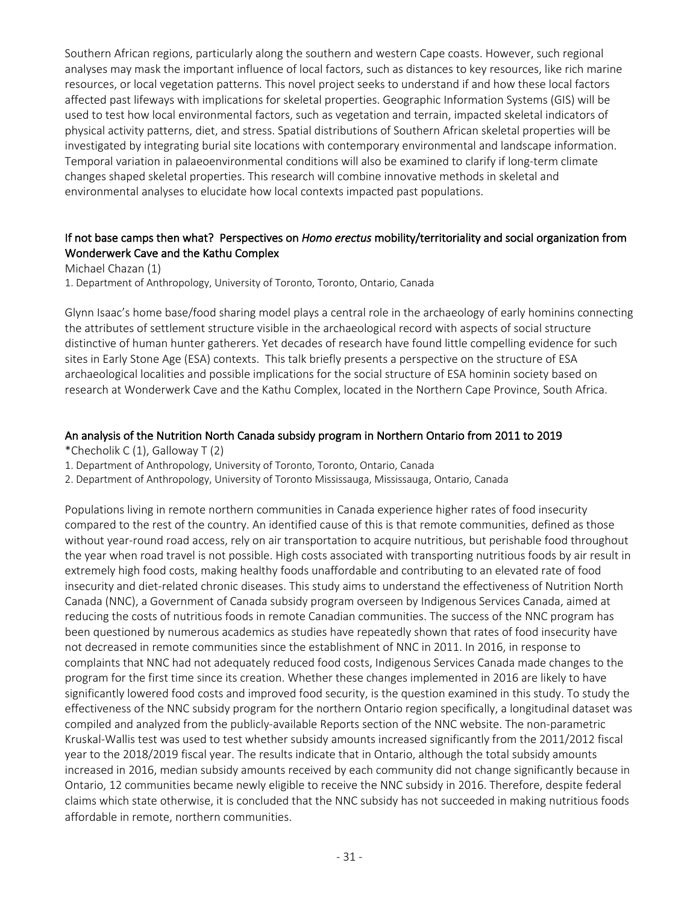Southern African regions, particularly along the southern and western Cape coasts. However, such regional analyses may mask the important influence of local factors, such as distances to key resources, like rich marine resources, or local vegetation patterns. This novel project seeks to understand if and how these local factors affected past lifeways with implications for skeletal properties. Geographic Information Systems (GIS) will be used to test how local environmental factors, such as vegetation and terrain, impacted skeletal indicators of physical activity patterns, diet, and stress. Spatial distributions of Southern African skeletal properties will be investigated by integrating burial site locations with contemporary environmental and landscape information. Temporal variation in palaeoenvironmental conditions will also be examined to clarify if long-term climate changes shaped skeletal properties. This research will combine innovative methods in skeletal and environmental analyses to elucidate how local contexts impacted past populations.

#### If not base camps then what? Perspectives on *Homo erectus* mobility/territoriality and social organization from Wonderwerk Cave and the Kathu Complex

Michael Chazan (1)

1. Department of Anthropology, University of Toronto, Toronto, Ontario, Canada

Glynn Isaac's home base/food sharing model plays a central role in the archaeology of early hominins connecting the attributes of settlement structure visible in the archaeological record with aspects of social structure distinctive of human hunter gatherers. Yet decades of research have found little compelling evidence for such sites in Early Stone Age (ESA) contexts. This talk briefly presents a perspective on the structure of ESA archaeological localities and possible implications for the social structure of ESA hominin society based on research at Wonderwerk Cave and the Kathu Complex, located in the Northern Cape Province, South Africa.

#### An analysis of the Nutrition North Canada subsidy program in Northern Ontario from 2011 to 2019

\*Checholik C (1), Galloway T (2)

1. Department of Anthropology, University of Toronto, Toronto, Ontario, Canada

2. Department of Anthropology, University of Toronto Mississauga, Mississauga, Ontario, Canada

Populations living in remote northern communities in Canada experience higher rates of food insecurity compared to the rest of the country. An identified cause of this is that remote communities, defined as those without year-round road access, rely on air transportation to acquire nutritious, but perishable food throughout the year when road travel is not possible. High costs associated with transporting nutritious foods by air result in extremely high food costs, making healthy foods unaffordable and contributing to an elevated rate of food insecurity and diet-related chronic diseases. This study aims to understand the effectiveness of Nutrition North Canada (NNC), a Government of Canada subsidy program overseen by Indigenous Services Canada, aimed at reducing the costs of nutritious foods in remote Canadian communities. The success of the NNC program has been questioned by numerous academics as studies have repeatedly shown that rates of food insecurity have not decreased in remote communities since the establishment of NNC in 2011. In 2016, in response to complaints that NNC had not adequately reduced food costs, Indigenous Services Canada made changes to the program for the first time since its creation. Whether these changes implemented in 2016 are likely to have significantly lowered food costs and improved food security, is the question examined in this study. To study the effectiveness of the NNC subsidy program for the northern Ontario region specifically, a longitudinal dataset was compiled and analyzed from the publicly-available Reports section of the NNC website. The non-parametric Kruskal-Wallis test was used to test whether subsidy amounts increased significantly from the 2011/2012 fiscal year to the 2018/2019 fiscal year. The results indicate that in Ontario, although the total subsidy amounts increased in 2016, median subsidy amounts received by each community did not change significantly because in Ontario, 12 communities became newly eligible to receive the NNC subsidy in 2016. Therefore, despite federal claims which state otherwise, it is concluded that the NNC subsidy has not succeeded in making nutritious foods affordable in remote, northern communities.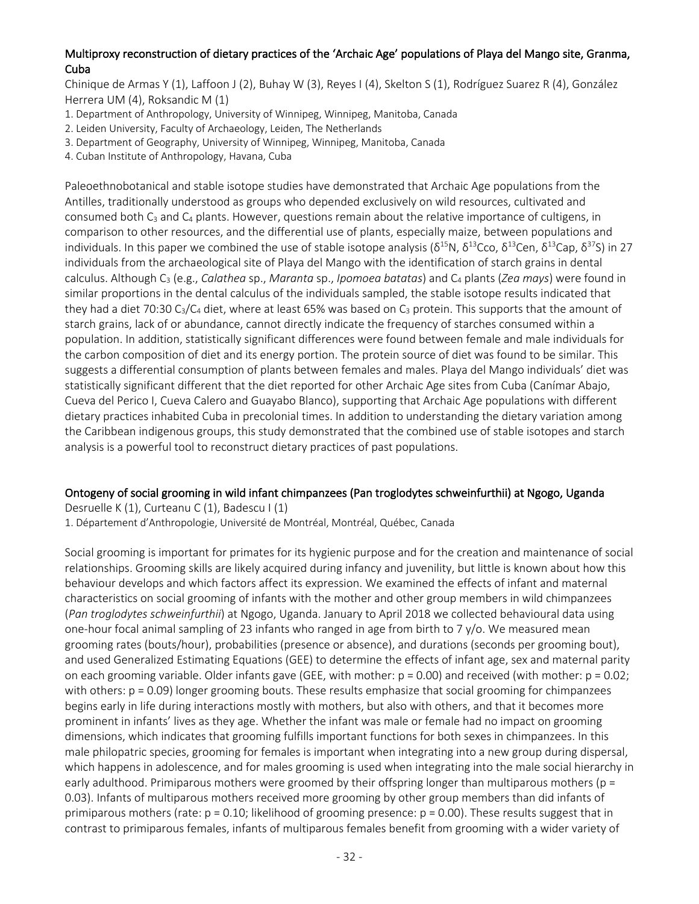#### Multiproxy reconstruction of dietary practices of the 'Archaic Age' populations of Playa del Mango site, Granma, Cuba

Chinique de Armas Y (1), Laffoon J (2), Buhay W (3), Reyes I (4), Skelton S (1), Rodríguez Suarez R (4), González Herrera UM (4), Roksandic M (1)

- 1. Department of Anthropology, University of Winnipeg, Winnipeg, Manitoba, Canada
- 2. Leiden University, Faculty of Archaeology, Leiden, The Netherlands
- 3. Department of Geography, University of Winnipeg, Winnipeg, Manitoba, Canada
- 4. Cuban Institute of Anthropology, Havana, Cuba

Paleoethnobotanical and stable isotope studies have demonstrated that Archaic Age populations from the Antilles, traditionally understood as groups who depended exclusively on wild resources, cultivated and consumed both  $C_3$  and  $C_4$  plants. However, questions remain about the relative importance of cultigens, in comparison to other resources, and the differential use of plants, especially maize, between populations and individuals. In this paper we combined the use of stable isotope analysis ( $\delta^{15}N$ ,  $\delta^{13}C$ co,  $\delta^{13}C$ en,  $\delta^{13}C$ ap,  $\delta^{37}S$ ) in 27 individuals from the archaeological site of Playa del Mango with the identification of starch grains in dental calculus. Although C3 (e.g., *Calathea* sp., *Maranta* sp., *Ipomoea batatas*) and C4 plants (*Zea mays*) were found in similar proportions in the dental calculus of the individuals sampled, the stable isotope results indicated that they had a diet 70:30 C<sub>3</sub>/C<sub>4</sub> diet, where at least 65% was based on C<sub>3</sub> protein. This supports that the amount of starch grains, lack of or abundance, cannot directly indicate the frequency of starches consumed within a population. In addition, statistically significant differences were found between female and male individuals for the carbon composition of diet and its energy portion. The protein source of diet was found to be similar. This suggests a differential consumption of plants between females and males. Playa del Mango individuals' diet was statistically significant different that the diet reported for other Archaic Age sites from Cuba (Canímar Abajo, Cueva del Perico I, Cueva Calero and Guayabo Blanco), supporting that Archaic Age populations with different dietary practices inhabited Cuba in precolonial times. In addition to understanding the dietary variation among the Caribbean indigenous groups, this study demonstrated that the combined use of stable isotopes and starch analysis is a powerful tool to reconstruct dietary practices of past populations.

# Ontogeny of social grooming in wild infant chimpanzees (Pan troglodytes schweinfurthii) at Ngogo, Uganda

Desruelle K (1), Curteanu C (1), Badescu I (1)

1. Département d'Anthropologie, Université de Montréal, Montréal, Québec, Canada

Social grooming is important for primates for its hygienic purpose and for the creation and maintenance of social relationships. Grooming skills are likely acquired during infancy and juvenility, but little is known about how this behaviour develops and which factors affect its expression. We examined the effects of infant and maternal characteristics on social grooming of infants with the mother and other group members in wild chimpanzees (*Pan troglodytes schweinfurthii*) at Ngogo, Uganda. January to April 2018 we collected behavioural data using one-hour focal animal sampling of 23 infants who ranged in age from birth to 7 y/o. We measured mean grooming rates (bouts/hour), probabilities (presence or absence), and durations (seconds per grooming bout), and used Generalized Estimating Equations (GEE) to determine the effects of infant age, sex and maternal parity on each grooming variable. Older infants gave (GEE, with mother:  $p = 0.00$ ) and received (with mother:  $p = 0.02$ ; with others:  $p = 0.09$ ) longer grooming bouts. These results emphasize that social grooming for chimpanzees begins early in life during interactions mostly with mothers, but also with others, and that it becomes more prominent in infants' lives as they age. Whether the infant was male or female had no impact on grooming dimensions, which indicates that grooming fulfills important functions for both sexes in chimpanzees. In this male philopatric species, grooming for females is important when integrating into a new group during dispersal, which happens in adolescence, and for males grooming is used when integrating into the male social hierarchy in early adulthood. Primiparous mothers were groomed by their offspring longer than multiparous mothers (p = 0.03). Infants of multiparous mothers received more grooming by other group members than did infants of primiparous mothers (rate:  $p = 0.10$ ; likelihood of grooming presence:  $p = 0.00$ ). These results suggest that in contrast to primiparous females, infants of multiparous females benefit from grooming with a wider variety of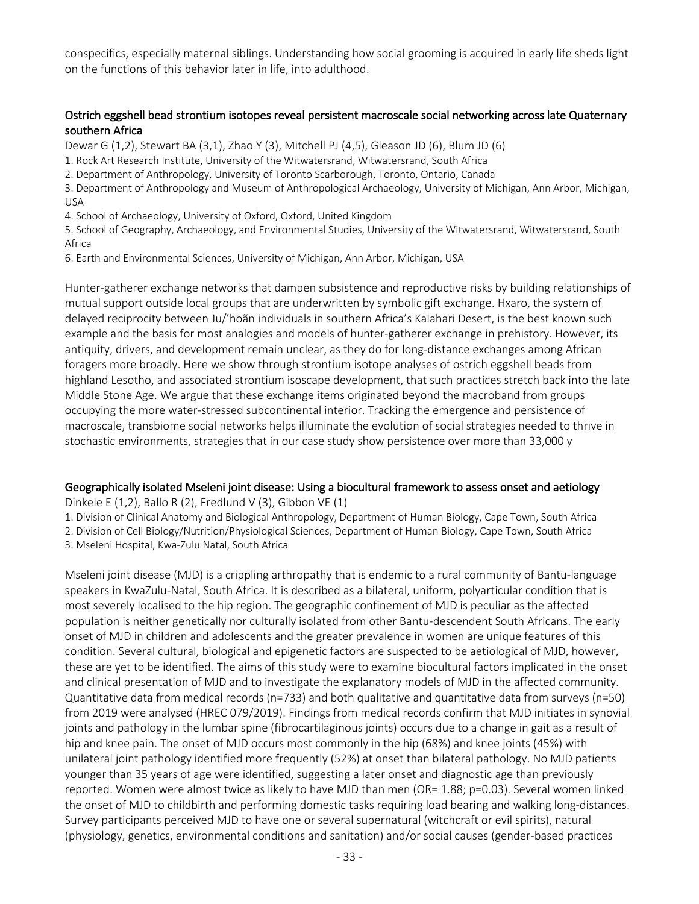conspecifics, especially maternal siblings. Understanding how social grooming is acquired in early life sheds light on the functions of this behavior later in life, into adulthood.

#### Ostrich eggshell bead strontium isotopes reveal persistent macroscale social networking across late Quaternary southern Africa

Dewar G (1,2), Stewart BA (3,1), Zhao Y (3), Mitchell PJ (4,5), Gleason JD (6), Blum JD (6)

1. Rock Art Research Institute, University of the Witwatersrand, Witwatersrand, South Africa

2. Department of Anthropology, University of Toronto Scarborough, Toronto, Ontario, Canada

3. Department of Anthropology and Museum of Anthropological Archaeology, University of Michigan, Ann Arbor, Michigan, USA

4. School of Archaeology, University of Oxford, Oxford, United Kingdom

5. School of Geography, Archaeology, and Environmental Studies, University of the Witwatersrand, Witwatersrand, South Africa

6. Earth and Environmental Sciences, University of Michigan, Ann Arbor, Michigan, USA

Hunter-gatherer exchange networks that dampen subsistence and reproductive risks by building relationships of mutual support outside local groups that are underwritten by symbolic gift exchange. Hxaro, the system of delayed reciprocity between Ju/'hoãn individuals in southern Africa's Kalahari Desert, is the best known such example and the basis for most analogies and models of hunter-gatherer exchange in prehistory. However, its antiquity, drivers, and development remain unclear, as they do for long-distance exchanges among African foragers more broadly. Here we show through strontium isotope analyses of ostrich eggshell beads from highland Lesotho, and associated strontium isoscape development, that such practices stretch back into the late Middle Stone Age. We argue that these exchange items originated beyond the macroband from groups occupying the more water-stressed subcontinental interior. Tracking the emergence and persistence of macroscale, transbiome social networks helps illuminate the evolution of social strategies needed to thrive in stochastic environments, strategies that in our case study show persistence over more than 33,000 y

#### Geographically isolated Mseleni joint disease: Using a biocultural framework to assess onset and aetiology

Dinkele E (1,2), Ballo R (2), Fredlund V (3), Gibbon VE (1)

1. Division of Clinical Anatomy and Biological Anthropology, Department of Human Biology, Cape Town, South Africa

2. Division of Cell Biology/Nutrition/Physiological Sciences, Department of Human Biology, Cape Town, South Africa

3. Mseleni Hospital, Kwa-Zulu Natal, South Africa

Mseleni joint disease (MJD) is a crippling arthropathy that is endemic to a rural community of Bantu-language speakers in KwaZulu-Natal, South Africa. It is described as a bilateral, uniform, polyarticular condition that is most severely localised to the hip region. The geographic confinement of MJD is peculiar as the affected population is neither genetically nor culturally isolated from other Bantu-descendent South Africans. The early onset of MJD in children and adolescents and the greater prevalence in women are unique features of this condition. Several cultural, biological and epigenetic factors are suspected to be aetiological of MJD, however, these are yet to be identified. The aims of this study were to examine biocultural factors implicated in the onset and clinical presentation of MJD and to investigate the explanatory models of MJD in the affected community. Quantitative data from medical records (n=733) and both qualitative and quantitative data from surveys (n=50) from 2019 were analysed (HREC 079/2019). Findings from medical records confirm that MJD initiates in synovial joints and pathology in the lumbar spine (fibrocartilaginous joints) occurs due to a change in gait as a result of hip and knee pain. The onset of MJD occurs most commonly in the hip (68%) and knee joints (45%) with unilateral joint pathology identified more frequently (52%) at onset than bilateral pathology. No MJD patients younger than 35 years of age were identified, suggesting a later onset and diagnostic age than previously reported. Women were almost twice as likely to have MJD than men (OR= 1.88; p=0.03). Several women linked the onset of MJD to childbirth and performing domestic tasks requiring load bearing and walking long-distances. Survey participants perceived MJD to have one or several supernatural (witchcraft or evil spirits), natural (physiology, genetics, environmental conditions and sanitation) and/or social causes (gender-based practices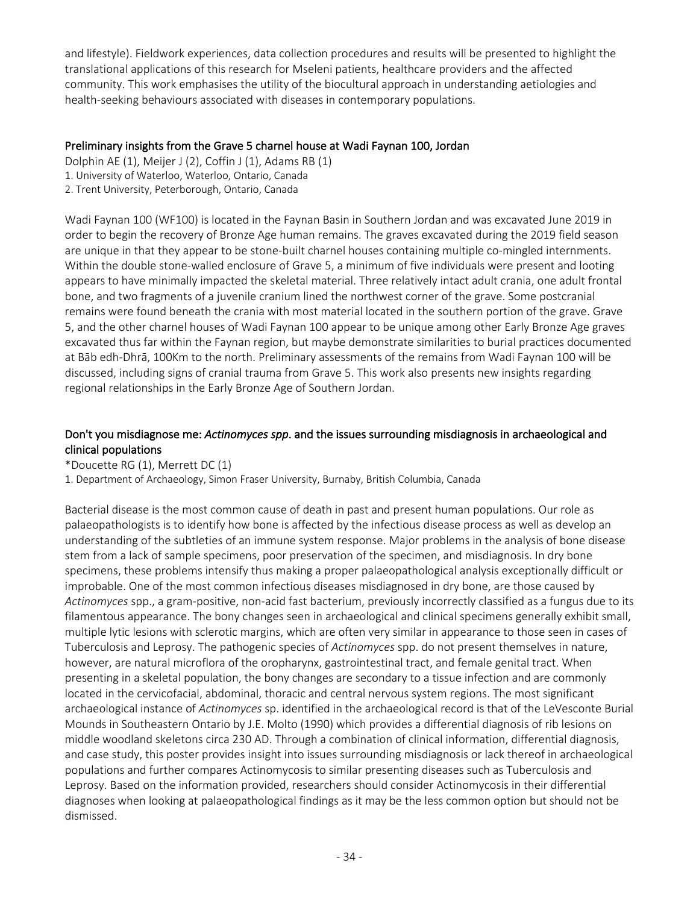and lifestyle). Fieldwork experiences, data collection procedures and results will be presented to highlight the translational applications of this research for Mseleni patients, healthcare providers and the affected community. This work emphasises the utility of the biocultural approach in understanding aetiologies and health-seeking behaviours associated with diseases in contemporary populations.

#### Preliminary insights from the Grave 5 charnel house at Wadi Faynan 100, Jordan

Dolphin AE (1), Meijer J (2), Coffin J (1), Adams RB (1)

- 1. University of Waterloo, Waterloo, Ontario, Canada
- 2. Trent University, Peterborough, Ontario, Canada

Wadi Faynan 100 (WF100) is located in the Faynan Basin in Southern Jordan and was excavated June 2019 in order to begin the recovery of Bronze Age human remains. The graves excavated during the 2019 field season are unique in that they appear to be stone-built charnel houses containing multiple co-mingled internments. Within the double stone-walled enclosure of Grave 5, a minimum of five individuals were present and looting appears to have minimally impacted the skeletal material. Three relatively intact adult crania, one adult frontal bone, and two fragments of a juvenile cranium lined the northwest corner of the grave. Some postcranial remains were found beneath the crania with most material located in the southern portion of the grave. Grave 5, and the other charnel houses of Wadi Faynan 100 appear to be unique among other Early Bronze Age graves excavated thus far within the Faynan region, but maybe demonstrate similarities to burial practices documented at Bāb edh-Dhrā, 100Km to the north. Preliminary assessments of the remains from Wadi Faynan 100 will be discussed, including signs of cranial trauma from Grave 5. This work also presents new insights regarding regional relationships in the Early Bronze Age of Southern Jordan.

#### Don't you misdiagnose me: *Actinomyces spp*. and the issues surrounding misdiagnosis in archaeological and clinical populations

\*Doucette RG (1), Merrett DC (1)

1. Department of Archaeology, Simon Fraser University, Burnaby, British Columbia, Canada

Bacterial disease is the most common cause of death in past and present human populations. Our role as palaeopathologists is to identify how bone is affected by the infectious disease process as well as develop an understanding of the subtleties of an immune system response. Major problems in the analysis of bone disease stem from a lack of sample specimens, poor preservation of the specimen, and misdiagnosis. In dry bone specimens, these problems intensify thus making a proper palaeopathological analysis exceptionally difficult or improbable. One of the most common infectious diseases misdiagnosed in dry bone, are those caused by *Actinomyces* spp., a gram-positive, non-acid fast bacterium, previously incorrectly classified as a fungus due to its filamentous appearance. The bony changes seen in archaeological and clinical specimens generally exhibit small, multiple lytic lesions with sclerotic margins, which are often very similar in appearance to those seen in cases of Tuberculosis and Leprosy. The pathogenic species of *Actinomyces* spp. do not present themselves in nature, however, are natural microflora of the oropharynx, gastrointestinal tract, and female genital tract. When presenting in a skeletal population, the bony changes are secondary to a tissue infection and are commonly located in the cervicofacial, abdominal, thoracic and central nervous system regions. The most significant archaeological instance of *Actinomyces* sp. identified in the archaeological record is that of the LeVesconte Burial Mounds in Southeastern Ontario by J.E. Molto (1990) which provides a differential diagnosis of rib lesions on middle woodland skeletons circa 230 AD. Through a combination of clinical information, differential diagnosis, and case study, this poster provides insight into issues surrounding misdiagnosis or lack thereof in archaeological populations and further compares Actinomycosis to similar presenting diseases such as Tuberculosis and Leprosy. Based on the information provided, researchers should consider Actinomycosis in their differential diagnoses when looking at palaeopathological findings as it may be the less common option but should not be dismissed.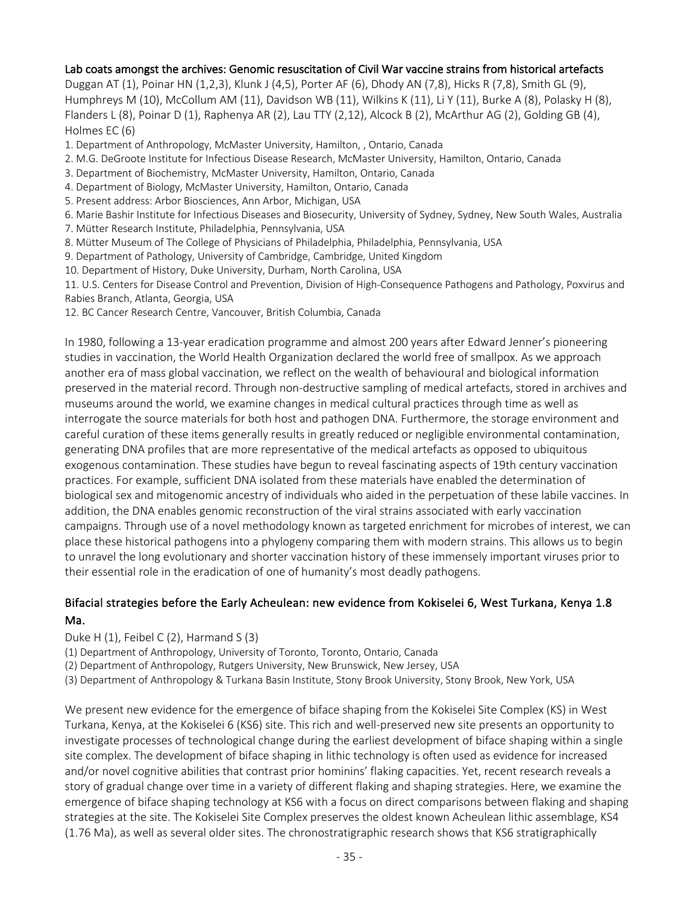#### Lab coats amongst the archives: Genomic resuscitation of Civil War vaccine strains from historical artefacts

Duggan AT (1), Poinar HN (1,2,3), Klunk J (4,5), Porter AF (6), Dhody AN (7,8), Hicks R (7,8), Smith GL (9), Humphreys M (10), McCollum AM (11), Davidson WB (11), Wilkins K (11), Li Y (11), Burke A (8), Polasky H (8), Flanders L (8), Poinar D (1), Raphenya AR (2), Lau TTY (2,12), Alcock B (2), McArthur AG (2), Golding GB (4), Holmes EC (6)

- 1. Department of Anthropology, McMaster University, Hamilton, , Ontario, Canada
- 2. M.G. DeGroote Institute for Infectious Disease Research, McMaster University, Hamilton, Ontario, Canada
- 3. Department of Biochemistry, McMaster University, Hamilton, Ontario, Canada
- 4. Department of Biology, McMaster University, Hamilton, Ontario, Canada
- 5. Present address: Arbor Biosciences, Ann Arbor, Michigan, USA
- 6. Marie Bashir Institute for Infectious Diseases and Biosecurity, University of Sydney, Sydney, New South Wales, Australia
- 7. Mütter Research Institute, Philadelphia, Pennsylvania, USA
- 8. Mütter Museum of The College of Physicians of Philadelphia, Philadelphia, Pennsylvania, USA
- 9. Department of Pathology, University of Cambridge, Cambridge, United Kingdom
- 10. Department of History, Duke University, Durham, North Carolina, USA

11. U.S. Centers for Disease Control and Prevention, Division of High-Consequence Pathogens and Pathology, Poxvirus and Rabies Branch, Atlanta, Georgia, USA

12. BC Cancer Research Centre, Vancouver, British Columbia, Canada

In 1980, following a 13-year eradication programme and almost 200 years after Edward Jenner's pioneering studies in vaccination, the World Health Organization declared the world free of smallpox. As we approach another era of mass global vaccination, we reflect on the wealth of behavioural and biological information preserved in the material record. Through non-destructive sampling of medical artefacts, stored in archives and museums around the world, we examine changes in medical cultural practices through time as well as interrogate the source materials for both host and pathogen DNA. Furthermore, the storage environment and careful curation of these items generally results in greatly reduced or negligible environmental contamination, generating DNA profiles that are more representative of the medical artefacts as opposed to ubiquitous exogenous contamination. These studies have begun to reveal fascinating aspects of 19th century vaccination practices. For example, sufficient DNA isolated from these materials have enabled the determination of biological sex and mitogenomic ancestry of individuals who aided in the perpetuation of these labile vaccines. In addition, the DNA enables genomic reconstruction of the viral strains associated with early vaccination campaigns. Through use of a novel methodology known as targeted enrichment for microbes of interest, we can place these historical pathogens into a phylogeny comparing them with modern strains. This allows us to begin to unravel the long evolutionary and shorter vaccination history of these immensely important viruses prior to their essential role in the eradication of one of humanity's most deadly pathogens.

#### Bifacial strategies before the Early Acheulean: new evidence from Kokiselei 6, West Turkana, Kenya 1.8 Ma.

Duke H  $(1)$ , Feibel C  $(2)$ , Harmand S  $(3)$ 

(1) Department of Anthropology, University of Toronto, Toronto, Ontario, Canada

(2) Department of Anthropology, Rutgers University, New Brunswick, New Jersey, USA

(3) Department of Anthropology & Turkana Basin Institute, Stony Brook University, Stony Brook, New York, USA

We present new evidence for the emergence of biface shaping from the Kokiselei Site Complex (KS) in West Turkana, Kenya, at the Kokiselei 6 (KS6) site. This rich and well-preserved new site presents an opportunity to investigate processes of technological change during the earliest development of biface shaping within a single site complex. The development of biface shaping in lithic technology is often used as evidence for increased and/or novel cognitive abilities that contrast prior hominins' flaking capacities. Yet, recent research reveals a story of gradual change over time in a variety of different flaking and shaping strategies. Here, we examine the emergence of biface shaping technology at KS6 with a focus on direct comparisons between flaking and shaping strategies at the site. The Kokiselei Site Complex preserves the oldest known Acheulean lithic assemblage, KS4 (1.76 Ma), as well as several older sites. The chronostratigraphic research shows that KS6 stratigraphically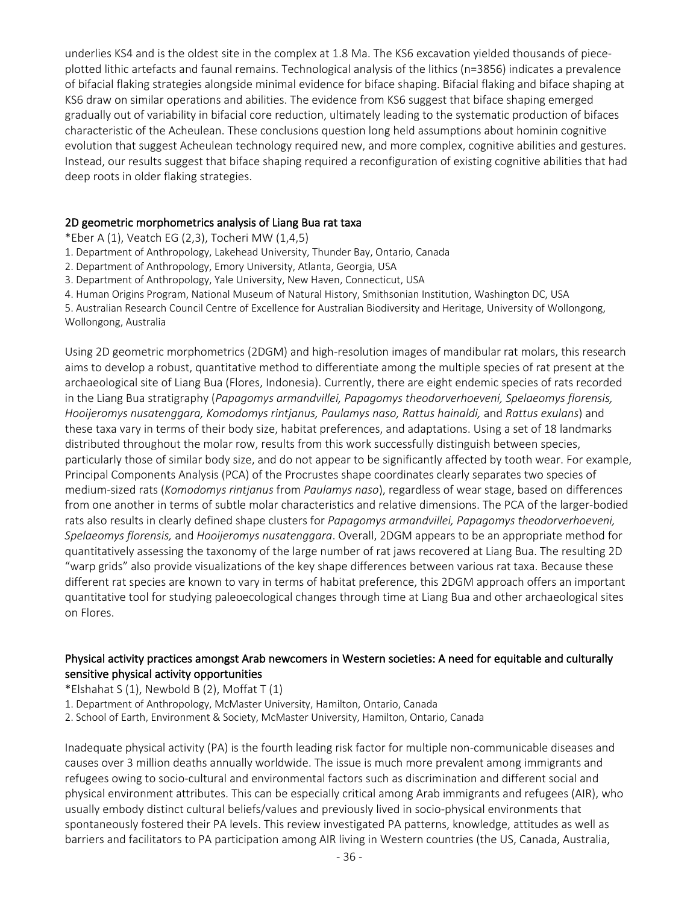underlies KS4 and is the oldest site in the complex at 1.8 Ma. The KS6 excavation yielded thousands of pieceplotted lithic artefacts and faunal remains. Technological analysis of the lithics (n=3856) indicates a prevalence of bifacial flaking strategies alongside minimal evidence for biface shaping. Bifacial flaking and biface shaping at KS6 draw on similar operations and abilities. The evidence from KS6 suggest that biface shaping emerged gradually out of variability in bifacial core reduction, ultimately leading to the systematic production of bifaces characteristic of the Acheulean. These conclusions question long held assumptions about hominin cognitive evolution that suggest Acheulean technology required new, and more complex, cognitive abilities and gestures. Instead, our results suggest that biface shaping required a reconfiguration of existing cognitive abilities that had deep roots in older flaking strategies.

#### 2D geometric morphometrics analysis of Liang Bua rat taxa

\*Eber A (1), Veatch EG (2,3), Tocheri MW (1,4,5)

1. Department of Anthropology, Lakehead University, Thunder Bay, Ontario, Canada

2. Department of Anthropology, Emory University, Atlanta, Georgia, USA

3. Department of Anthropology, Yale University, New Haven, Connecticut, USA

4. Human Origins Program, National Museum of Natural History, Smithsonian Institution, Washington DC, USA

5. Australian Research Council Centre of Excellence for Australian Biodiversity and Heritage, University of Wollongong, Wollongong, Australia

Using 2D geometric morphometrics (2DGM) and high-resolution images of mandibular rat molars, this research aims to develop a robust, quantitative method to differentiate among the multiple species of rat present at the archaeological site of Liang Bua (Flores, Indonesia). Currently, there are eight endemic species of rats recorded in the Liang Bua stratigraphy (*Papagomys armandvillei, Papagomys theodorverhoeveni, Spelaeomys florensis, Hooijeromys nusatenggara, Komodomys rintjanus, Paulamys naso, Rattus hainaldi,* and *Rattus exulans*) and these taxa vary in terms of their body size, habitat preferences, and adaptations. Using a set of 18 landmarks distributed throughout the molar row, results from this work successfully distinguish between species, particularly those of similar body size, and do not appear to be significantly affected by tooth wear. For example, Principal Components Analysis (PCA) of the Procrustes shape coordinates clearly separates two species of medium-sized rats (*Komodomys rintjanus* from *Paulamys naso*), regardless of wear stage, based on differences from one another in terms of subtle molar characteristics and relative dimensions. The PCA of the larger-bodied rats also results in clearly defined shape clusters for *Papagomys armandvillei, Papagomys theodorverhoeveni, Spelaeomys florensis,* and *Hooijeromys nusatenggara*. Overall, 2DGM appears to be an appropriate method for quantitatively assessing the taxonomy of the large number of rat jaws recovered at Liang Bua. The resulting 2D "warp grids" also provide visualizations of the key shape differences between various rat taxa. Because these different rat species are known to vary in terms of habitat preference, this 2DGM approach offers an important quantitative tool for studying paleoecological changes through time at Liang Bua and other archaeological sites on Flores.

#### Physical activity practices amongst Arab newcomers in Western societies: A need for equitable and culturally sensitive physical activity opportunities

\*Elshahat S (1), Newbold B (2), Moffat T (1)

1. Department of Anthropology, McMaster University, Hamilton, Ontario, Canada

2. School of Earth, Environment & Society, McMaster University, Hamilton, Ontario, Canada

Inadequate physical activity (PA) is the fourth leading risk factor for multiple non-communicable diseases and causes over 3 million deaths annually worldwide. The issue is much more prevalent among immigrants and refugees owing to socio-cultural and environmental factors such as discrimination and different social and physical environment attributes. This can be especially critical among Arab immigrants and refugees (AIR), who usually embody distinct cultural beliefs/values and previously lived in socio-physical environments that spontaneously fostered their PA levels. This review investigated PA patterns, knowledge, attitudes as well as barriers and facilitators to PA participation among AIR living in Western countries (the US, Canada, Australia,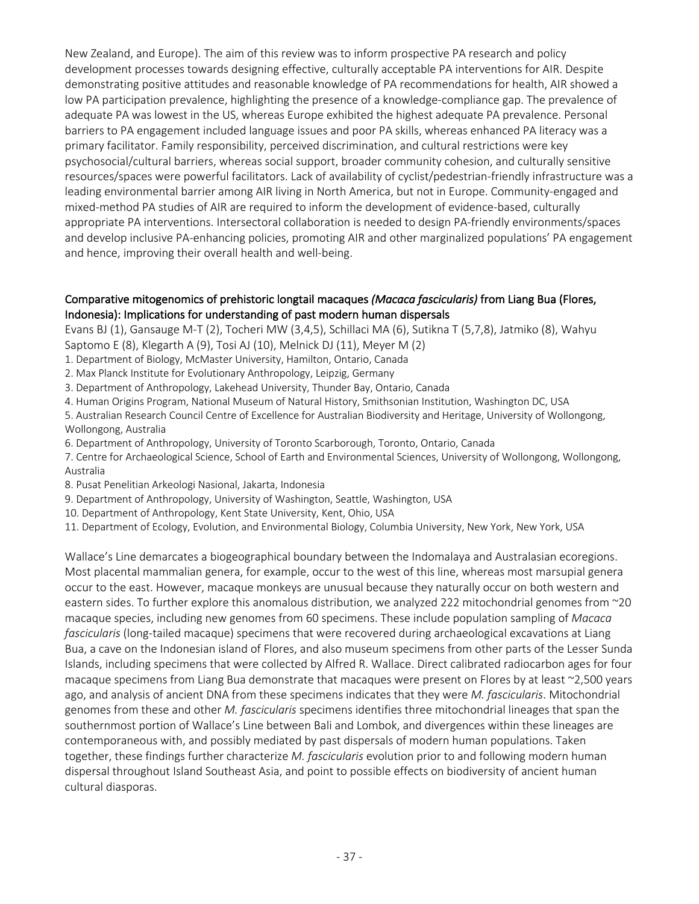New Zealand, and Europe). The aim of this review was to inform prospective PA research and policy development processes towards designing effective, culturally acceptable PA interventions for AIR. Despite demonstrating positive attitudes and reasonable knowledge of PA recommendations for health, AIR showed a low PA participation prevalence, highlighting the presence of a knowledge-compliance gap. The prevalence of adequate PA was lowest in the US, whereas Europe exhibited the highest adequate PA prevalence. Personal barriers to PA engagement included language issues and poor PA skills, whereas enhanced PA literacy was a primary facilitator. Family responsibility, perceived discrimination, and cultural restrictions were key psychosocial/cultural barriers, whereas social support, broader community cohesion, and culturally sensitive resources/spaces were powerful facilitators. Lack of availability of cyclist/pedestrian-friendly infrastructure was a leading environmental barrier among AIR living in North America, but not in Europe. Community-engaged and mixed-method PA studies of AIR are required to inform the development of evidence-based, culturally appropriate PA interventions. Intersectoral collaboration is needed to design PA-friendly environments/spaces and develop inclusive PA-enhancing policies, promoting AIR and other marginalized populations' PA engagement and hence, improving their overall health and well-being.

## Comparative mitogenomics of prehistoric longtail macaques *(Macaca fascicularis)* from Liang Bua (Flores, Indonesia): Implications for understanding of past modern human dispersals

Evans BJ (1), Gansauge M-T (2), Tocheri MW (3,4,5), Schillaci MA (6), Sutikna T (5,7,8), Jatmiko (8), Wahyu Saptomo E (8), Klegarth A (9), Tosi AJ (10), Melnick DJ (11), Meyer M (2)

- 1. Department of Biology, McMaster University, Hamilton, Ontario, Canada
- 2. Max Planck Institute for Evolutionary Anthropology, Leipzig, Germany
- 3. Department of Anthropology, Lakehead University, Thunder Bay, Ontario, Canada
- 4. Human Origins Program, National Museum of Natural History, Smithsonian Institution, Washington DC, USA

5. Australian Research Council Centre of Excellence for Australian Biodiversity and Heritage, University of Wollongong, Wollongong, Australia

- 6. Department of Anthropology, University of Toronto Scarborough, Toronto, Ontario, Canada
- 7. Centre for Archaeological Science, School of Earth and Environmental Sciences, University of Wollongong, Wollongong, Australia
- 8. Pusat Penelitian Arkeologi Nasional, Jakarta, Indonesia
- 9. Department of Anthropology, University of Washington, Seattle, Washington, USA
- 10. Department of Anthropology, Kent State University, Kent, Ohio, USA
- 11. Department of Ecology, Evolution, and Environmental Biology, Columbia University, New York, New York, USA

Wallace's Line demarcates a biogeographical boundary between the Indomalaya and Australasian ecoregions. Most placental mammalian genera, for example, occur to the west of this line, whereas most marsupial genera occur to the east. However, macaque monkeys are unusual because they naturally occur on both western and eastern sides. To further explore this anomalous distribution, we analyzed 222 mitochondrial genomes from ~20 macaque species, including new genomes from 60 specimens. These include population sampling of *Macaca fascicularis* (long-tailed macaque) specimens that were recovered during archaeological excavations at Liang Bua, a cave on the Indonesian island of Flores, and also museum specimens from other parts of the Lesser Sunda Islands, including specimens that were collected by Alfred R. Wallace. Direct calibrated radiocarbon ages for four macaque specimens from Liang Bua demonstrate that macaques were present on Flores by at least ~2,500 years ago, and analysis of ancient DNA from these specimens indicates that they were *M. fascicularis*. Mitochondrial genomes from these and other *M. fascicularis* specimens identifies three mitochondrial lineages that span the southernmost portion of Wallace's Line between Bali and Lombok, and divergences within these lineages are contemporaneous with, and possibly mediated by past dispersals of modern human populations. Taken together, these findings further characterize *M. fascicularis* evolution prior to and following modern human dispersal throughout Island Southeast Asia, and point to possible effects on biodiversity of ancient human cultural diasporas.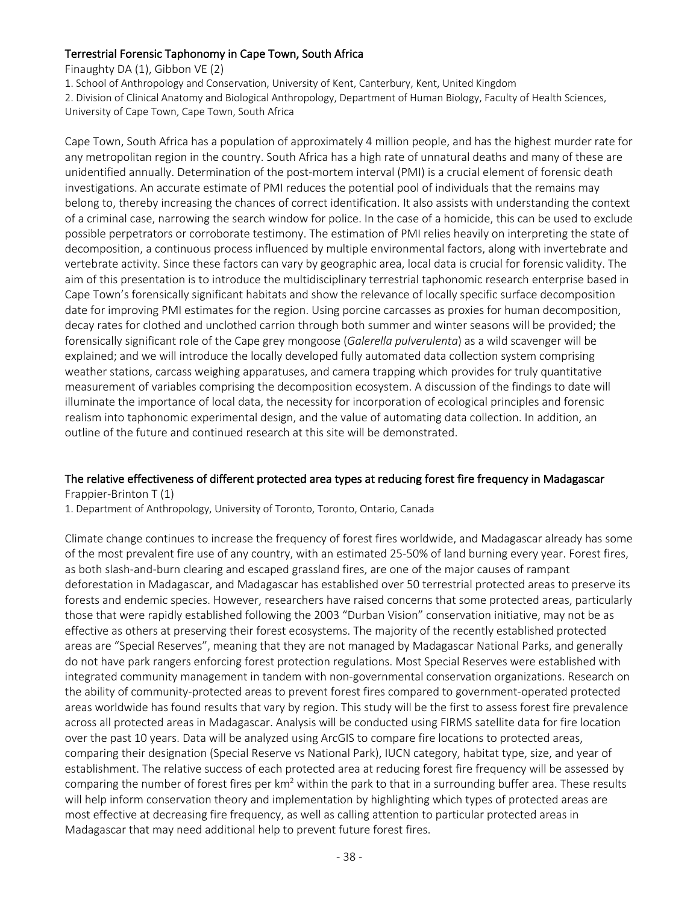# Terrestrial Forensic Taphonomy in Cape Town, South Africa

Finaughty DA (1), Gibbon VE (2)

1. School of Anthropology and Conservation, University of Kent, Canterbury, Kent, United Kingdom

2. Division of Clinical Anatomy and Biological Anthropology, Department of Human Biology, Faculty of Health Sciences,

University of Cape Town, Cape Town, South Africa

Cape Town, South Africa has a population of approximately 4 million people, and has the highest murder rate for any metropolitan region in the country. South Africa has a high rate of unnatural deaths and many of these are unidentified annually. Determination of the post-mortem interval (PMI) is a crucial element of forensic death investigations. An accurate estimate of PMI reduces the potential pool of individuals that the remains may belong to, thereby increasing the chances of correct identification. It also assists with understanding the context of a criminal case, narrowing the search window for police. In the case of a homicide, this can be used to exclude possible perpetrators or corroborate testimony. The estimation of PMI relies heavily on interpreting the state of decomposition, a continuous process influenced by multiple environmental factors, along with invertebrate and vertebrate activity. Since these factors can vary by geographic area, local data is crucial for forensic validity. The aim of this presentation is to introduce the multidisciplinary terrestrial taphonomic research enterprise based in Cape Town's forensically significant habitats and show the relevance of locally specific surface decomposition date for improving PMI estimates for the region. Using porcine carcasses as proxies for human decomposition, decay rates for clothed and unclothed carrion through both summer and winter seasons will be provided; the forensically significant role of the Cape grey mongoose (*Galerella pulverulenta*) as a wild scavenger will be explained; and we will introduce the locally developed fully automated data collection system comprising weather stations, carcass weighing apparatuses, and camera trapping which provides for truly quantitative measurement of variables comprising the decomposition ecosystem. A discussion of the findings to date will illuminate the importance of local data, the necessity for incorporation of ecological principles and forensic realism into taphonomic experimental design, and the value of automating data collection. In addition, an outline of the future and continued research at this site will be demonstrated.

# The relative effectiveness of different protected area types at reducing forest fire frequency in Madagascar

Frappier-Brinton T (1)

1. Department of Anthropology, University of Toronto, Toronto, Ontario, Canada

Climate change continues to increase the frequency of forest fires worldwide, and Madagascar already has some of the most prevalent fire use of any country, with an estimated 25-50% of land burning every year. Forest fires, as both slash-and-burn clearing and escaped grassland fires, are one of the major causes of rampant deforestation in Madagascar, and Madagascar has established over 50 terrestrial protected areas to preserve its forests and endemic species. However, researchers have raised concerns that some protected areas, particularly those that were rapidly established following the 2003 "Durban Vision" conservation initiative, may not be as effective as others at preserving their forest ecosystems. The majority of the recently established protected areas are "Special Reserves", meaning that they are not managed by Madagascar National Parks, and generally do not have park rangers enforcing forest protection regulations. Most Special Reserves were established with integrated community management in tandem with non-governmental conservation organizations. Research on the ability of community-protected areas to prevent forest fires compared to government-operated protected areas worldwide has found results that vary by region. This study will be the first to assess forest fire prevalence across all protected areas in Madagascar. Analysis will be conducted using FIRMS satellite data for fire location over the past 10 years. Data will be analyzed using ArcGIS to compare fire locations to protected areas, comparing their designation (Special Reserve vs National Park), IUCN category, habitat type, size, and year of establishment. The relative success of each protected area at reducing forest fire frequency will be assessed by comparing the number of forest fires per  $km^2$  within the park to that in a surrounding buffer area. These results will help inform conservation theory and implementation by highlighting which types of protected areas are most effective at decreasing fire frequency, as well as calling attention to particular protected areas in Madagascar that may need additional help to prevent future forest fires.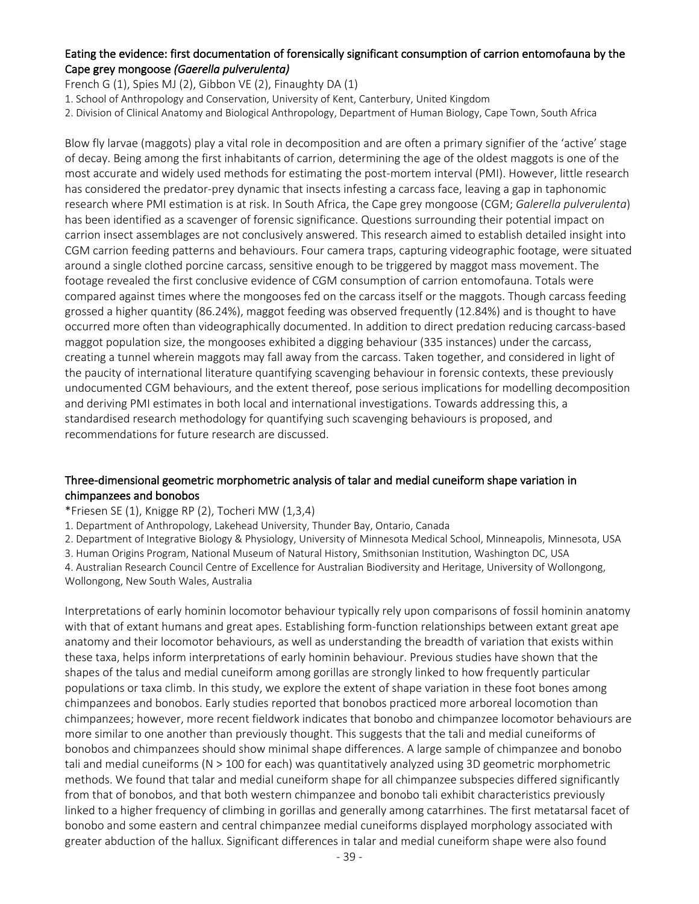## Eating the evidence: first documentation of forensically significant consumption of carrion entomofauna by the Cape grey mongoose *(Gaerella pulverulenta)*

French G (1), Spies MJ (2), Gibbon VE (2), Finaughty DA (1)

- 1. School of Anthropology and Conservation, University of Kent, Canterbury, United Kingdom
- 2. Division of Clinical Anatomy and Biological Anthropology, Department of Human Biology, Cape Town, South Africa

Blow fly larvae (maggots) play a vital role in decomposition and are often a primary signifier of the 'active' stage of decay. Being among the first inhabitants of carrion, determining the age of the oldest maggots is one of the most accurate and widely used methods for estimating the post-mortem interval (PMI). However, little research has considered the predator-prey dynamic that insects infesting a carcass face, leaving a gap in taphonomic research where PMI estimation is at risk. In South Africa, the Cape grey mongoose (CGM; *Galerella pulverulenta*) has been identified as a scavenger of forensic significance. Questions surrounding their potential impact on carrion insect assemblages are not conclusively answered. This research aimed to establish detailed insight into CGM carrion feeding patterns and behaviours. Four camera traps, capturing videographic footage, were situated around a single clothed porcine carcass, sensitive enough to be triggered by maggot mass movement. The footage revealed the first conclusive evidence of CGM consumption of carrion entomofauna. Totals were compared against times where the mongooses fed on the carcass itself or the maggots. Though carcass feeding grossed a higher quantity (86.24%), maggot feeding was observed frequently (12.84%) and is thought to have occurred more often than videographically documented. In addition to direct predation reducing carcass-based maggot population size, the mongooses exhibited a digging behaviour (335 instances) under the carcass, creating a tunnel wherein maggots may fall away from the carcass. Taken together, and considered in light of the paucity of international literature quantifying scavenging behaviour in forensic contexts, these previously undocumented CGM behaviours, and the extent thereof, pose serious implications for modelling decomposition and deriving PMI estimates in both local and international investigations. Towards addressing this, a standardised research methodology for quantifying such scavenging behaviours is proposed, and recommendations for future research are discussed.

## Three-dimensional geometric morphometric analysis of talar and medial cuneiform shape variation in chimpanzees and bonobos

#### \*Friesen SE (1), Knigge RP (2), Tocheri MW (1,3,4)

1. Department of Anthropology, Lakehead University, Thunder Bay, Ontario, Canada

2. Department of Integrative Biology & Physiology, University of Minnesota Medical School, Minneapolis, Minnesota, USA

3. Human Origins Program, National Museum of Natural History, Smithsonian Institution, Washington DC, USA

4. Australian Research Council Centre of Excellence for Australian Biodiversity and Heritage, University of Wollongong, Wollongong, New South Wales, Australia

Interpretations of early hominin locomotor behaviour typically rely upon comparisons of fossil hominin anatomy with that of extant humans and great apes. Establishing form-function relationships between extant great ape anatomy and their locomotor behaviours, as well as understanding the breadth of variation that exists within these taxa, helps inform interpretations of early hominin behaviour. Previous studies have shown that the shapes of the talus and medial cuneiform among gorillas are strongly linked to how frequently particular populations or taxa climb. In this study, we explore the extent of shape variation in these foot bones among chimpanzees and bonobos. Early studies reported that bonobos practiced more arboreal locomotion than chimpanzees; however, more recent fieldwork indicates that bonobo and chimpanzee locomotor behaviours are more similar to one another than previously thought. This suggests that the tali and medial cuneiforms of bonobos and chimpanzees should show minimal shape differences. A large sample of chimpanzee and bonobo tali and medial cuneiforms (N > 100 for each) was quantitatively analyzed using 3D geometric morphometric methods. We found that talar and medial cuneiform shape for all chimpanzee subspecies differed significantly from that of bonobos, and that both western chimpanzee and bonobo tali exhibit characteristics previously linked to a higher frequency of climbing in gorillas and generally among catarrhines. The first metatarsal facet of bonobo and some eastern and central chimpanzee medial cuneiforms displayed morphology associated with greater abduction of the hallux. Significant differences in talar and medial cuneiform shape were also found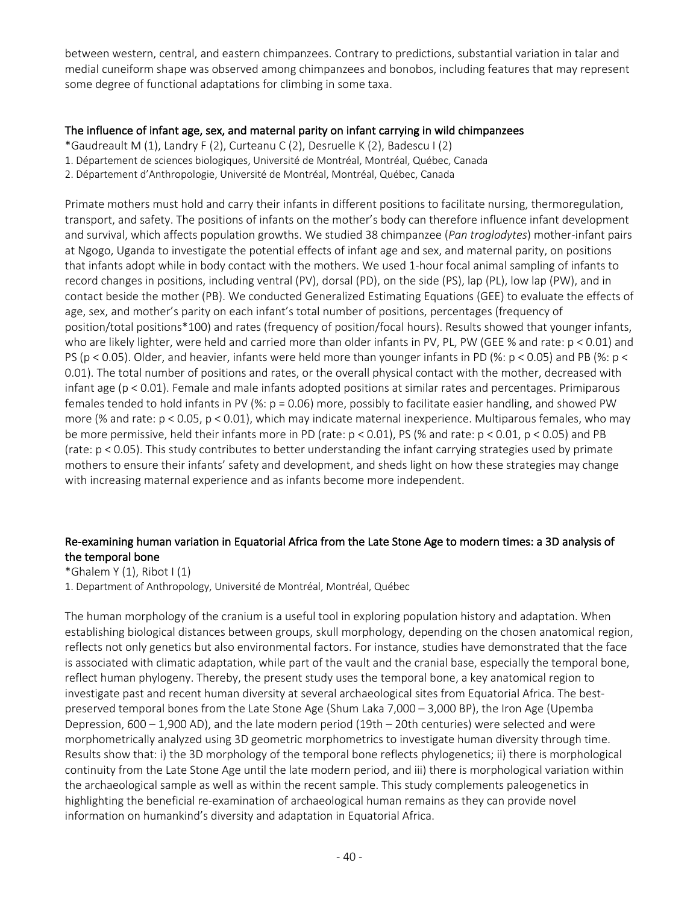between western, central, and eastern chimpanzees. Contrary to predictions, substantial variation in talar and medial cuneiform shape was observed among chimpanzees and bonobos, including features that may represent some degree of functional adaptations for climbing in some taxa.

## The influence of infant age, sex, and maternal parity on infant carrying in wild chimpanzees

- \*Gaudreault M (1), Landry F (2), Curteanu C (2), Desruelle K (2), Badescu I (2)
- 1. Département de sciences biologiques, Université de Montréal, Montréal, Québec, Canada
- 2. Département d'Anthropologie, Université de Montréal, Montréal, Québec, Canada

Primate mothers must hold and carry their infants in different positions to facilitate nursing, thermoregulation, transport, and safety. The positions of infants on the mother's body can therefore influence infant development and survival, which affects population growths. We studied 38 chimpanzee (*Pan troglodytes*) mother-infant pairs at Ngogo, Uganda to investigate the potential effects of infant age and sex, and maternal parity, on positions that infants adopt while in body contact with the mothers. We used 1-hour focal animal sampling of infants to record changes in positions, including ventral (PV), dorsal (PD), on the side (PS), lap (PL), low lap (PW), and in contact beside the mother (PB). We conducted Generalized Estimating Equations (GEE) to evaluate the effects of age, sex, and mother's parity on each infant's total number of positions, percentages (frequency of position/total positions\*100) and rates (frequency of position/focal hours). Results showed that younger infants, who are likely lighter, were held and carried more than older infants in PV, PL, PW (GEE % and rate: p < 0.01) and PS (p < 0.05). Older, and heavier, infants were held more than younger infants in PD (%: p < 0.05) and PB (%: p < 0.01). The total number of positions and rates, or the overall physical contact with the mother, decreased with infant age (p < 0.01). Female and male infants adopted positions at similar rates and percentages. Primiparous females tended to hold infants in PV (%: p = 0.06) more, possibly to facilitate easier handling, and showed PW more (% and rate: p < 0.05, p < 0.01), which may indicate maternal inexperience. Multiparous females, who may be more permissive, held their infants more in PD (rate: p < 0.01), PS (% and rate: p < 0.01, p < 0.05) and PB (rate: p < 0.05). This study contributes to better understanding the infant carrying strategies used by primate mothers to ensure their infants' safety and development, and sheds light on how these strategies may change with increasing maternal experience and as infants become more independent.

# Re-examining human variation in Equatorial Africa from the Late Stone Age to modern times: a 3D analysis of the temporal bone

\*Ghalem Y (1), Ribot I (1)

1. Department of Anthropology, Université de Montréal, Montréal, Québec

The human morphology of the cranium is a useful tool in exploring population history and adaptation. When establishing biological distances between groups, skull morphology, depending on the chosen anatomical region, reflects not only genetics but also environmental factors. For instance, studies have demonstrated that the face is associated with climatic adaptation, while part of the vault and the cranial base, especially the temporal bone, reflect human phylogeny. Thereby, the present study uses the temporal bone, a key anatomical region to investigate past and recent human diversity at several archaeological sites from Equatorial Africa. The bestpreserved temporal bones from the Late Stone Age (Shum Laka 7,000 – 3,000 BP), the Iron Age (Upemba Depression, 600 – 1,900 AD), and the late modern period (19th – 20th centuries) were selected and were morphometrically analyzed using 3D geometric morphometrics to investigate human diversity through time. Results show that: i) the 3D morphology of the temporal bone reflects phylogenetics; ii) there is morphological continuity from the Late Stone Age until the late modern period, and iii) there is morphological variation within the archaeological sample as well as within the recent sample. This study complements paleogenetics in highlighting the beneficial re-examination of archaeological human remains as they can provide novel information on humankind's diversity and adaptation in Equatorial Africa.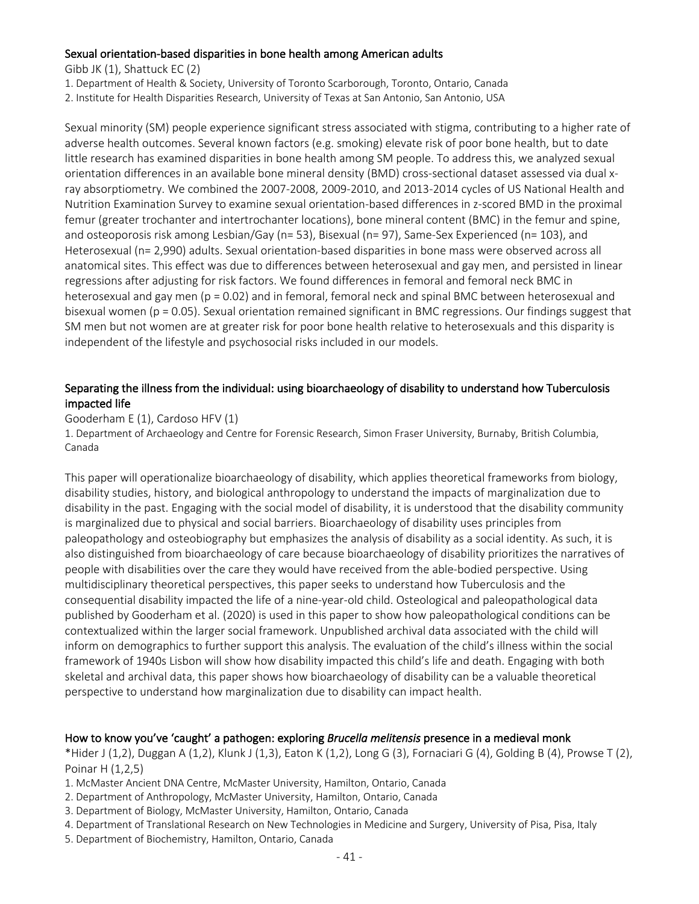#### Sexual orientation-based disparities in bone health among American adults

Gibb JK (1), Shattuck EC (2)

1. Department of Health & Society, University of Toronto Scarborough, Toronto, Ontario, Canada

2. Institute for Health Disparities Research, University of Texas at San Antonio, San Antonio, USA

Sexual minority (SM) people experience significant stress associated with stigma, contributing to a higher rate of adverse health outcomes. Several known factors (e.g. smoking) elevate risk of poor bone health, but to date little research has examined disparities in bone health among SM people. To address this, we analyzed sexual orientation differences in an available bone mineral density (BMD) cross-sectional dataset assessed via dual xray absorptiometry. We combined the 2007-2008, 2009-2010, and 2013-2014 cycles of US National Health and Nutrition Examination Survey to examine sexual orientation-based differences in z-scored BMD in the proximal femur (greater trochanter and intertrochanter locations), bone mineral content (BMC) in the femur and spine, and osteoporosis risk among Lesbian/Gay (n= 53), Bisexual (n= 97), Same-Sex Experienced (n= 103), and Heterosexual (n= 2,990) adults. Sexual orientation-based disparities in bone mass were observed across all anatomical sites. This effect was due to differences between heterosexual and gay men, and persisted in linear regressions after adjusting for risk factors. We found differences in femoral and femoral neck BMC in heterosexual and gay men (p = 0.02) and in femoral, femoral neck and spinal BMC between heterosexual and bisexual women (p = 0.05). Sexual orientation remained significant in BMC regressions. Our findings suggest that SM men but not women are at greater risk for poor bone health relative to heterosexuals and this disparity is independent of the lifestyle and psychosocial risks included in our models.

# Separating the illness from the individual: using bioarchaeology of disability to understand how Tuberculosis impacted life

Gooderham E (1), Cardoso HFV (1)

1. Department of Archaeology and Centre for Forensic Research, Simon Fraser University, Burnaby, British Columbia, Canada

This paper will operationalize bioarchaeology of disability, which applies theoretical frameworks from biology, disability studies, history, and biological anthropology to understand the impacts of marginalization due to disability in the past. Engaging with the social model of disability, it is understood that the disability community is marginalized due to physical and social barriers. Bioarchaeology of disability uses principles from paleopathology and osteobiography but emphasizes the analysis of disability as a social identity. As such, it is also distinguished from bioarchaeology of care because bioarchaeology of disability prioritizes the narratives of people with disabilities over the care they would have received from the able-bodied perspective. Using multidisciplinary theoretical perspectives, this paper seeks to understand how Tuberculosis and the consequential disability impacted the life of a nine-year-old child. Osteological and paleopathological data published by Gooderham et al. (2020) is used in this paper to show how paleopathological conditions can be contextualized within the larger social framework. Unpublished archival data associated with the child will inform on demographics to further support this analysis. The evaluation of the child's illness within the social framework of 1940s Lisbon will show how disability impacted this child's life and death. Engaging with both skeletal and archival data, this paper shows how bioarchaeology of disability can be a valuable theoretical perspective to understand how marginalization due to disability can impact health.

#### How to know you've 'caught' a pathogen: exploring *Brucella melitensis* presence in a medieval monk

\*Hider J (1,2), Duggan A (1,2), Klunk J (1,3), Eaton K (1,2), Long G (3), Fornaciari G (4), Golding B (4), Prowse T (2), Poinar H (1,2,5)

- 1. McMaster Ancient DNA Centre, McMaster University, Hamilton, Ontario, Canada
- 2. Department of Anthropology, McMaster University, Hamilton, Ontario, Canada
- 3. Department of Biology, McMaster University, Hamilton, Ontario, Canada

4. Department of Translational Research on New Technologies in Medicine and Surgery, University of Pisa, Pisa, Italy

5. Department of Biochemistry, Hamilton, Ontario, Canada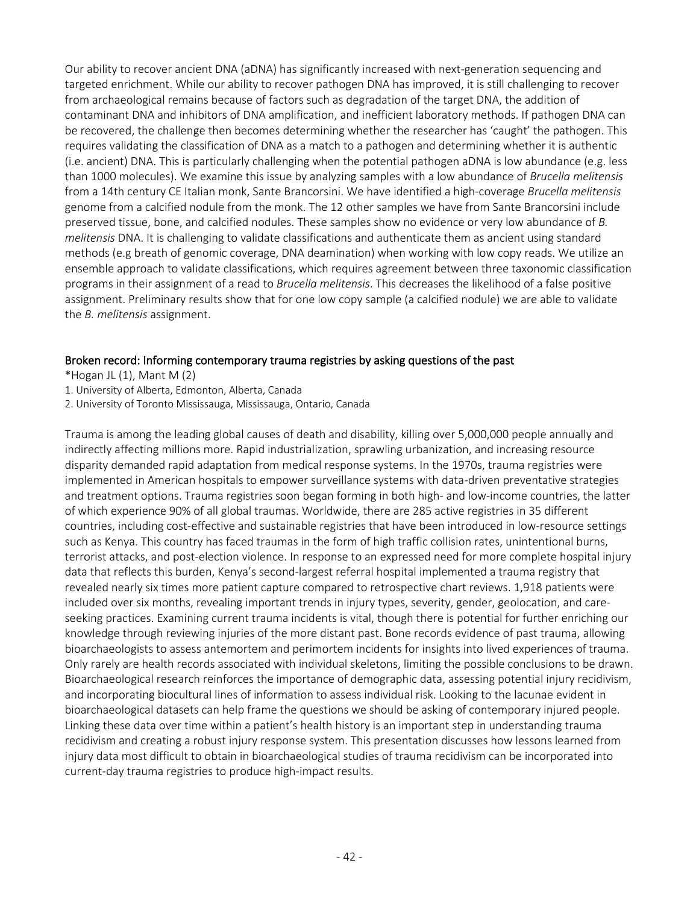Our ability to recover ancient DNA (aDNA) has significantly increased with next-generation sequencing and targeted enrichment. While our ability to recover pathogen DNA has improved, it is still challenging to recover from archaeological remains because of factors such as degradation of the target DNA, the addition of contaminant DNA and inhibitors of DNA amplification, and inefficient laboratory methods. If pathogen DNA can be recovered, the challenge then becomes determining whether the researcher has 'caught' the pathogen. This requires validating the classification of DNA as a match to a pathogen and determining whether it is authentic (i.e. ancient) DNA. This is particularly challenging when the potential pathogen aDNA is low abundance (e.g. less than 1000 molecules). We examine this issue by analyzing samples with a low abundance of *Brucella melitensis* from a 14th century CE Italian monk, Sante Brancorsini. We have identified a high-coverage *Brucella melitensis* genome from a calcified nodule from the monk. The 12 other samples we have from Sante Brancorsini include preserved tissue, bone, and calcified nodules. These samples show no evidence or very low abundance of *B. melitensis* DNA. It is challenging to validate classifications and authenticate them as ancient using standard methods (e.g breath of genomic coverage, DNA deamination) when working with low copy reads. We utilize an ensemble approach to validate classifications, which requires agreement between three taxonomic classification programs in their assignment of a read to *Brucella melitensis*. This decreases the likelihood of a false positive assignment. Preliminary results show that for one low copy sample (a calcified nodule) we are able to validate the *B. melitensis* assignment.

# Broken record: Informing contemporary trauma registries by asking questions of the past

\*Hogan JL $(1)$ , Mant M $(2)$ 

- 1. University of Alberta, Edmonton, Alberta, Canada
- 2. University of Toronto Mississauga, Mississauga, Ontario, Canada

Trauma is among the leading global causes of death and disability, killing over 5,000,000 people annually and indirectly affecting millions more. Rapid industrialization, sprawling urbanization, and increasing resource disparity demanded rapid adaptation from medical response systems. In the 1970s, trauma registries were implemented in American hospitals to empower surveillance systems with data-driven preventative strategies and treatment options. Trauma registries soon began forming in both high- and low-income countries, the latter of which experience 90% of all global traumas. Worldwide, there are 285 active registries in 35 different countries, including cost-effective and sustainable registries that have been introduced in low-resource settings such as Kenya. This country has faced traumas in the form of high traffic collision rates, unintentional burns, terrorist attacks, and post-election violence. In response to an expressed need for more complete hospital injury data that reflects this burden, Kenya's second-largest referral hospital implemented a trauma registry that revealed nearly six times more patient capture compared to retrospective chart reviews. 1,918 patients were included over six months, revealing important trends in injury types, severity, gender, geolocation, and careseeking practices. Examining current trauma incidents is vital, though there is potential for further enriching our knowledge through reviewing injuries of the more distant past. Bone records evidence of past trauma, allowing bioarchaeologists to assess antemortem and perimortem incidents for insights into lived experiences of trauma. Only rarely are health records associated with individual skeletons, limiting the possible conclusions to be drawn. Bioarchaeological research reinforces the importance of demographic data, assessing potential injury recidivism, and incorporating biocultural lines of information to assess individual risk. Looking to the lacunae evident in bioarchaeological datasets can help frame the questions we should be asking of contemporary injured people. Linking these data over time within a patient's health history is an important step in understanding trauma recidivism and creating a robust injury response system. This presentation discusses how lessons learned from injury data most difficult to obtain in bioarchaeological studies of trauma recidivism can be incorporated into current-day trauma registries to produce high-impact results.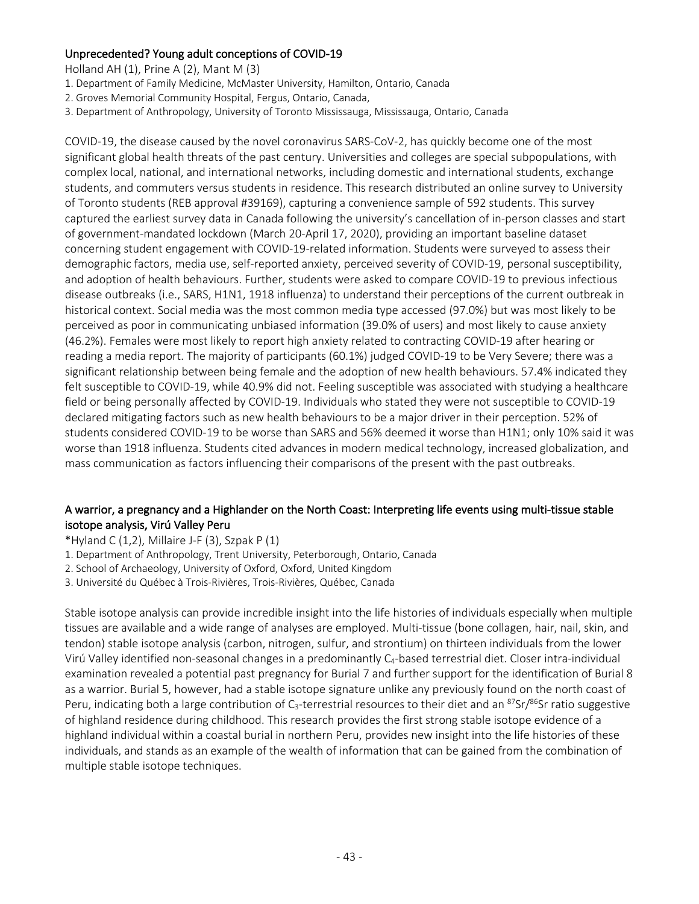# Unprecedented? Young adult conceptions of COVID-19

Holland AH (1), Prine A (2), Mant M (3)

- 1. Department of Family Medicine, McMaster University, Hamilton, Ontario, Canada
- 2. Groves Memorial Community Hospital, Fergus, Ontario, Canada,
- 3. Department of Anthropology, University of Toronto Mississauga, Mississauga, Ontario, Canada

COVID-19, the disease caused by the novel coronavirus SARS-CoV-2, has quickly become one of the most significant global health threats of the past century. Universities and colleges are special subpopulations, with complex local, national, and international networks, including domestic and international students, exchange students, and commuters versus students in residence. This research distributed an online survey to University of Toronto students (REB approval #39169), capturing a convenience sample of 592 students. This survey captured the earliest survey data in Canada following the university's cancellation of in-person classes and start of government-mandated lockdown (March 20-April 17, 2020), providing an important baseline dataset concerning student engagement with COVID-19-related information. Students were surveyed to assess their demographic factors, media use, self-reported anxiety, perceived severity of COVID-19, personal susceptibility, and adoption of health behaviours. Further, students were asked to compare COVID-19 to previous infectious disease outbreaks (i.e., SARS, H1N1, 1918 influenza) to understand their perceptions of the current outbreak in historical context. Social media was the most common media type accessed (97.0%) but was most likely to be perceived as poor in communicating unbiased information (39.0% of users) and most likely to cause anxiety (46.2%). Females were most likely to report high anxiety related to contracting COVID-19 after hearing or reading a media report. The majority of participants (60.1%) judged COVID-19 to be Very Severe; there was a significant relationship between being female and the adoption of new health behaviours. 57.4% indicated they felt susceptible to COVID-19, while 40.9% did not. Feeling susceptible was associated with studying a healthcare field or being personally affected by COVID-19. Individuals who stated they were not susceptible to COVID-19 declared mitigating factors such as new health behaviours to be a major driver in their perception. 52% of students considered COVID-19 to be worse than SARS and 56% deemed it worse than H1N1; only 10% said it was worse than 1918 influenza. Students cited advances in modern medical technology, increased globalization, and mass communication as factors influencing their comparisons of the present with the past outbreaks.

# A warrior, a pregnancy and a Highlander on the North Coast: Interpreting life events using multi-tissue stable isotope analysis, Virú Valley Peru

- \*Hyland C  $(1,2)$ , Millaire J-F  $(3)$ , Szpak P  $(1)$
- 1. Department of Anthropology, Trent University, Peterborough, Ontario, Canada
- 2. School of Archaeology, University of Oxford, Oxford, United Kingdom
- 3. Université du Québec à Trois-Rivières, Trois-Rivières, Québec, Canada

Stable isotope analysis can provide incredible insight into the life histories of individuals especially when multiple tissues are available and a wide range of analyses are employed. Multi-tissue (bone collagen, hair, nail, skin, and tendon) stable isotope analysis (carbon, nitrogen, sulfur, and strontium) on thirteen individuals from the lower Virú Valley identified non-seasonal changes in a predominantly C4-based terrestrial diet. Closer intra-individual examination revealed a potential past pregnancy for Burial 7 and further support for the identification of Burial 8 as a warrior. Burial 5, however, had a stable isotope signature unlike any previously found on the north coast of Peru, indicating both a large contribution of  $C_3$ -terrestrial resources to their diet and an  $87$ Sr/ $86$ Sr ratio suggestive of highland residence during childhood. This research provides the first strong stable isotope evidence of a highland individual within a coastal burial in northern Peru, provides new insight into the life histories of these individuals, and stands as an example of the wealth of information that can be gained from the combination of multiple stable isotope techniques.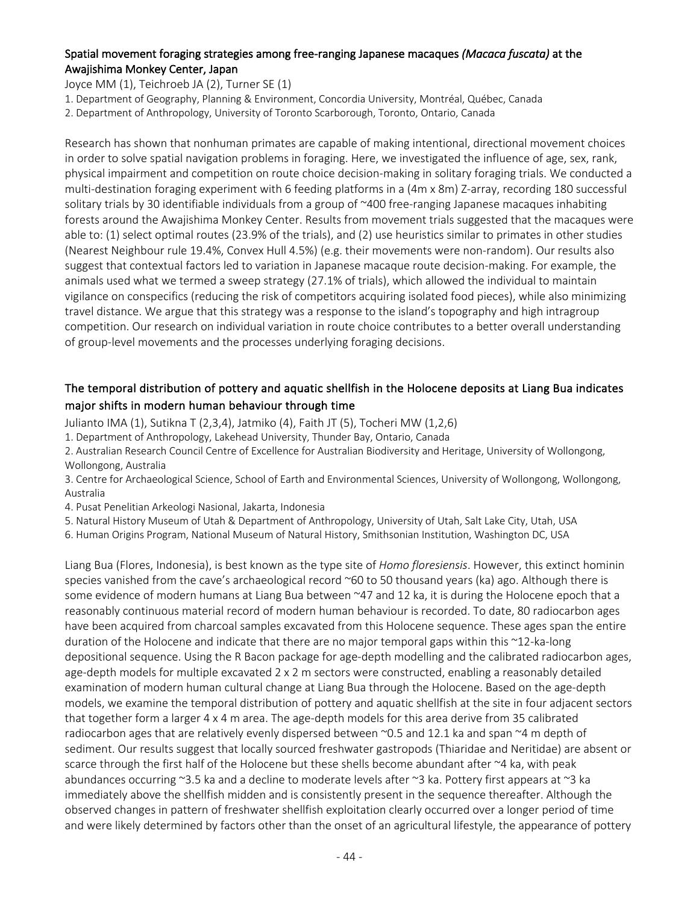# Spatial movement foraging strategies among free-ranging Japanese macaques *(Macaca fuscata)* at the Awajishima Monkey Center, Japan

Joyce MM (1), Teichroeb JA (2), Turner SE (1)

1. Department of Geography, Planning & Environment, Concordia University, Montréal, Québec, Canada

2. Department of Anthropology, University of Toronto Scarborough, Toronto, Ontario, Canada

Research has shown that nonhuman primates are capable of making intentional, directional movement choices in order to solve spatial navigation problems in foraging. Here, we investigated the influence of age, sex, rank, physical impairment and competition on route choice decision-making in solitary foraging trials. We conducted a multi-destination foraging experiment with 6 feeding platforms in a (4m x 8m) Z-array, recording 180 successful solitary trials by 30 identifiable individuals from a group of ~400 free-ranging Japanese macaques inhabiting forests around the Awajishima Monkey Center. Results from movement trials suggested that the macaques were able to: (1) select optimal routes (23.9% of the trials), and (2) use heuristics similar to primates in other studies (Nearest Neighbour rule 19.4%, Convex Hull 4.5%) (e.g. their movements were non-random). Our results also suggest that contextual factors led to variation in Japanese macaque route decision-making. For example, the animals used what we termed a sweep strategy (27.1% of trials), which allowed the individual to maintain vigilance on conspecifics (reducing the risk of competitors acquiring isolated food pieces), while also minimizing travel distance. We argue that this strategy was a response to the island's topography and high intragroup competition. Our research on individual variation in route choice contributes to a better overall understanding of group-level movements and the processes underlying foraging decisions.

# The temporal distribution of pottery and aquatic shellfish in the Holocene deposits at Liang Bua indicates major shifts in modern human behaviour through time

Julianto IMA (1), Sutikna T (2,3,4), Jatmiko (4), Faith JT (5), Tocheri MW (1,2,6)

1. Department of Anthropology, Lakehead University, Thunder Bay, Ontario, Canada

2. Australian Research Council Centre of Excellence for Australian Biodiversity and Heritage, University of Wollongong, Wollongong, Australia

3. Centre for Archaeological Science, School of Earth and Environmental Sciences, University of Wollongong, Wollongong, Australia

4. Pusat Penelitian Arkeologi Nasional, Jakarta, Indonesia

5. Natural History Museum of Utah & Department of Anthropology, University of Utah, Salt Lake City, Utah, USA

6. Human Origins Program, National Museum of Natural History, Smithsonian Institution, Washington DC, USA

Liang Bua (Flores, Indonesia), is best known as the type site of *Homo floresiensis*. However, this extinct hominin species vanished from the cave's archaeological record ~60 to 50 thousand years (ka) ago. Although there is some evidence of modern humans at Liang Bua between ~47 and 12 ka, it is during the Holocene epoch that a reasonably continuous material record of modern human behaviour is recorded. To date, 80 radiocarbon ages have been acquired from charcoal samples excavated from this Holocene sequence. These ages span the entire duration of the Holocene and indicate that there are no major temporal gaps within this ~12-ka-long depositional sequence. Using the R Bacon package for age-depth modelling and the calibrated radiocarbon ages, age-depth models for multiple excavated 2 x 2 m sectors were constructed, enabling a reasonably detailed examination of modern human cultural change at Liang Bua through the Holocene. Based on the age-depth models, we examine the temporal distribution of pottery and aquatic shellfish at the site in four adjacent sectors that together form a larger 4 x 4 m area. The age-depth models for this area derive from 35 calibrated radiocarbon ages that are relatively evenly dispersed between ~0.5 and 12.1 ka and span ~4 m depth of sediment. Our results suggest that locally sourced freshwater gastropods (Thiaridae and Neritidae) are absent or scarce through the first half of the Holocene but these shells become abundant after ~4 ka, with peak abundances occurring ~3.5 ka and a decline to moderate levels after ~3 ka. Pottery first appears at ~3 ka immediately above the shellfish midden and is consistently present in the sequence thereafter. Although the observed changes in pattern of freshwater shellfish exploitation clearly occurred over a longer period of time and were likely determined by factors other than the onset of an agricultural lifestyle, the appearance of pottery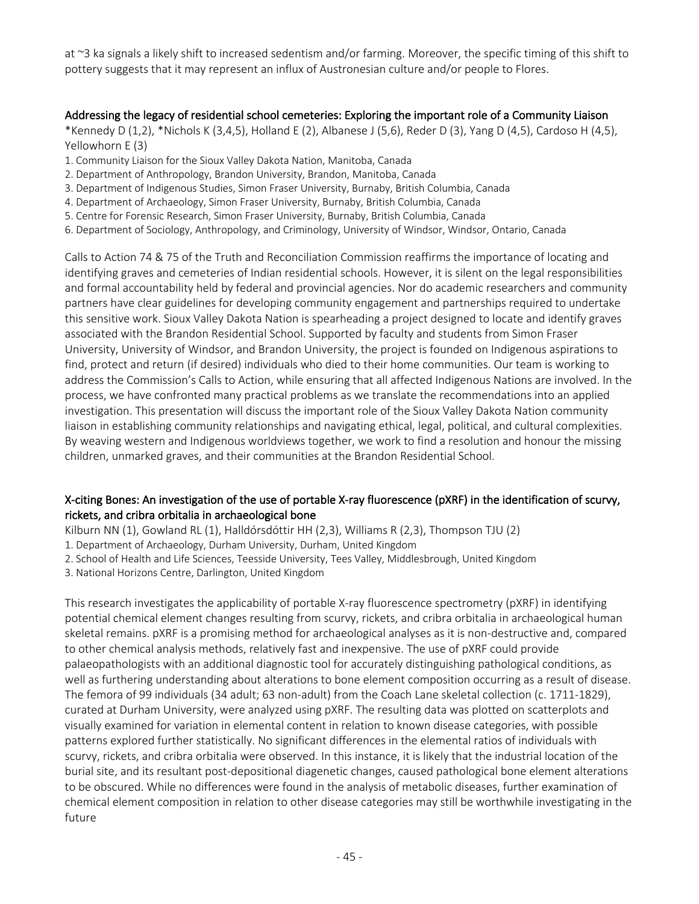at ~3 ka signals a likely shift to increased sedentism and/or farming. Moreover, the specific timing of this shift to pottery suggests that it may represent an influx of Austronesian culture and/or people to Flores.

## Addressing the legacy of residential school cemeteries: Exploring the important role of a Community Liaison

\*Kennedy D (1,2), \*Nichols K (3,4,5), Holland E (2), Albanese J (5,6), Reder D (3), Yang D (4,5), Cardoso H (4,5), Yellowhorn E (3)

- 1. Community Liaison for the Sioux Valley Dakota Nation, Manitoba, Canada
- 2. Department of Anthropology, Brandon University, Brandon, Manitoba, Canada
- 3. Department of Indigenous Studies, Simon Fraser University, Burnaby, British Columbia, Canada
- 4. Department of Archaeology, Simon Fraser University, Burnaby, British Columbia, Canada
- 5. Centre for Forensic Research, Simon Fraser University, Burnaby, British Columbia, Canada
- 6. Department of Sociology, Anthropology, and Criminology, University of Windsor, Windsor, Ontario, Canada

Calls to Action 74 & 75 of the Truth and Reconciliation Commission reaffirms the importance of locating and identifying graves and cemeteries of Indian residential schools. However, it is silent on the legal responsibilities and formal accountability held by federal and provincial agencies. Nor do academic researchers and community partners have clear guidelines for developing community engagement and partnerships required to undertake this sensitive work. Sioux Valley Dakota Nation is spearheading a project designed to locate and identify graves associated with the Brandon Residential School. Supported by faculty and students from Simon Fraser University, University of Windsor, and Brandon University, the project is founded on Indigenous aspirations to find, protect and return (if desired) individuals who died to their home communities. Our team is working to address the Commission's Calls to Action, while ensuring that all affected Indigenous Nations are involved. In the process, we have confronted many practical problems as we translate the recommendations into an applied investigation. This presentation will discuss the important role of the Sioux Valley Dakota Nation community liaison in establishing community relationships and navigating ethical, legal, political, and cultural complexities. By weaving western and Indigenous worldviews together, we work to find a resolution and honour the missing children, unmarked graves, and their communities at the Brandon Residential School.

# X-citing Bones: An investigation of the use of portable X-ray fluorescence (pXRF) in the identification of scurvy, rickets, and cribra orbitalia in archaeological bone

Kilburn NN (1), Gowland RL (1), Halldórsdóttir HH (2,3), Williams R (2,3), Thompson TJU (2)

1. Department of Archaeology, Durham University, Durham, United Kingdom

2. School of Health and Life Sciences, Teesside University, Tees Valley, Middlesbrough, United Kingdom

3. National Horizons Centre, Darlington, United Kingdom

This research investigates the applicability of portable X-ray fluorescence spectrometry (pXRF) in identifying potential chemical element changes resulting from scurvy, rickets, and cribra orbitalia in archaeological human skeletal remains. pXRF is a promising method for archaeological analyses as it is non-destructive and, compared to other chemical analysis methods, relatively fast and inexpensive. The use of pXRF could provide palaeopathologists with an additional diagnostic tool for accurately distinguishing pathological conditions, as well as furthering understanding about alterations to bone element composition occurring as a result of disease. The femora of 99 individuals (34 adult; 63 non-adult) from the Coach Lane skeletal collection (c. 1711-1829), curated at Durham University, were analyzed using pXRF. The resulting data was plotted on scatterplots and visually examined for variation in elemental content in relation to known disease categories, with possible patterns explored further statistically. No significant differences in the elemental ratios of individuals with scurvy, rickets, and cribra orbitalia were observed. In this instance, it is likely that the industrial location of the burial site, and its resultant post-depositional diagenetic changes, caused pathological bone element alterations to be obscured. While no differences were found in the analysis of metabolic diseases, further examination of chemical element composition in relation to other disease categories may still be worthwhile investigating in the future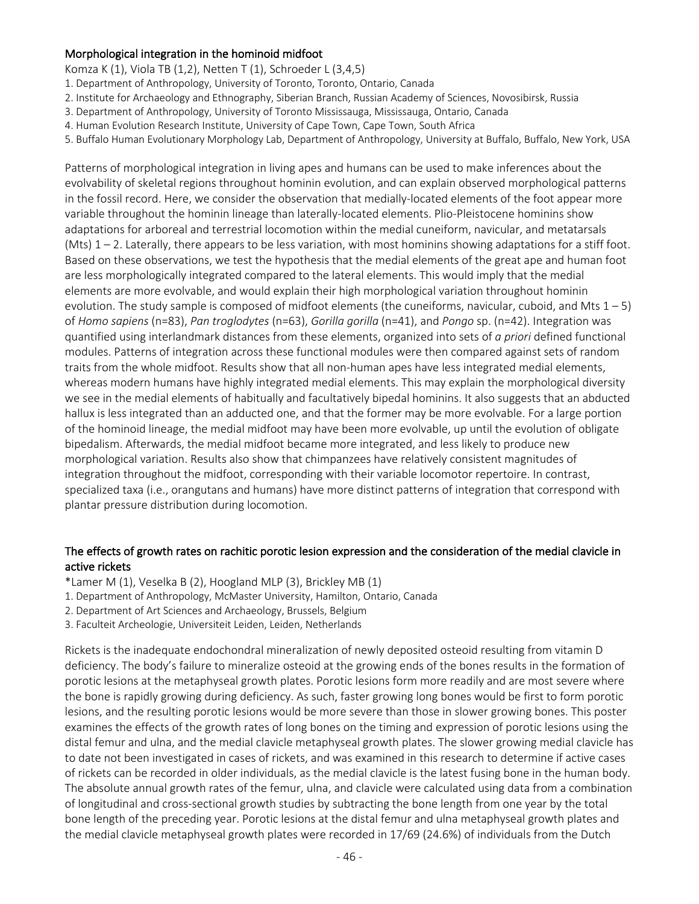## Morphological integration in the hominoid midfoot

Komza K (1), Viola TB (1,2), Netten T (1), Schroeder L (3,4,5)

1. Department of Anthropology, University of Toronto, Toronto, Ontario, Canada

- 2. Institute for Archaeology and Ethnography, Siberian Branch, Russian Academy of Sciences, Novosibirsk, Russia
- 3. Department of Anthropology, University of Toronto Mississauga, Mississauga, Ontario, Canada
- 4. Human Evolution Research Institute, University of Cape Town, Cape Town, South Africa
- 5. Buffalo Human Evolutionary Morphology Lab, Department of Anthropology, University at Buffalo, Buffalo, New York, USA

Patterns of morphological integration in living apes and humans can be used to make inferences about the evolvability of skeletal regions throughout hominin evolution, and can explain observed morphological patterns in the fossil record. Here, we consider the observation that medially-located elements of the foot appear more variable throughout the hominin lineage than laterally-located elements. Plio-Pleistocene hominins show adaptations for arboreal and terrestrial locomotion within the medial cuneiform, navicular, and metatarsals (Mts)  $1 - 2$ . Laterally, there appears to be less variation, with most hominins showing adaptations for a stiff foot. Based on these observations, we test the hypothesis that the medial elements of the great ape and human foot are less morphologically integrated compared to the lateral elements. This would imply that the medial elements are more evolvable, and would explain their high morphological variation throughout hominin evolution. The study sample is composed of midfoot elements (the cuneiforms, navicular, cuboid, and Mts  $1 - 5$ ) of *Homo sapiens* (n=83), *Pan troglodytes* (n=63), *Gorilla gorilla* (n=41), and *Pongo* sp. (n=42). Integration was quantified using interlandmark distances from these elements, organized into sets of *a priori* defined functional modules. Patterns of integration across these functional modules were then compared against sets of random traits from the whole midfoot. Results show that all non-human apes have less integrated medial elements, whereas modern humans have highly integrated medial elements. This may explain the morphological diversity we see in the medial elements of habitually and facultatively bipedal hominins. It also suggests that an abducted hallux is less integrated than an adducted one, and that the former may be more evolvable. For a large portion of the hominoid lineage, the medial midfoot may have been more evolvable, up until the evolution of obligate bipedalism. Afterwards, the medial midfoot became more integrated, and less likely to produce new morphological variation. Results also show that chimpanzees have relatively consistent magnitudes of integration throughout the midfoot, corresponding with their variable locomotor repertoire. In contrast, specialized taxa (i.e., orangutans and humans) have more distinct patterns of integration that correspond with plantar pressure distribution during locomotion.

## The effects of growth rates on rachitic porotic lesion expression and the consideration of the medial clavicle in active rickets

\*Lamer M (1), Veselka B (2), Hoogland MLP (3), Brickley MB (1)

- 1. Department of Anthropology, McMaster University, Hamilton, Ontario, Canada
- 2. Department of Art Sciences and Archaeology, Brussels, Belgium
- 3. Faculteit Archeologie, Universiteit Leiden, Leiden, Netherlands

Rickets is the inadequate endochondral mineralization of newly deposited osteoid resulting from vitamin D deficiency. The body's failure to mineralize osteoid at the growing ends of the bones results in the formation of porotic lesions at the metaphyseal growth plates. Porotic lesions form more readily and are most severe where the bone is rapidly growing during deficiency. As such, faster growing long bones would be first to form porotic lesions, and the resulting porotic lesions would be more severe than those in slower growing bones. This poster examines the effects of the growth rates of long bones on the timing and expression of porotic lesions using the distal femur and ulna, and the medial clavicle metaphyseal growth plates. The slower growing medial clavicle has to date not been investigated in cases of rickets, and was examined in this research to determine if active cases of rickets can be recorded in older individuals, as the medial clavicle is the latest fusing bone in the human body. The absolute annual growth rates of the femur, ulna, and clavicle were calculated using data from a combination of longitudinal and cross-sectional growth studies by subtracting the bone length from one year by the total bone length of the preceding year. Porotic lesions at the distal femur and ulna metaphyseal growth plates and the medial clavicle metaphyseal growth plates were recorded in 17/69 (24.6%) of individuals from the Dutch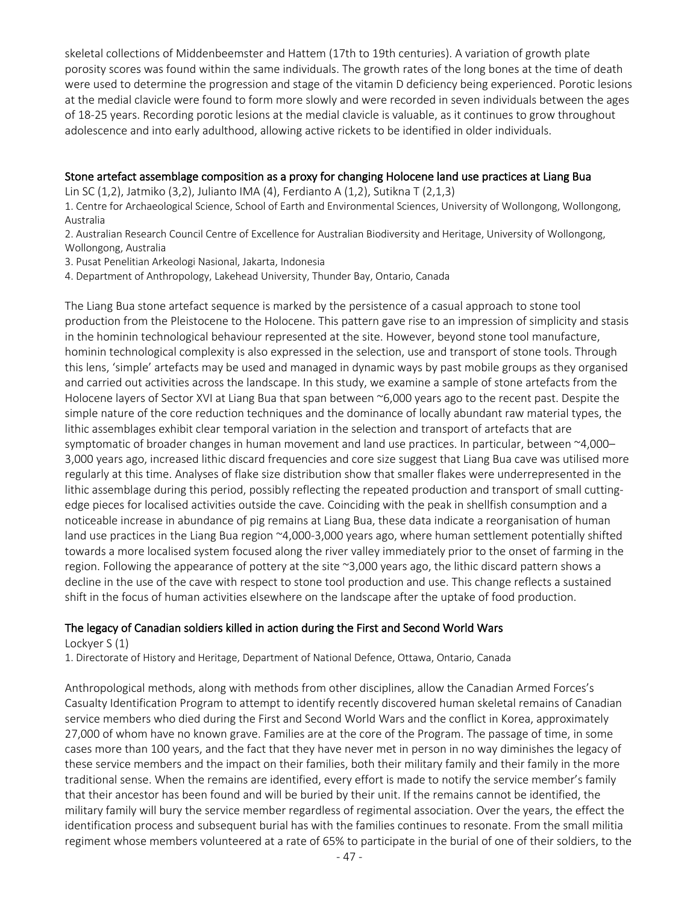skeletal collections of Middenbeemster and Hattem (17th to 19th centuries). A variation of growth plate porosity scores was found within the same individuals. The growth rates of the long bones at the time of death were used to determine the progression and stage of the vitamin D deficiency being experienced. Porotic lesions at the medial clavicle were found to form more slowly and were recorded in seven individuals between the ages of 18-25 years. Recording porotic lesions at the medial clavicle is valuable, as it continues to grow throughout adolescence and into early adulthood, allowing active rickets to be identified in older individuals.

## Stone artefact assemblage composition as a proxy for changing Holocene land use practices at Liang Bua

Lin SC (1,2), Jatmiko (3,2), Julianto IMA (4), Ferdianto A (1,2), Sutikna T (2,1,3)

1. Centre for Archaeological Science, School of Earth and Environmental Sciences, University of Wollongong, Wollongong, Australia

2. Australian Research Council Centre of Excellence for Australian Biodiversity and Heritage, University of Wollongong, Wollongong, Australia

3. Pusat Penelitian Arkeologi Nasional, Jakarta, Indonesia

4. Department of Anthropology, Lakehead University, Thunder Bay, Ontario, Canada

The Liang Bua stone artefact sequence is marked by the persistence of a casual approach to stone tool production from the Pleistocene to the Holocene. This pattern gave rise to an impression of simplicity and stasis in the hominin technological behaviour represented at the site. However, beyond stone tool manufacture, hominin technological complexity is also expressed in the selection, use and transport of stone tools. Through this lens, 'simple' artefacts may be used and managed in dynamic ways by past mobile groups as they organised and carried out activities across the landscape. In this study, we examine a sample of stone artefacts from the Holocene layers of Sector XVI at Liang Bua that span between ~6,000 years ago to the recent past. Despite the simple nature of the core reduction techniques and the dominance of locally abundant raw material types, the lithic assemblages exhibit clear temporal variation in the selection and transport of artefacts that are symptomatic of broader changes in human movement and land use practices. In particular, between ~4,000-3,000 years ago, increased lithic discard frequencies and core size suggest that Liang Bua cave was utilised more regularly at this time. Analyses of flake size distribution show that smaller flakes were underrepresented in the lithic assemblage during this period, possibly reflecting the repeated production and transport of small cuttingedge pieces for localised activities outside the cave. Coinciding with the peak in shellfish consumption and a noticeable increase in abundance of pig remains at Liang Bua, these data indicate a reorganisation of human land use practices in the Liang Bua region ~4,000-3,000 years ago, where human settlement potentially shifted towards a more localised system focused along the river valley immediately prior to the onset of farming in the region. Following the appearance of pottery at the site ~3,000 years ago, the lithic discard pattern shows a decline in the use of the cave with respect to stone tool production and use. This change reflects a sustained shift in the focus of human activities elsewhere on the landscape after the uptake of food production.

# The legacy of Canadian soldiers killed in action during the First and Second World Wars

Lockyer S (1)

1. Directorate of History and Heritage, Department of National Defence, Ottawa, Ontario, Canada

Anthropological methods, along with methods from other disciplines, allow the Canadian Armed Forces's Casualty Identification Program to attempt to identify recently discovered human skeletal remains of Canadian service members who died during the First and Second World Wars and the conflict in Korea, approximately 27,000 of whom have no known grave. Families are at the core of the Program. The passage of time, in some cases more than 100 years, and the fact that they have never met in person in no way diminishes the legacy of these service members and the impact on their families, both their military family and their family in the more traditional sense. When the remains are identified, every effort is made to notify the service member's family that their ancestor has been found and will be buried by their unit. If the remains cannot be identified, the military family will bury the service member regardless of regimental association. Over the years, the effect the identification process and subsequent burial has with the families continues to resonate. From the small militia regiment whose members volunteered at a rate of 65% to participate in the burial of one of their soldiers, to the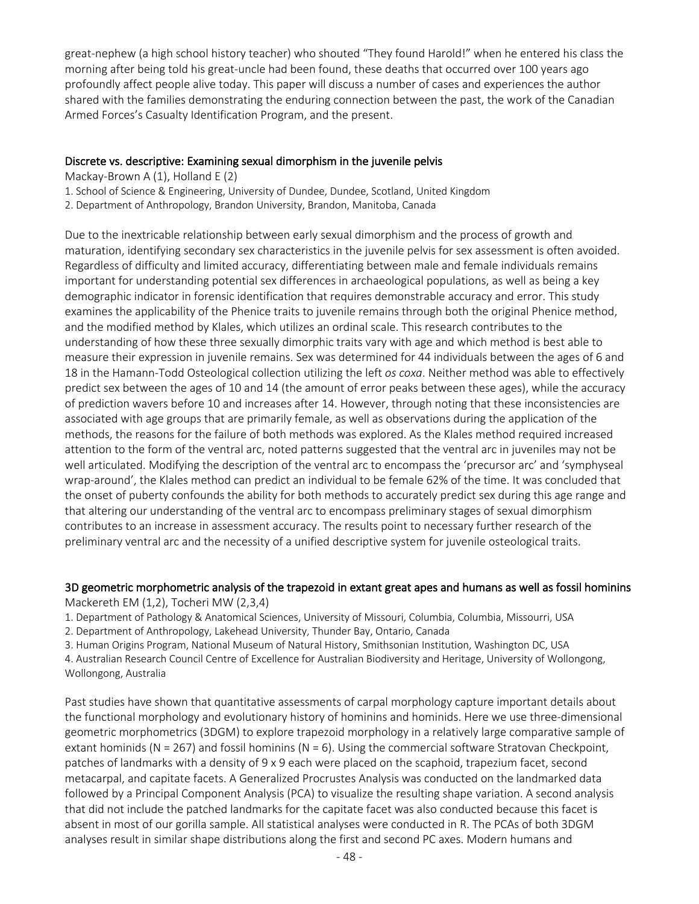great-nephew (a high school history teacher) who shouted "They found Harold!" when he entered his class the morning after being told his great-uncle had been found, these deaths that occurred over 100 years ago profoundly affect people alive today. This paper will discuss a number of cases and experiences the author shared with the families demonstrating the enduring connection between the past, the work of the Canadian Armed Forces's Casualty Identification Program, and the present.

## Discrete vs. descriptive: Examining sexual dimorphism in the juvenile pelvis

Mackay-Brown A (1), Holland E (2)

- 1. School of Science & Engineering, University of Dundee, Dundee, Scotland, United Kingdom
- 2. Department of Anthropology, Brandon University, Brandon, Manitoba, Canada

Due to the inextricable relationship between early sexual dimorphism and the process of growth and maturation, identifying secondary sex characteristics in the juvenile pelvis for sex assessment is often avoided. Regardless of difficulty and limited accuracy, differentiating between male and female individuals remains important for understanding potential sex differences in archaeological populations, as well as being a key demographic indicator in forensic identification that requires demonstrable accuracy and error. This study examines the applicability of the Phenice traits to juvenile remains through both the original Phenice method, and the modified method by Klales, which utilizes an ordinal scale. This research contributes to the understanding of how these three sexually dimorphic traits vary with age and which method is best able to measure their expression in juvenile remains. Sex was determined for 44 individuals between the ages of 6 and 18 in the Hamann-Todd Osteological collection utilizing the left *os coxa*. Neither method was able to effectively predict sex between the ages of 10 and 14 (the amount of error peaks between these ages), while the accuracy of prediction wavers before 10 and increases after 14. However, through noting that these inconsistencies are associated with age groups that are primarily female, as well as observations during the application of the methods, the reasons for the failure of both methods was explored. As the Klales method required increased attention to the form of the ventral arc, noted patterns suggested that the ventral arc in juveniles may not be well articulated. Modifying the description of the ventral arc to encompass the 'precursor arc' and 'symphyseal wrap-around', the Klales method can predict an individual to be female 62% of the time. It was concluded that the onset of puberty confounds the ability for both methods to accurately predict sex during this age range and that altering our understanding of the ventral arc to encompass preliminary stages of sexual dimorphism contributes to an increase in assessment accuracy. The results point to necessary further research of the preliminary ventral arc and the necessity of a unified descriptive system for juvenile osteological traits.

# 3D geometric morphometric analysis of the trapezoid in extant great apes and humans as well as fossil hominins

Mackereth EM (1,2), Tocheri MW (2,3,4)

- 1. Department of Pathology & Anatomical Sciences, University of Missouri, Columbia, Columbia, Missourri, USA
- 2. Department of Anthropology, Lakehead University, Thunder Bay, Ontario, Canada
- 3. Human Origins Program, National Museum of Natural History, Smithsonian Institution, Washington DC, USA

4. Australian Research Council Centre of Excellence for Australian Biodiversity and Heritage, University of Wollongong, Wollongong, Australia

Past studies have shown that quantitative assessments of carpal morphology capture important details about the functional morphology and evolutionary history of hominins and hominids. Here we use three-dimensional geometric morphometrics (3DGM) to explore trapezoid morphology in a relatively large comparative sample of extant hominids ( $N = 267$ ) and fossil hominins ( $N = 6$ ). Using the commercial software Stratovan Checkpoint, patches of landmarks with a density of 9 x 9 each were placed on the scaphoid, trapezium facet, second metacarpal, and capitate facets. A Generalized Procrustes Analysis was conducted on the landmarked data followed by a Principal Component Analysis (PCA) to visualize the resulting shape variation. A second analysis that did not include the patched landmarks for the capitate facet was also conducted because this facet is absent in most of our gorilla sample. All statistical analyses were conducted in R. The PCAs of both 3DGM analyses result in similar shape distributions along the first and second PC axes. Modern humans and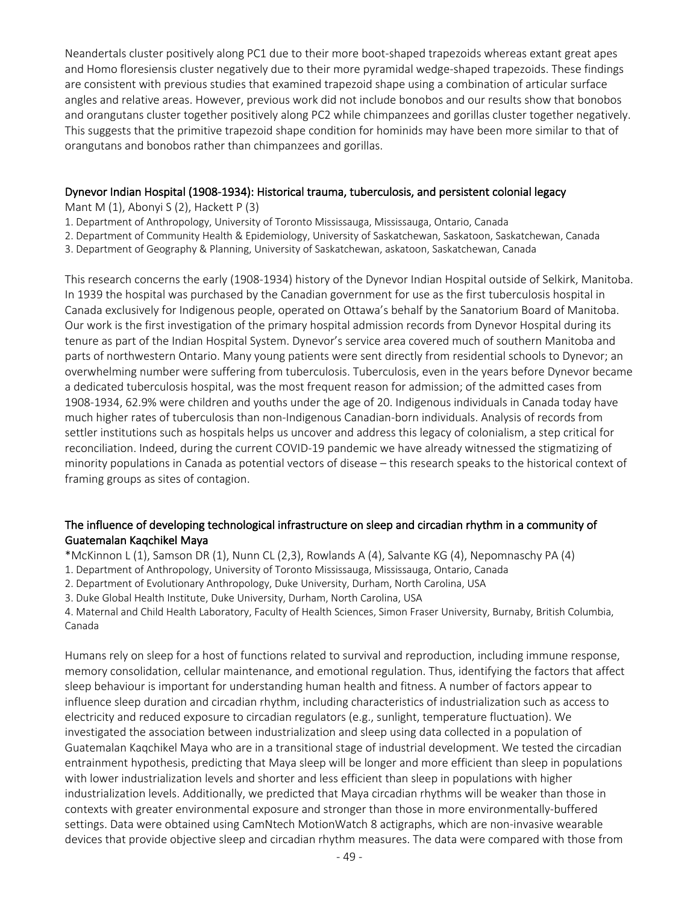Neandertals cluster positively along PC1 due to their more boot-shaped trapezoids whereas extant great apes and Homo floresiensis cluster negatively due to their more pyramidal wedge-shaped trapezoids. These findings are consistent with previous studies that examined trapezoid shape using a combination of articular surface angles and relative areas. However, previous work did not include bonobos and our results show that bonobos and orangutans cluster together positively along PC2 while chimpanzees and gorillas cluster together negatively. This suggests that the primitive trapezoid shape condition for hominids may have been more similar to that of orangutans and bonobos rather than chimpanzees and gorillas.

## Dynevor Indian Hospital (1908-1934): Historical trauma, tuberculosis, and persistent colonial legacy

Mant M  $(1)$ , Abonyi S  $(2)$ , Hackett P  $(3)$ 

- 1. Department of Anthropology, University of Toronto Mississauga, Mississauga, Ontario, Canada
- 2. Department of Community Health & Epidemiology, University of Saskatchewan, Saskatoon, Saskatchewan, Canada
- 3. Department of Geography & Planning, University of Saskatchewan, askatoon, Saskatchewan, Canada

This research concerns the early (1908-1934) history of the Dynevor Indian Hospital outside of Selkirk, Manitoba. In 1939 the hospital was purchased by the Canadian government for use as the first tuberculosis hospital in Canada exclusively for Indigenous people, operated on Ottawa's behalf by the Sanatorium Board of Manitoba. Our work is the first investigation of the primary hospital admission records from Dynevor Hospital during its tenure as part of the Indian Hospital System. Dynevor's service area covered much of southern Manitoba and parts of northwestern Ontario. Many young patients were sent directly from residential schools to Dynevor; an overwhelming number were suffering from tuberculosis. Tuberculosis, even in the years before Dynevor became a dedicated tuberculosis hospital, was the most frequent reason for admission; of the admitted cases from 1908-1934, 62.9% were children and youths under the age of 20. Indigenous individuals in Canada today have much higher rates of tuberculosis than non-Indigenous Canadian-born individuals. Analysis of records from settler institutions such as hospitals helps us uncover and address this legacy of colonialism, a step critical for reconciliation. Indeed, during the current COVID-19 pandemic we have already witnessed the stigmatizing of minority populations in Canada as potential vectors of disease – this research speaks to the historical context of framing groups as sites of contagion.

# The influence of developing technological infrastructure on sleep and circadian rhythm in a community of Guatemalan Kaqchikel Maya

\*McKinnon L (1), Samson DR (1), Nunn CL (2,3), Rowlands A (4), Salvante KG (4), Nepomnaschy PA (4)

- 1. Department of Anthropology, University of Toronto Mississauga, Mississauga, Ontario, Canada
- 2. Department of Evolutionary Anthropology, Duke University, Durham, North Carolina, USA
- 3. Duke Global Health Institute, Duke University, Durham, North Carolina, USA

4. Maternal and Child Health Laboratory, Faculty of Health Sciences, Simon Fraser University, Burnaby, British Columbia, Canada

Humans rely on sleep for a host of functions related to survival and reproduction, including immune response, memory consolidation, cellular maintenance, and emotional regulation. Thus, identifying the factors that affect sleep behaviour is important for understanding human health and fitness. A number of factors appear to influence sleep duration and circadian rhythm, including characteristics of industrialization such as access to electricity and reduced exposure to circadian regulators (e.g., sunlight, temperature fluctuation). We investigated the association between industrialization and sleep using data collected in a population of Guatemalan Kaqchikel Maya who are in a transitional stage of industrial development. We tested the circadian entrainment hypothesis, predicting that Maya sleep will be longer and more efficient than sleep in populations with lower industrialization levels and shorter and less efficient than sleep in populations with higher industrialization levels. Additionally, we predicted that Maya circadian rhythms will be weaker than those in contexts with greater environmental exposure and stronger than those in more environmentally-buffered settings. Data were obtained using CamNtech MotionWatch 8 actigraphs, which are non-invasive wearable devices that provide objective sleep and circadian rhythm measures. The data were compared with those from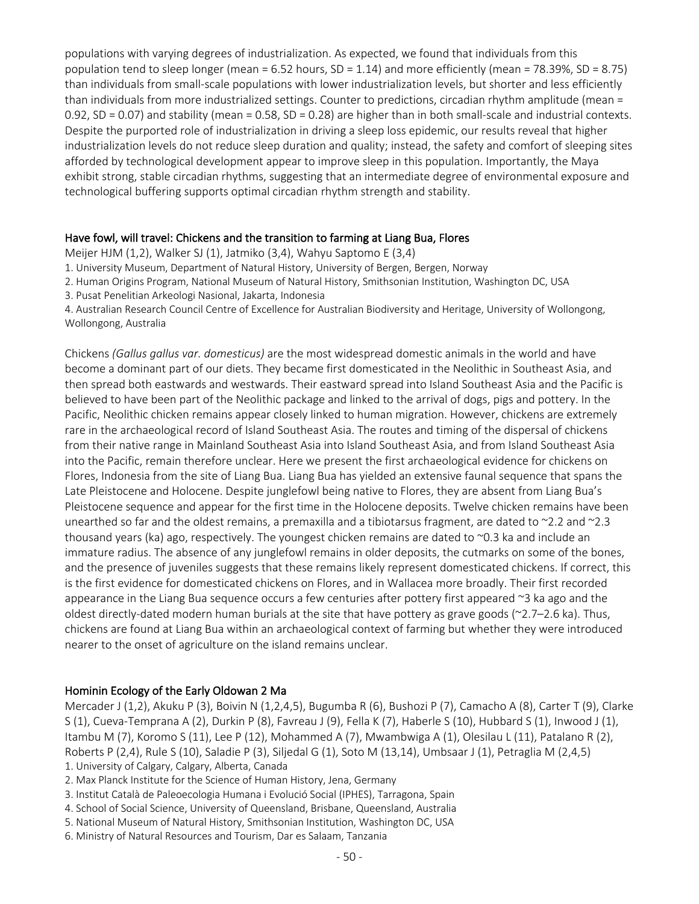populations with varying degrees of industrialization. As expected, we found that individuals from this population tend to sleep longer (mean = 6.52 hours, SD = 1.14) and more efficiently (mean = 78.39%, SD = 8.75) than individuals from small-scale populations with lower industrialization levels, but shorter and less efficiently than individuals from more industrialized settings. Counter to predictions, circadian rhythm amplitude (mean = 0.92, SD = 0.07) and stability (mean = 0.58, SD = 0.28) are higher than in both small-scale and industrial contexts. Despite the purported role of industrialization in driving a sleep loss epidemic, our results reveal that higher industrialization levels do not reduce sleep duration and quality; instead, the safety and comfort of sleeping sites afforded by technological development appear to improve sleep in this population. Importantly, the Maya exhibit strong, stable circadian rhythms, suggesting that an intermediate degree of environmental exposure and technological buffering supports optimal circadian rhythm strength and stability.

#### Have fowl, will travel: Chickens and the transition to farming at Liang Bua, Flores

Meijer HJM (1,2), Walker SJ (1), Jatmiko (3,4), Wahyu Saptomo E (3,4)

- 1. University Museum, Department of Natural History, University of Bergen, Bergen, Norway
- 2. Human Origins Program, National Museum of Natural History, Smithsonian Institution, Washington DC, USA
- 3. Pusat Penelitian Arkeologi Nasional, Jakarta, Indonesia

4. Australian Research Council Centre of Excellence for Australian Biodiversity and Heritage, University of Wollongong, Wollongong, Australia

Chickens *(Gallus gallus var. domesticus)* are the most widespread domestic animals in the world and have become a dominant part of our diets. They became first domesticated in the Neolithic in Southeast Asia, and then spread both eastwards and westwards. Their eastward spread into Island Southeast Asia and the Pacific is believed to have been part of the Neolithic package and linked to the arrival of dogs, pigs and pottery. In the Pacific, Neolithic chicken remains appear closely linked to human migration. However, chickens are extremely rare in the archaeological record of Island Southeast Asia. The routes and timing of the dispersal of chickens from their native range in Mainland Southeast Asia into Island Southeast Asia, and from Island Southeast Asia into the Pacific, remain therefore unclear. Here we present the first archaeological evidence for chickens on Flores, Indonesia from the site of Liang Bua. Liang Bua has yielded an extensive faunal sequence that spans the Late Pleistocene and Holocene. Despite junglefowl being native to Flores, they are absent from Liang Bua's Pleistocene sequence and appear for the first time in the Holocene deposits. Twelve chicken remains have been unearthed so far and the oldest remains, a premaxilla and a tibiotarsus fragment, are dated to ~2.2 and ~2.3 thousand years (ka) ago, respectively. The youngest chicken remains are dated to ~0.3 ka and include an immature radius. The absence of any junglefowl remains in older deposits, the cutmarks on some of the bones, and the presence of juveniles suggests that these remains likely represent domesticated chickens. If correct, this is the first evidence for domesticated chickens on Flores, and in Wallacea more broadly. Their first recorded appearance in the Liang Bua sequence occurs a few centuries after pottery first appeared  $\approx$ 3 ka ago and the oldest directly-dated modern human burials at the site that have pottery as grave goods (~2.7–2.6 ka). Thus, chickens are found at Liang Bua within an archaeological context of farming but whether they were introduced nearer to the onset of agriculture on the island remains unclear.

#### Hominin Ecology of the Early Oldowan 2 Ma

Mercader J (1,2), Akuku P (3), Boivin N (1,2,4,5), Bugumba R (6), Bushozi P (7), Camacho A (8), Carter T (9), Clarke S (1), Cueva-Temprana A (2), Durkin P (8), Favreau J (9), Fella K (7), Haberle S (10), Hubbard S (1), Inwood J (1), Itambu M (7), Koromo S (11), Lee P (12), Mohammed A (7), Mwambwiga A (1), Olesilau L (11), Patalano R (2), Roberts P (2,4), Rule S (10), Saladie P (3), Siljedal G (1), Soto M (13,14), Umbsaar J (1), Petraglia M (2,4,5)

- 1. University of Calgary, Calgary, Alberta, Canada
- 2. Max Planck Institute for the Science of Human History, Jena, Germany
- 3. Institut Català de Paleoecologia Humana i Evolució Social (IPHES), Tarragona, Spain
- 4. School of Social Science, University of Queensland, Brisbane, Queensland, Australia
- 5. National Museum of Natural History, Smithsonian Institution, Washington DC, USA
- 6. Ministry of Natural Resources and Tourism, Dar es Salaam, Tanzania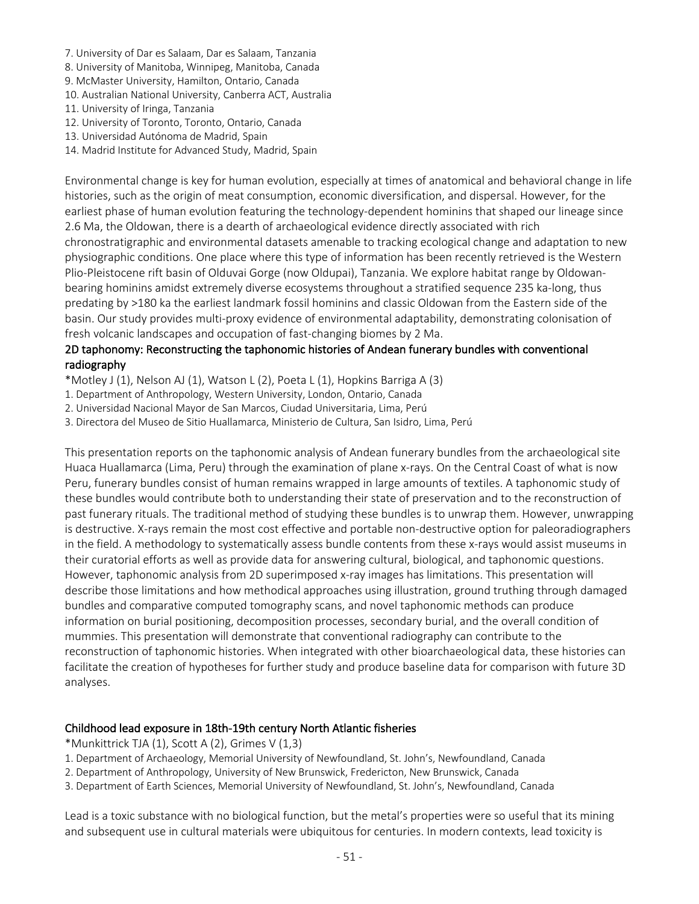- 7. University of Dar es Salaam, Dar es Salaam, Tanzania
- 8. University of Manitoba, Winnipeg, Manitoba, Canada
- 9. McMaster University, Hamilton, Ontario, Canada
- 10. Australian National University, Canberra ACT, Australia
- 11. University of Iringa, Tanzania
- 12. University of Toronto, Toronto, Ontario, Canada
- 13. Universidad Autónoma de Madrid, Spain
- 14. Madrid Institute for Advanced Study, Madrid, Spain

Environmental change is key for human evolution, especially at times of anatomical and behavioral change in life histories, such as the origin of meat consumption, economic diversification, and dispersal. However, for the earliest phase of human evolution featuring the technology-dependent hominins that shaped our lineage since 2.6 Ma, the Oldowan, there is a dearth of archaeological evidence directly associated with rich chronostratigraphic and environmental datasets amenable to tracking ecological change and adaptation to new physiographic conditions. One place where this type of information has been recently retrieved is the Western Plio-Pleistocene rift basin of Olduvai Gorge (now Oldupai), Tanzania. We explore habitat range by Oldowanbearing hominins amidst extremely diverse ecosystems throughout a stratified sequence 235 ka-long, thus predating by >180 ka the earliest landmark fossil hominins and classic Oldowan from the Eastern side of the basin. Our study provides multi-proxy evidence of environmental adaptability, demonstrating colonisation of fresh volcanic landscapes and occupation of fast-changing biomes by 2 Ma.

# 2D taphonomy: Reconstructing the taphonomic histories of Andean funerary bundles with conventional radiography

\*Motley J (1), Nelson AJ (1), Watson L (2), Poeta L (1), Hopkins Barriga A (3)

- 1. Department of Anthropology, Western University, London, Ontario, Canada
- 2. Universidad Nacional Mayor de San Marcos, Ciudad Universitaria, Lima, Perú
- 3. Directora del Museo de Sitio Huallamarca, Ministerio de Cultura, San Isidro, Lima, Perú

This presentation reports on the taphonomic analysis of Andean funerary bundles from the archaeological site Huaca Huallamarca (Lima, Peru) through the examination of plane x-rays. On the Central Coast of what is now Peru, funerary bundles consist of human remains wrapped in large amounts of textiles. A taphonomic study of these bundles would contribute both to understanding their state of preservation and to the reconstruction of past funerary rituals. The traditional method of studying these bundles is to unwrap them. However, unwrapping is destructive. X-rays remain the most cost effective and portable non-destructive option for paleoradiographers in the field. A methodology to systematically assess bundle contents from these x-rays would assist museums in their curatorial efforts as well as provide data for answering cultural, biological, and taphonomic questions. However, taphonomic analysis from 2D superimposed x-ray images has limitations. This presentation will describe those limitations and how methodical approaches using illustration, ground truthing through damaged bundles and comparative computed tomography scans, and novel taphonomic methods can produce information on burial positioning, decomposition processes, secondary burial, and the overall condition of mummies. This presentation will demonstrate that conventional radiography can contribute to the reconstruction of taphonomic histories. When integrated with other bioarchaeological data, these histories can facilitate the creation of hypotheses for further study and produce baseline data for comparison with future 3D analyses.

#### Childhood lead exposure in 18th-19th century North Atlantic fisheries

\*Munkittrick TJA (1), Scott A (2), Grimes V (1,3)

- 1. Department of Archaeology, Memorial University of Newfoundland, St. John's, Newfoundland, Canada
- 2. Department of Anthropology, University of New Brunswick, Fredericton, New Brunswick, Canada
- 3. Department of Earth Sciences, Memorial University of Newfoundland, St. John's, Newfoundland, Canada

Lead is a toxic substance with no biological function, but the metal's properties were so useful that its mining and subsequent use in cultural materials were ubiquitous for centuries. In modern contexts, lead toxicity is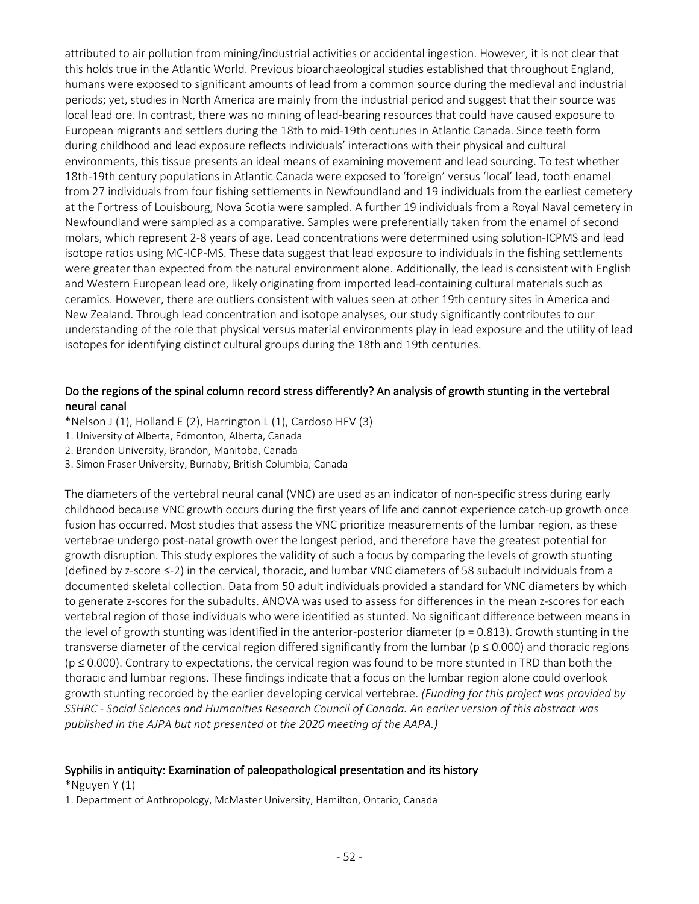attributed to air pollution from mining/industrial activities or accidental ingestion. However, it is not clear that this holds true in the Atlantic World. Previous bioarchaeological studies established that throughout England, humans were exposed to significant amounts of lead from a common source during the medieval and industrial periods; yet, studies in North America are mainly from the industrial period and suggest that their source was local lead ore. In contrast, there was no mining of lead-bearing resources that could have caused exposure to European migrants and settlers during the 18th to mid-19th centuries in Atlantic Canada. Since teeth form during childhood and lead exposure reflects individuals' interactions with their physical and cultural environments, this tissue presents an ideal means of examining movement and lead sourcing. To test whether 18th-19th century populations in Atlantic Canada were exposed to 'foreign' versus 'local' lead, tooth enamel from 27 individuals from four fishing settlements in Newfoundland and 19 individuals from the earliest cemetery at the Fortress of Louisbourg, Nova Scotia were sampled. A further 19 individuals from a Royal Naval cemetery in Newfoundland were sampled as a comparative. Samples were preferentially taken from the enamel of second molars, which represent 2-8 years of age. Lead concentrations were determined using solution-ICPMS and lead isotope ratios using MC-ICP-MS. These data suggest that lead exposure to individuals in the fishing settlements were greater than expected from the natural environment alone. Additionally, the lead is consistent with English and Western European lead ore, likely originating from imported lead-containing cultural materials such as ceramics. However, there are outliers consistent with values seen at other 19th century sites in America and New Zealand. Through lead concentration and isotope analyses, our study significantly contributes to our understanding of the role that physical versus material environments play in lead exposure and the utility of lead isotopes for identifying distinct cultural groups during the 18th and 19th centuries.

# Do the regions of the spinal column record stress differently? An analysis of growth stunting in the vertebral neural canal

\*Nelson J (1), Holland E (2), Harrington L (1), Cardoso HFV (3)

- 1. University of Alberta, Edmonton, Alberta, Canada
- 2. Brandon University, Brandon, Manitoba, Canada
- 3. Simon Fraser University, Burnaby, British Columbia, Canada

The diameters of the vertebral neural canal (VNC) are used as an indicator of non-specific stress during early childhood because VNC growth occurs during the first years of life and cannot experience catch-up growth once fusion has occurred. Most studies that assess the VNC prioritize measurements of the lumbar region, as these vertebrae undergo post-natal growth over the longest period, and therefore have the greatest potential for growth disruption. This study explores the validity of such a focus by comparing the levels of growth stunting (defined by z-score ≤-2) in the cervical, thoracic, and lumbar VNC diameters of 58 subadult individuals from a documented skeletal collection. Data from 50 adult individuals provided a standard for VNC diameters by which to generate z-scores for the subadults. ANOVA was used to assess for differences in the mean z-scores for each vertebral region of those individuals who were identified as stunted. No significant difference between means in the level of growth stunting was identified in the anterior-posterior diameter ( $p = 0.813$ ). Growth stunting in the transverse diameter of the cervical region differed significantly from the lumbar ( $p \le 0.000$ ) and thoracic regions (p ≤ 0.000). Contrary to expectations, the cervical region was found to be more stunted in TRD than both the thoracic and lumbar regions. These findings indicate that a focus on the lumbar region alone could overlook growth stunting recorded by the earlier developing cervical vertebrae. *(Funding for this project was provided by SSHRC - Social Sciences and Humanities Research Council of Canada. An earlier version of this abstract was published in the AJPA but not presented at the 2020 meeting of the AAPA.)*

#### Syphilis in antiquity: Examination of paleopathological presentation and its history

\*Nguyen Y (1)

1. Department of Anthropology, McMaster University, Hamilton, Ontario, Canada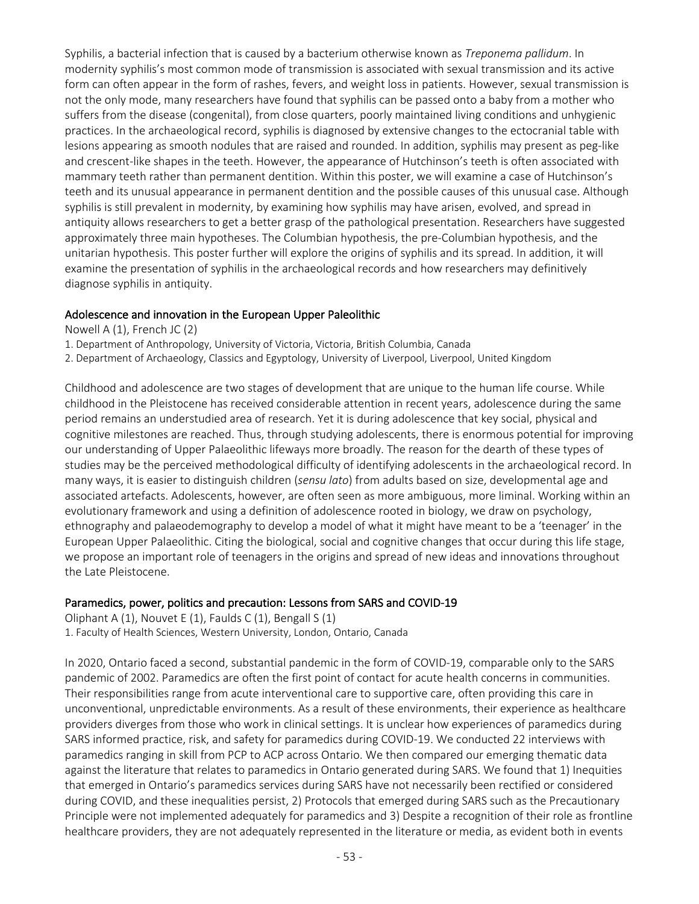Syphilis, a bacterial infection that is caused by a bacterium otherwise known as *Treponema pallidum*. In modernity syphilis's most common mode of transmission is associated with sexual transmission and its active form can often appear in the form of rashes, fevers, and weight loss in patients. However, sexual transmission is not the only mode, many researchers have found that syphilis can be passed onto a baby from a mother who suffers from the disease (congenital), from close quarters, poorly maintained living conditions and unhygienic practices. In the archaeological record, syphilis is diagnosed by extensive changes to the ectocranial table with lesions appearing as smooth nodules that are raised and rounded. In addition, syphilis may present as peg-like and crescent-like shapes in the teeth. However, the appearance of Hutchinson's teeth is often associated with mammary teeth rather than permanent dentition. Within this poster, we will examine a case of Hutchinson's teeth and its unusual appearance in permanent dentition and the possible causes of this unusual case. Although syphilis is still prevalent in modernity, by examining how syphilis may have arisen, evolved, and spread in antiquity allows researchers to get a better grasp of the pathological presentation. Researchers have suggested approximately three main hypotheses. The Columbian hypothesis, the pre-Columbian hypothesis, and the unitarian hypothesis. This poster further will explore the origins of syphilis and its spread. In addition, it will examine the presentation of syphilis in the archaeological records and how researchers may definitively diagnose syphilis in antiquity.

## Adolescence and innovation in the European Upper Paleolithic

Nowell A (1), French JC (2)

1. Department of Anthropology, University of Victoria, Victoria, British Columbia, Canada

2. Department of Archaeology, Classics and Egyptology, University of Liverpool, Liverpool, United Kingdom

Childhood and adolescence are two stages of development that are unique to the human life course. While childhood in the Pleistocene has received considerable attention in recent years, adolescence during the same period remains an understudied area of research. Yet it is during adolescence that key social, physical and cognitive milestones are reached. Thus, through studying adolescents, there is enormous potential for improving our understanding of Upper Palaeolithic lifeways more broadly. The reason for the dearth of these types of studies may be the perceived methodological difficulty of identifying adolescents in the archaeological record. In many ways, it is easier to distinguish children (*sensu lato*) from adults based on size, developmental age and associated artefacts. Adolescents, however, are often seen as more ambiguous, more liminal. Working within an evolutionary framework and using a definition of adolescence rooted in biology, we draw on psychology, ethnography and palaeodemography to develop a model of what it might have meant to be a 'teenager' in the European Upper Palaeolithic. Citing the biological, social and cognitive changes that occur during this life stage, we propose an important role of teenagers in the origins and spread of new ideas and innovations throughout the Late Pleistocene.

#### Paramedics, power, politics and precaution: Lessons from SARS and COVID-19

Oliphant A (1), Nouvet E (1), Faulds C (1), Bengall S (1) 1. Faculty of Health Sciences, Western University, London, Ontario, Canada

In 2020, Ontario faced a second, substantial pandemic in the form of COVID-19, comparable only to the SARS pandemic of 2002. Paramedics are often the first point of contact for acute health concerns in communities. Their responsibilities range from acute interventional care to supportive care, often providing this care in unconventional, unpredictable environments. As a result of these environments, their experience as healthcare providers diverges from those who work in clinical settings. It is unclear how experiences of paramedics during SARS informed practice, risk, and safety for paramedics during COVID-19. We conducted 22 interviews with paramedics ranging in skill from PCP to ACP across Ontario. We then compared our emerging thematic data against the literature that relates to paramedics in Ontario generated during SARS. We found that 1) Inequities that emerged in Ontario's paramedics services during SARS have not necessarily been rectified or considered during COVID, and these inequalities persist, 2) Protocols that emerged during SARS such as the Precautionary Principle were not implemented adequately for paramedics and 3) Despite a recognition of their role as frontline healthcare providers, they are not adequately represented in the literature or media, as evident both in events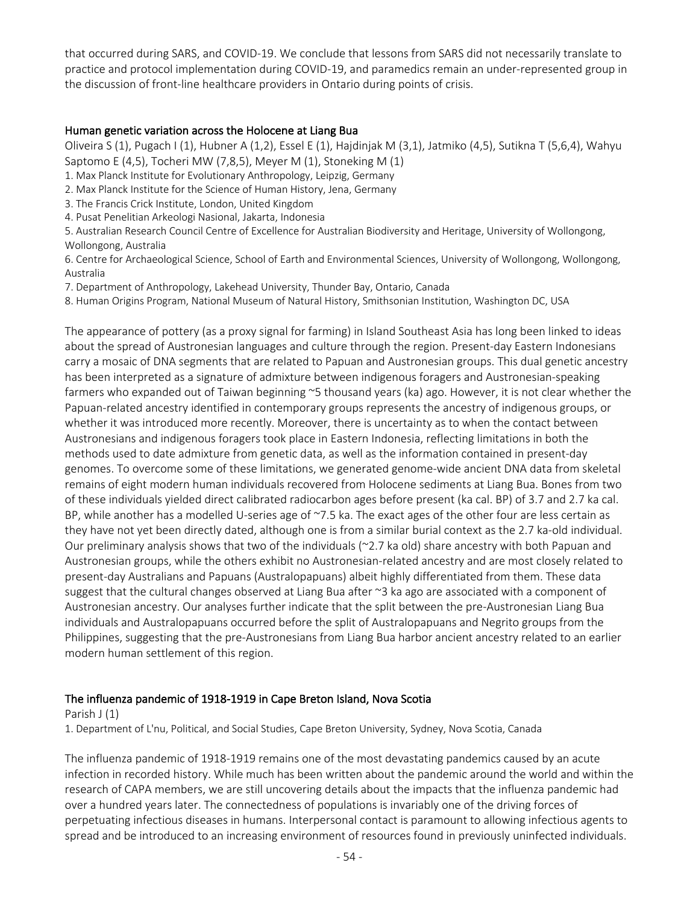that occurred during SARS, and COVID-19. We conclude that lessons from SARS did not necessarily translate to practice and protocol implementation during COVID-19, and paramedics remain an under-represented group in the discussion of front-line healthcare providers in Ontario during points of crisis.

#### Human genetic variation across the Holocene at Liang Bua

Oliveira S (1), Pugach I (1), Hubner A (1,2), Essel E (1), Hajdinjak M (3,1), Jatmiko (4,5), Sutikna T (5,6,4), Wahyu Saptomo E (4,5), Tocheri MW (7,8,5), Meyer M (1), Stoneking M (1)

- 1. Max Planck Institute for Evolutionary Anthropology, Leipzig, Germany
- 2. Max Planck Institute for the Science of Human History, Jena, Germany
- 3. The Francis Crick Institute, London, United Kingdom
- 4. Pusat Penelitian Arkeologi Nasional, Jakarta, Indonesia

5. Australian Research Council Centre of Excellence for Australian Biodiversity and Heritage, University of Wollongong, Wollongong, Australia

6. Centre for Archaeological Science, School of Earth and Environmental Sciences, University of Wollongong, Wollongong, Australia

7. Department of Anthropology, Lakehead University, Thunder Bay, Ontario, Canada

8. Human Origins Program, National Museum of Natural History, Smithsonian Institution, Washington DC, USA

The appearance of pottery (as a proxy signal for farming) in Island Southeast Asia has long been linked to ideas about the spread of Austronesian languages and culture through the region. Present-day Eastern Indonesians carry a mosaic of DNA segments that are related to Papuan and Austronesian groups. This dual genetic ancestry has been interpreted as a signature of admixture between indigenous foragers and Austronesian-speaking farmers who expanded out of Taiwan beginning ~5 thousand years (ka) ago. However, it is not clear whether the Papuan-related ancestry identified in contemporary groups represents the ancestry of indigenous groups, or whether it was introduced more recently. Moreover, there is uncertainty as to when the contact between Austronesians and indigenous foragers took place in Eastern Indonesia, reflecting limitations in both the methods used to date admixture from genetic data, as well as the information contained in present-day genomes. To overcome some of these limitations, we generated genome-wide ancient DNA data from skeletal remains of eight modern human individuals recovered from Holocene sediments at Liang Bua. Bones from two of these individuals yielded direct calibrated radiocarbon ages before present (ka cal. BP) of 3.7 and 2.7 ka cal. BP, while another has a modelled U-series age of ~7.5 ka. The exact ages of the other four are less certain as they have not yet been directly dated, although one is from a similar burial context as the 2.7 ka-old individual. Our preliminary analysis shows that two of the individuals (~2.7 ka old) share ancestry with both Papuan and Austronesian groups, while the others exhibit no Austronesian-related ancestry and are most closely related to present-day Australians and Papuans (Australopapuans) albeit highly differentiated from them. These data suggest that the cultural changes observed at Liang Bua after ~3 ka ago are associated with a component of Austronesian ancestry. Our analyses further indicate that the split between the pre-Austronesian Liang Bua individuals and Australopapuans occurred before the split of Australopapuans and Negrito groups from the Philippines, suggesting that the pre-Austronesians from Liang Bua harbor ancient ancestry related to an earlier modern human settlement of this region.

#### The influenza pandemic of 1918-1919 in Cape Breton Island, Nova Scotia

#### Parish J (1)

1. Department of L'nu, Political, and Social Studies, Cape Breton University, Sydney, Nova Scotia, Canada

The influenza pandemic of 1918-1919 remains one of the most devastating pandemics caused by an acute infection in recorded history. While much has been written about the pandemic around the world and within the research of CAPA members, we are still uncovering details about the impacts that the influenza pandemic had over a hundred years later. The connectedness of populations is invariably one of the driving forces of perpetuating infectious diseases in humans. Interpersonal contact is paramount to allowing infectious agents to spread and be introduced to an increasing environment of resources found in previously uninfected individuals.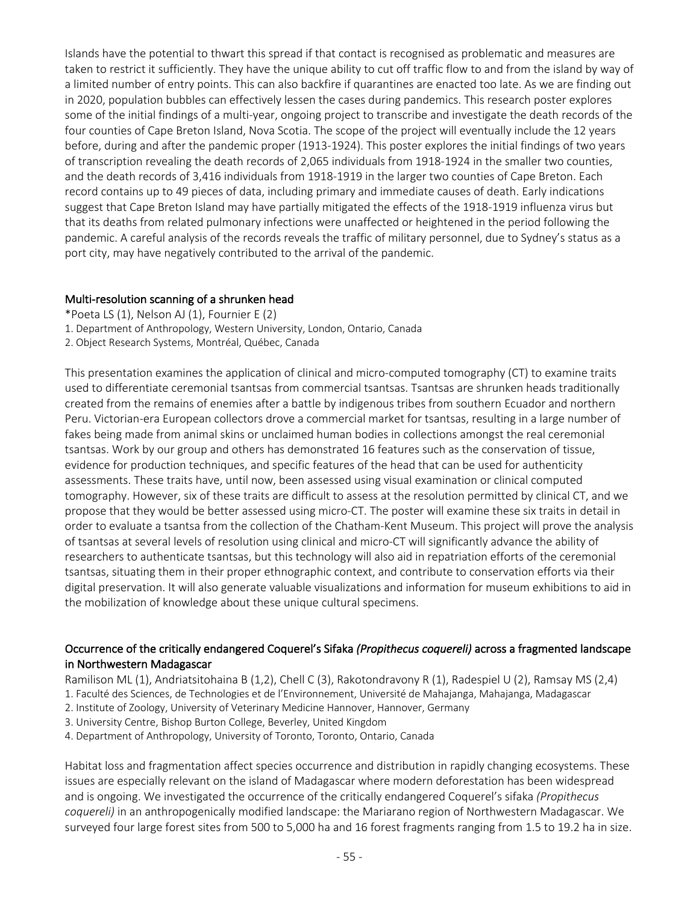Islands have the potential to thwart this spread if that contact is recognised as problematic and measures are taken to restrict it sufficiently. They have the unique ability to cut off traffic flow to and from the island by way of a limited number of entry points. This can also backfire if quarantines are enacted too late. As we are finding out in 2020, population bubbles can effectively lessen the cases during pandemics. This research poster explores some of the initial findings of a multi-year, ongoing project to transcribe and investigate the death records of the four counties of Cape Breton Island, Nova Scotia. The scope of the project will eventually include the 12 years before, during and after the pandemic proper (1913-1924). This poster explores the initial findings of two years of transcription revealing the death records of 2,065 individuals from 1918-1924 in the smaller two counties, and the death records of 3,416 individuals from 1918-1919 in the larger two counties of Cape Breton. Each record contains up to 49 pieces of data, including primary and immediate causes of death. Early indications suggest that Cape Breton Island may have partially mitigated the effects of the 1918-1919 influenza virus but that its deaths from related pulmonary infections were unaffected or heightened in the period following the pandemic. A careful analysis of the records reveals the traffic of military personnel, due to Sydney's status as a port city, may have negatively contributed to the arrival of the pandemic.

#### Multi-resolution scanning of a shrunken head

- \*Poeta LS (1), Nelson AJ (1), Fournier E (2)
- 1. Department of Anthropology, Western University, London, Ontario, Canada
- 2. Object Research Systems, Montréal, Québec, Canada

This presentation examines the application of clinical and micro-computed tomography (CT) to examine traits used to differentiate ceremonial tsantsas from commercial tsantsas. Tsantsas are shrunken heads traditionally created from the remains of enemies after a battle by indigenous tribes from southern Ecuador and northern Peru. Victorian-era European collectors drove a commercial market for tsantsas, resulting in a large number of fakes being made from animal skins or unclaimed human bodies in collections amongst the real ceremonial tsantsas. Work by our group and others has demonstrated 16 features such as the conservation of tissue, evidence for production techniques, and specific features of the head that can be used for authenticity assessments. These traits have, until now, been assessed using visual examination or clinical computed tomography. However, six of these traits are difficult to assess at the resolution permitted by clinical CT, and we propose that they would be better assessed using micro-CT. The poster will examine these six traits in detail in order to evaluate a tsantsa from the collection of the Chatham-Kent Museum. This project will prove the analysis of tsantsas at several levels of resolution using clinical and micro-CT will significantly advance the ability of researchers to authenticate tsantsas, but this technology will also aid in repatriation efforts of the ceremonial tsantsas, situating them in their proper ethnographic context, and contribute to conservation efforts via their digital preservation. It will also generate valuable visualizations and information for museum exhibitions to aid in the mobilization of knowledge about these unique cultural specimens.

# Occurrence of the critically endangered Coquerel's Sifaka *(Propithecus coquereli)* across a fragmented landscape in Northwestern Madagascar

Ramilison ML (1), Andriatsitohaina B (1,2), Chell C (3), Rakotondravony R (1), Radespiel U (2), Ramsay MS (2,4)

- 1. Faculté des Sciences, de Technologies et de l'Environnement, Université de Mahajanga, Mahajanga, Madagascar
- 2. Institute of Zoology, University of Veterinary Medicine Hannover, Hannover, Germany
- 3. University Centre, Bishop Burton College, Beverley, United Kingdom
- 4. Department of Anthropology, University of Toronto, Toronto, Ontario, Canada

Habitat loss and fragmentation affect species occurrence and distribution in rapidly changing ecosystems. These issues are especially relevant on the island of Madagascar where modern deforestation has been widespread and is ongoing. We investigated the occurrence of the critically endangered Coquerel's sifaka *(Propithecus coquereli)* in an anthropogenically modified landscape: the Mariarano region of Northwestern Madagascar. We surveyed four large forest sites from 500 to 5,000 ha and 16 forest fragments ranging from 1.5 to 19.2 ha in size.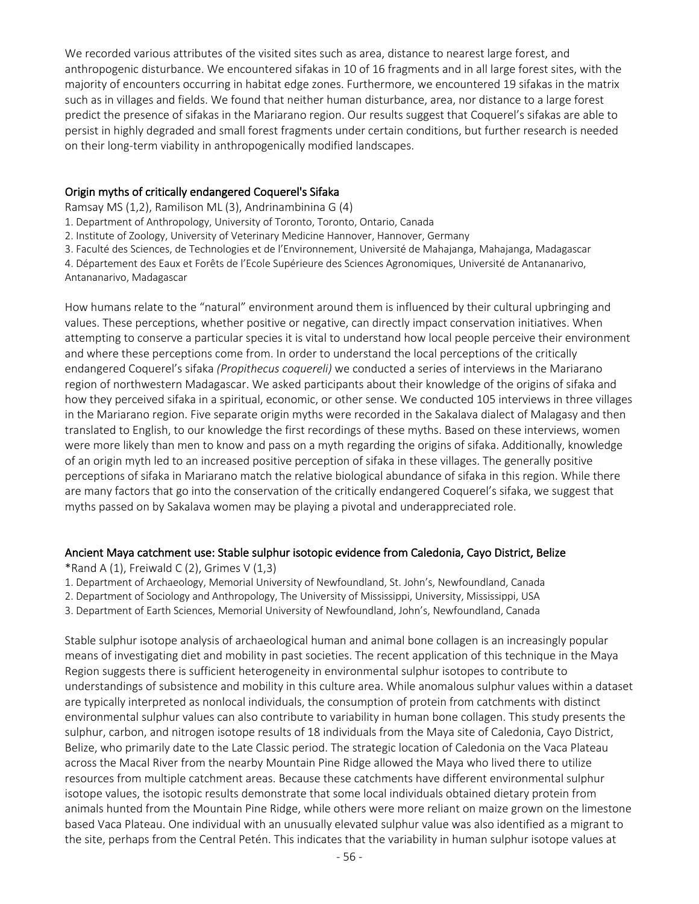We recorded various attributes of the visited sites such as area, distance to nearest large forest, and anthropogenic disturbance. We encountered sifakas in 10 of 16 fragments and in all large forest sites, with the majority of encounters occurring in habitat edge zones. Furthermore, we encountered 19 sifakas in the matrix such as in villages and fields. We found that neither human disturbance, area, nor distance to a large forest predict the presence of sifakas in the Mariarano region. Our results suggest that Coquerel's sifakas are able to persist in highly degraded and small forest fragments under certain conditions, but further research is needed on their long-term viability in anthropogenically modified landscapes.

## Origin myths of critically endangered Coquerel's Sifaka

Ramsay MS (1,2), Ramilison ML (3), Andrinambinina G (4)

- 1. Department of Anthropology, University of Toronto, Toronto, Ontario, Canada
- 2. Institute of Zoology, University of Veterinary Medicine Hannover, Hannover, Germany
- 3. Faculté des Sciences, de Technologies et de l'Environnement, Université de Mahajanga, Mahajanga, Madagascar 4. Département des Eaux et Forêts de l'Ecole Supérieure des Sciences Agronomiques, Université de Antananarivo,

Antananarivo, Madagascar

How humans relate to the "natural" environment around them is influenced by their cultural upbringing and values. These perceptions, whether positive or negative, can directly impact conservation initiatives. When attempting to conserve a particular species it is vital to understand how local people perceive their environment and where these perceptions come from. In order to understand the local perceptions of the critically endangered Coquerel's sifaka *(Propithecus coquereli)* we conducted a series of interviews in the Mariarano region of northwestern Madagascar. We asked participants about their knowledge of the origins of sifaka and how they perceived sifaka in a spiritual, economic, or other sense. We conducted 105 interviews in three villages in the Mariarano region. Five separate origin myths were recorded in the Sakalava dialect of Malagasy and then translated to English, to our knowledge the first recordings of these myths. Based on these interviews, women were more likely than men to know and pass on a myth regarding the origins of sifaka. Additionally, knowledge of an origin myth led to an increased positive perception of sifaka in these villages. The generally positive perceptions of sifaka in Mariarano match the relative biological abundance of sifaka in this region. While there are many factors that go into the conservation of the critically endangered Coquerel's sifaka, we suggest that myths passed on by Sakalava women may be playing a pivotal and underappreciated role.

#### Ancient Maya catchment use: Stable sulphur isotopic evidence from Caledonia, Cayo District, Belize

 $*$ Rand A (1), Freiwald C (2), Grimes V (1,3)

- 1. Department of Archaeology, Memorial University of Newfoundland, St. John's, Newfoundland, Canada
- 2. Department of Sociology and Anthropology, The University of Mississippi, University, Mississippi, USA
- 3. Department of Earth Sciences, Memorial University of Newfoundland, John's, Newfoundland, Canada

Stable sulphur isotope analysis of archaeological human and animal bone collagen is an increasingly popular means of investigating diet and mobility in past societies. The recent application of this technique in the Maya Region suggests there is sufficient heterogeneity in environmental sulphur isotopes to contribute to understandings of subsistence and mobility in this culture area. While anomalous sulphur values within a dataset are typically interpreted as nonlocal individuals, the consumption of protein from catchments with distinct environmental sulphur values can also contribute to variability in human bone collagen. This study presents the sulphur, carbon, and nitrogen isotope results of 18 individuals from the Maya site of Caledonia, Cayo District, Belize, who primarily date to the Late Classic period. The strategic location of Caledonia on the Vaca Plateau across the Macal River from the nearby Mountain Pine Ridge allowed the Maya who lived there to utilize resources from multiple catchment areas. Because these catchments have different environmental sulphur isotope values, the isotopic results demonstrate that some local individuals obtained dietary protein from animals hunted from the Mountain Pine Ridge, while others were more reliant on maize grown on the limestone based Vaca Plateau. One individual with an unusually elevated sulphur value was also identified as a migrant to the site, perhaps from the Central Petén. This indicates that the variability in human sulphur isotope values at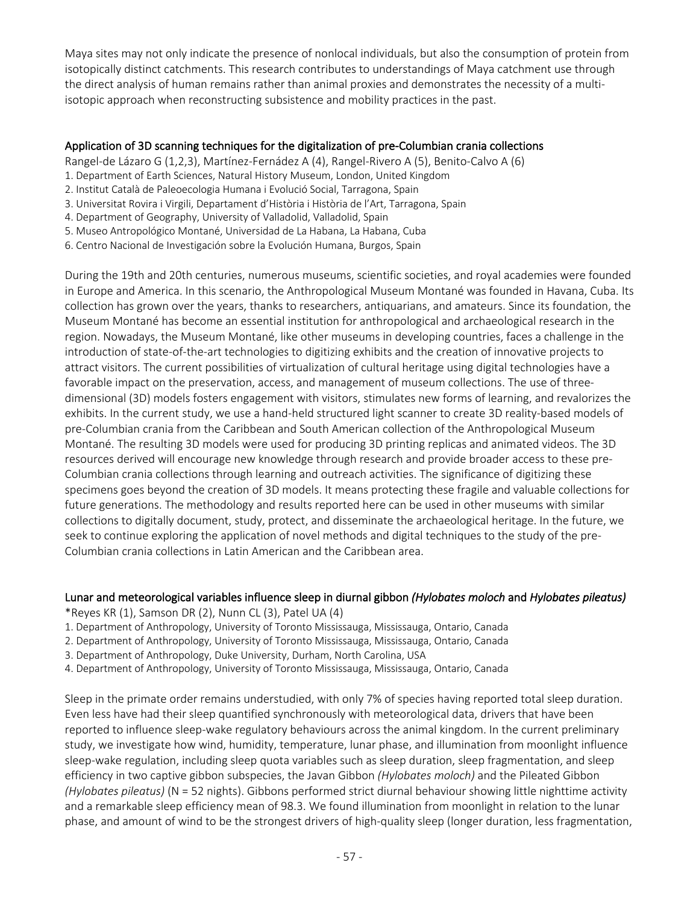Maya sites may not only indicate the presence of nonlocal individuals, but also the consumption of protein from isotopically distinct catchments. This research contributes to understandings of Maya catchment use through the direct analysis of human remains rather than animal proxies and demonstrates the necessity of a multiisotopic approach when reconstructing subsistence and mobility practices in the past.

## Application of 3D scanning techniques for the digitalization of pre-Columbian crania collections

Rangel-de Lázaro G (1,2,3), Martínez-Fernádez A (4), Rangel-Rivero A (5), Benito-Calvo A (6)

- 1. Department of Earth Sciences, Natural History Museum, London, United Kingdom
- 2. Institut Català de Paleoecologia Humana i Evolució Social, Tarragona, Spain
- 3. Universitat Rovira i Virgili, Departament d'Història i Història de l'Art, Tarragona, Spain
- 4. Department of Geography, University of Valladolid, Valladolid, Spain
- 5. Museo Antropológico Montané, Universidad de La Habana, La Habana, Cuba
- 6. Centro Nacional de Investigación sobre la Evolución Humana, Burgos, Spain

During the 19th and 20th centuries, numerous museums, scientific societies, and royal academies were founded in Europe and America. In this scenario, the Anthropological Museum Montané was founded in Havana, Cuba. Its collection has grown over the years, thanks to researchers, antiquarians, and amateurs. Since its foundation, the Museum Montané has become an essential institution for anthropological and archaeological research in the region. Nowadays, the Museum Montané, like other museums in developing countries, faces a challenge in the introduction of state-of-the-art technologies to digitizing exhibits and the creation of innovative projects to attract visitors. The current possibilities of virtualization of cultural heritage using digital technologies have a favorable impact on the preservation, access, and management of museum collections. The use of threedimensional (3D) models fosters engagement with visitors, stimulates new forms of learning, and revalorizes the exhibits. In the current study, we use a hand-held structured light scanner to create 3D reality-based models of pre-Columbian crania from the Caribbean and South American collection of the Anthropological Museum Montané. The resulting 3D models were used for producing 3D printing replicas and animated videos. The 3D resources derived will encourage new knowledge through research and provide broader access to these pre-Columbian crania collections through learning and outreach activities. The significance of digitizing these specimens goes beyond the creation of 3D models. It means protecting these fragile and valuable collections for future generations. The methodology and results reported here can be used in other museums with similar collections to digitally document, study, protect, and disseminate the archaeological heritage. In the future, we seek to continue exploring the application of novel methods and digital techniques to the study of the pre-Columbian crania collections in Latin American and the Caribbean area.

#### Lunar and meteorological variables influence sleep in diurnal gibbon *(Hylobates moloch* and *Hylobates pileatus)*

\*Reyes KR (1), Samson DR (2), Nunn CL (3), Patel UA (4)

- 1. Department of Anthropology, University of Toronto Mississauga, Mississauga, Ontario, Canada
- 2. Department of Anthropology, University of Toronto Mississauga, Mississauga, Ontario, Canada
- 3. Department of Anthropology, Duke University, Durham, North Carolina, USA
- 4. Department of Anthropology, University of Toronto Mississauga, Mississauga, Ontario, Canada

Sleep in the primate order remains understudied, with only 7% of species having reported total sleep duration. Even less have had their sleep quantified synchronously with meteorological data, drivers that have been reported to influence sleep-wake regulatory behaviours across the animal kingdom. In the current preliminary study, we investigate how wind, humidity, temperature, lunar phase, and illumination from moonlight influence sleep-wake regulation, including sleep quota variables such as sleep duration, sleep fragmentation, and sleep efficiency in two captive gibbon subspecies, the Javan Gibbon *(Hylobates moloch)* and the Pileated Gibbon *(Hylobates pileatus)* (N = 52 nights). Gibbons performed strict diurnal behaviour showing little nighttime activity and a remarkable sleep efficiency mean of 98.3. We found illumination from moonlight in relation to the lunar phase, and amount of wind to be the strongest drivers of high-quality sleep (longer duration, less fragmentation,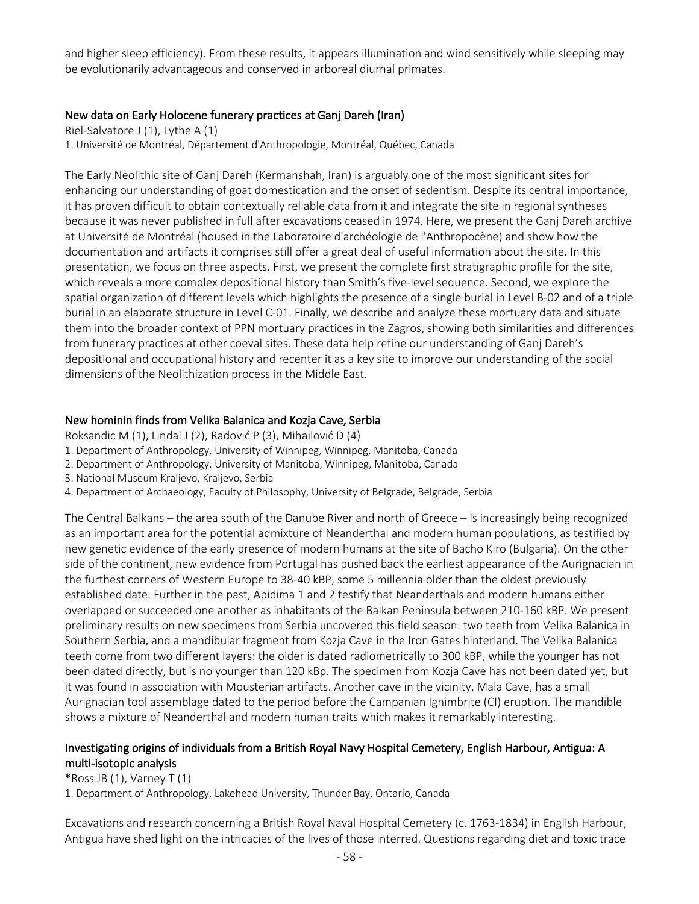and higher sleep efficiency). From these results, it appears illumination and wind sensitively while sleeping may be evolutionarily advantageous and conserved in arboreal diurnal primates.

## New data on Early Holocene funerary practices at Ganj Dareh (Iran)

Riel-Salvatore J (1), Lythe A (1) 1. Université de Montréal, Département d'Anthropologie, Montréal, Québec, Canada

The Early Neolithic site of Ganj Dareh (Kermanshah, Iran) is arguably one of the most significant sites for enhancing our understanding of goat domestication and the onset of sedentism. Despite its central importance, it has proven difficult to obtain contextually reliable data from it and integrate the site in regional syntheses because it was never published in full after excavations ceased in 1974. Here, we present the Ganj Dareh archive at Université de Montréal (housed in the Laboratoire d'archéologie de l'Anthropocène) and show how the documentation and artifacts it comprises still offer a great deal of useful information about the site. In this presentation, we focus on three aspects. First, we present the complete first stratigraphic profile for the site, which reveals a more complex depositional history than Smith's five-level sequence. Second, we explore the spatial organization of different levels which highlights the presence of a single burial in Level B-02 and of a triple burial in an elaborate structure in Level C-01. Finally, we describe and analyze these mortuary data and situate them into the broader context of PPN mortuary practices in the Zagros, showing both similarities and differences from funerary practices at other coeval sites. These data help refine our understanding of Ganj Dareh's depositional and occupational history and recenter it as a key site to improve our understanding of the social dimensions of the Neolithization process in the Middle East.

## New hominin finds from Velika Balanica and Kozja Cave, Serbia

Roksandic M (1), Lindal J (2), Radović P (3), Mihailović D (4)

- 1. Department of Anthropology, University of Winnipeg, Winnipeg, Manitoba, Canada
- 2. Department of Anthropology, University of Manitoba, Winnipeg, Manitoba, Canada
- 3. National Museum Kraljevo, Kraljevo, Serbia
- 4. Department of Archaeology, Faculty of Philosophy, University of Belgrade, Belgrade, Serbia

The Central Balkans – the area south of the Danube River and north of Greece – is increasingly being recognized as an important area for the potential admixture of Neanderthal and modern human populations, as testified by new genetic evidence of the early presence of modern humans at the site of Bacho Kiro (Bulgaria). On the other side of the continent, new evidence from Portugal has pushed back the earliest appearance of the Aurignacian in the furthest corners of Western Europe to 38-40 kBP, some 5 millennia older than the oldest previously established date. Further in the past, Apidima 1 and 2 testify that Neanderthals and modern humans either overlapped or succeeded one another as inhabitants of the Balkan Peninsula between 210-160 kBP. We present preliminary results on new specimens from Serbia uncovered this field season: two teeth from Velika Balanica in Southern Serbia, and a mandibular fragment from Kozja Cave in the Iron Gates hinterland. The Velika Balanica teeth come from two different layers: the older is dated radiometrically to 300 kBP, while the younger has not been dated directly, but is no younger than 120 kBp. The specimen from Kozja Cave has not been dated yet, but it was found in association with Mousterian artifacts. Another cave in the vicinity, Mala Cave, has a small Aurignacian tool assemblage dated to the period before the Campanian Ignimbrite (CI) eruption. The mandible shows a mixture of Neanderthal and modern human traits which makes it remarkably interesting.

# Investigating origins of individuals from a British Royal Navy Hospital Cemetery, English Harbour, Antigua: A multi-isotopic analysis

 $*$ Ross JB  $(1)$ , Varney T $(1)$ 1. Department of Anthropology, Lakehead University, Thunder Bay, Ontario, Canada

Excavations and research concerning a British Royal Naval Hospital Cemetery (c. 1763-1834) in English Harbour, Antigua have shed light on the intricacies of the lives of those interred. Questions regarding diet and toxic trace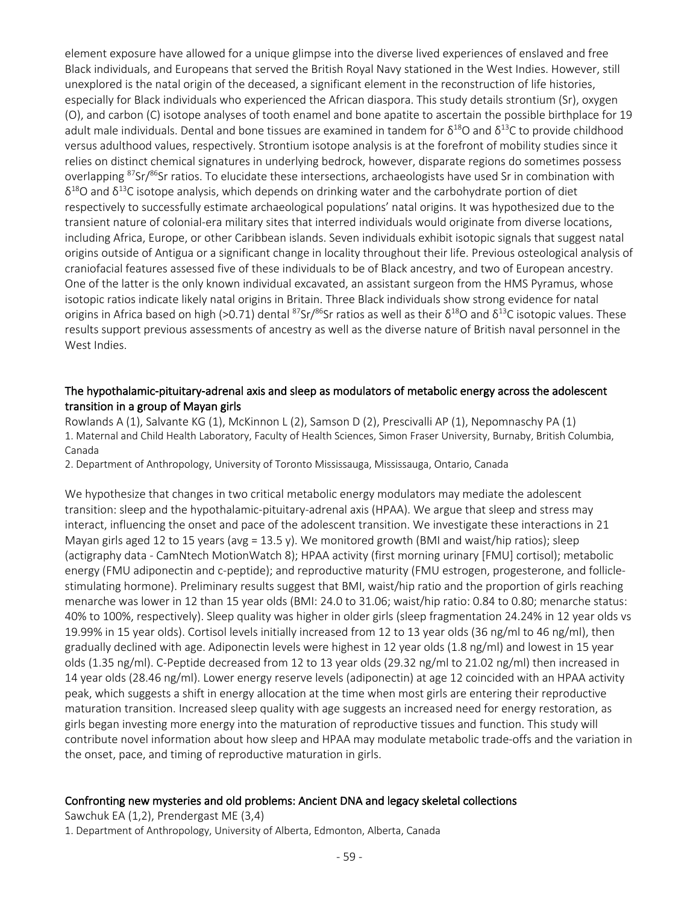element exposure have allowed for a unique glimpse into the diverse lived experiences of enslaved and free Black individuals, and Europeans that served the British Royal Navy stationed in the West Indies. However, still unexplored is the natal origin of the deceased, a significant element in the reconstruction of life histories, especially for Black individuals who experienced the African diaspora. This study details strontium (Sr), oxygen (O), and carbon (C) isotope analyses of tooth enamel and bone apatite to ascertain the possible birthplace for 19 adult male individuals. Dental and bone tissues are examined in tandem for  $\delta^{18}$ O and  $\delta^{13}$ C to provide childhood versus adulthood values, respectively. Strontium isotope analysis is at the forefront of mobility studies since it relies on distinct chemical signatures in underlying bedrock, however, disparate regions do sometimes possess overlapping <sup>87</sup>Sr/<sup>86</sup>Sr ratios. To elucidate these intersections, archaeologists have used Sr in combination with  $\delta^{18}$ O and  $\delta^{13}$ C isotope analysis, which depends on drinking water and the carbohydrate portion of diet respectively to successfully estimate archaeological populations' natal origins. It was hypothesized due to the transient nature of colonial-era military sites that interred individuals would originate from diverse locations, including Africa, Europe, or other Caribbean islands. Seven individuals exhibit isotopic signals that suggest natal origins outside of Antigua or a significant change in locality throughout their life. Previous osteological analysis of craniofacial features assessed five of these individuals to be of Black ancestry, and two of European ancestry. One of the latter is the only known individual excavated, an assistant surgeon from the HMS Pyramus, whose isotopic ratios indicate likely natal origins in Britain. Three Black individuals show strong evidence for natal origins in Africa based on high (>0.71) dental <sup>87</sup>Sr/<sup>86</sup>Sr ratios as well as their  $\delta^{18}$ O and  $\delta^{13}$ C isotopic values. These results support previous assessments of ancestry as well as the diverse nature of British naval personnel in the West Indies.

## The hypothalamic-pituitary-adrenal axis and sleep as modulators of metabolic energy across the adolescent transition in a group of Mayan girls

Rowlands A (1), Salvante KG (1), McKinnon L (2), Samson D (2), Prescivalli AP (1), Nepomnaschy PA (1) 1. Maternal and Child Health Laboratory, Faculty of Health Sciences, Simon Fraser University, Burnaby, British Columbia, Canada

2. Department of Anthropology, University of Toronto Mississauga, Mississauga, Ontario, Canada

We hypothesize that changes in two critical metabolic energy modulators may mediate the adolescent transition: sleep and the hypothalamic-pituitary-adrenal axis (HPAA). We argue that sleep and stress may interact, influencing the onset and pace of the adolescent transition. We investigate these interactions in 21 Mayan girls aged 12 to 15 years (avg = 13.5 y). We monitored growth (BMI and waist/hip ratios); sleep (actigraphy data - CamNtech MotionWatch 8); HPAA activity (first morning urinary [FMU] cortisol); metabolic energy (FMU adiponectin and c-peptide); and reproductive maturity (FMU estrogen, progesterone, and folliclestimulating hormone). Preliminary results suggest that BMI, waist/hip ratio and the proportion of girls reaching menarche was lower in 12 than 15 year olds (BMI: 24.0 to 31.06; waist/hip ratio: 0.84 to 0.80; menarche status: 40% to 100%, respectively). Sleep quality was higher in older girls (sleep fragmentation 24.24% in 12 year olds vs 19.99% in 15 year olds). Cortisol levels initially increased from 12 to 13 year olds (36 ng/ml to 46 ng/ml), then gradually declined with age. Adiponectin levels were highest in 12 year olds (1.8 ng/ml) and lowest in 15 year olds (1.35 ng/ml). C-Peptide decreased from 12 to 13 year olds (29.32 ng/ml to 21.02 ng/ml) then increased in 14 year olds (28.46 ng/ml). Lower energy reserve levels (adiponectin) at age 12 coincided with an HPAA activity peak, which suggests a shift in energy allocation at the time when most girls are entering their reproductive maturation transition. Increased sleep quality with age suggests an increased need for energy restoration, as girls began investing more energy into the maturation of reproductive tissues and function. This study will contribute novel information about how sleep and HPAA may modulate metabolic trade-offs and the variation in the onset, pace, and timing of reproductive maturation in girls.

#### Confronting new mysteries and old problems: Ancient DNA and legacy skeletal collections

Sawchuk EA (1,2), Prendergast ME (3,4)

1. Department of Anthropology, University of Alberta, Edmonton, Alberta, Canada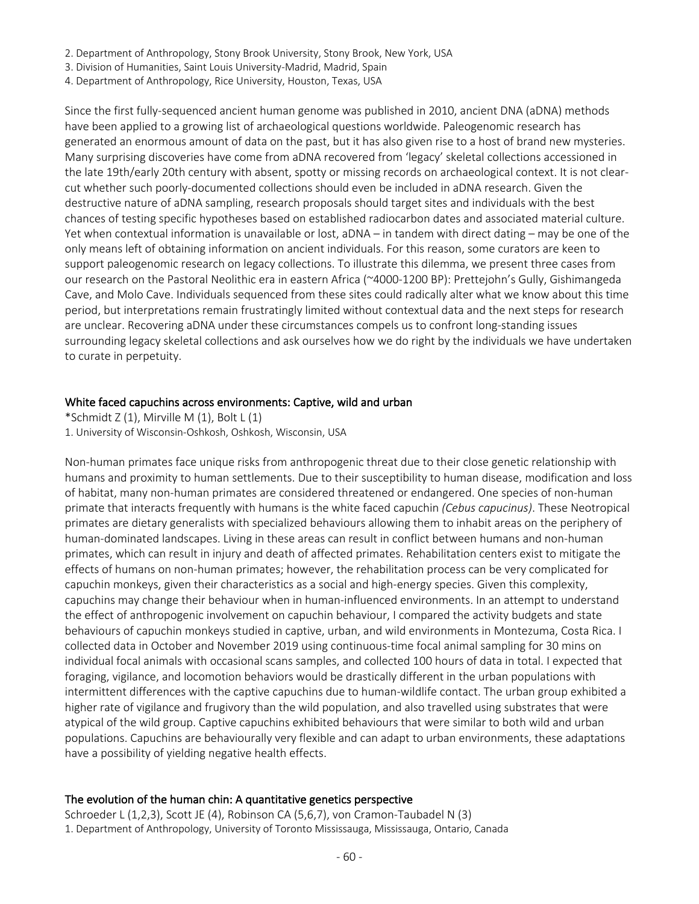- 2. Department of Anthropology, Stony Brook University, Stony Brook, New York, USA
- 3. Division of Humanities, Saint Louis University-Madrid, Madrid, Spain
- 4. Department of Anthropology, Rice University, Houston, Texas, USA

Since the first fully-sequenced ancient human genome was published in 2010, ancient DNA (aDNA) methods have been applied to a growing list of archaeological questions worldwide. Paleogenomic research has generated an enormous amount of data on the past, but it has also given rise to a host of brand new mysteries. Many surprising discoveries have come from aDNA recovered from 'legacy' skeletal collections accessioned in the late 19th/early 20th century with absent, spotty or missing records on archaeological context. It is not clearcut whether such poorly-documented collections should even be included in aDNA research. Given the destructive nature of aDNA sampling, research proposals should target sites and individuals with the best chances of testing specific hypotheses based on established radiocarbon dates and associated material culture. Yet when contextual information is unavailable or lost, aDNA – in tandem with direct dating – may be one of the only means left of obtaining information on ancient individuals. For this reason, some curators are keen to support paleogenomic research on legacy collections. To illustrate this dilemma, we present three cases from our research on the Pastoral Neolithic era in eastern Africa (~4000-1200 BP): Prettejohn's Gully, Gishimangeda Cave, and Molo Cave. Individuals sequenced from these sites could radically alter what we know about this time period, but interpretations remain frustratingly limited without contextual data and the next steps for research are unclear. Recovering aDNA under these circumstances compels us to confront long-standing issues surrounding legacy skeletal collections and ask ourselves how we do right by the individuals we have undertaken to curate in perpetuity.

#### White faced capuchins across environments: Captive, wild and urban

\*Schmidt  $Z(1)$ , Mirville M $(1)$ , Bolt L $(1)$ 1. University of Wisconsin-Oshkosh, Oshkosh, Wisconsin, USA

Non-human primates face unique risks from anthropogenic threat due to their close genetic relationship with humans and proximity to human settlements. Due to their susceptibility to human disease, modification and loss of habitat, many non-human primates are considered threatened or endangered. One species of non-human primate that interacts frequently with humans is the white faced capuchin *(Cebus capucinus)*. These Neotropical primates are dietary generalists with specialized behaviours allowing them to inhabit areas on the periphery of human-dominated landscapes. Living in these areas can result in conflict between humans and non-human primates, which can result in injury and death of affected primates. Rehabilitation centers exist to mitigate the effects of humans on non-human primates; however, the rehabilitation process can be very complicated for capuchin monkeys, given their characteristics as a social and high-energy species. Given this complexity, capuchins may change their behaviour when in human-influenced environments. In an attempt to understand the effect of anthropogenic involvement on capuchin behaviour, I compared the activity budgets and state behaviours of capuchin monkeys studied in captive, urban, and wild environments in Montezuma, Costa Rica. I collected data in October and November 2019 using continuous-time focal animal sampling for 30 mins on individual focal animals with occasional scans samples, and collected 100 hours of data in total. I expected that foraging, vigilance, and locomotion behaviors would be drastically different in the urban populations with intermittent differences with the captive capuchins due to human-wildlife contact. The urban group exhibited a higher rate of vigilance and frugivory than the wild population, and also travelled using substrates that were atypical of the wild group. Captive capuchins exhibited behaviours that were similar to both wild and urban populations. Capuchins are behaviourally very flexible and can adapt to urban environments, these adaptations have a possibility of yielding negative health effects.

#### The evolution of the human chin: A quantitative genetics perspective

Schroeder L (1,2,3), Scott JE (4), Robinson CA (5,6,7), von Cramon-Taubadel N (3) 1. Department of Anthropology, University of Toronto Mississauga, Mississauga, Ontario, Canada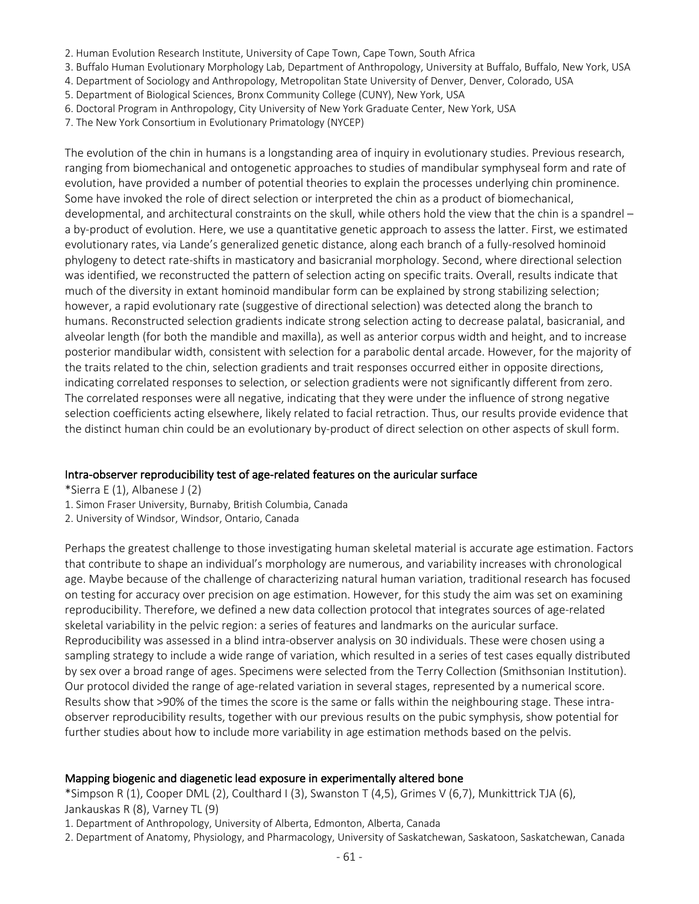- 2. Human Evolution Research Institute, University of Cape Town, Cape Town, South Africa
- 3. Buffalo Human Evolutionary Morphology Lab, Department of Anthropology, University at Buffalo, Buffalo, New York, USA
- 4. Department of Sociology and Anthropology, Metropolitan State University of Denver, Denver, Colorado, USA
- 5. Department of Biological Sciences, Bronx Community College (CUNY), New York, USA
- 6. Doctoral Program in Anthropology, City University of New York Graduate Center, New York, USA
- 7. The New York Consortium in Evolutionary Primatology (NYCEP)

The evolution of the chin in humans is a longstanding area of inquiry in evolutionary studies. Previous research, ranging from biomechanical and ontogenetic approaches to studies of mandibular symphyseal form and rate of evolution, have provided a number of potential theories to explain the processes underlying chin prominence. Some have invoked the role of direct selection or interpreted the chin as a product of biomechanical, developmental, and architectural constraints on the skull, while others hold the view that the chin is a spandrel – a by-product of evolution. Here, we use a quantitative genetic approach to assess the latter. First, we estimated evolutionary rates, via Lande's generalized genetic distance, along each branch of a fully-resolved hominoid phylogeny to detect rate-shifts in masticatory and basicranial morphology. Second, where directional selection was identified, we reconstructed the pattern of selection acting on specific traits. Overall, results indicate that much of the diversity in extant hominoid mandibular form can be explained by strong stabilizing selection; however, a rapid evolutionary rate (suggestive of directional selection) was detected along the branch to humans. Reconstructed selection gradients indicate strong selection acting to decrease palatal, basicranial, and alveolar length (for both the mandible and maxilla), as well as anterior corpus width and height, and to increase posterior mandibular width, consistent with selection for a parabolic dental arcade. However, for the majority of the traits related to the chin, selection gradients and trait responses occurred either in opposite directions, indicating correlated responses to selection, or selection gradients were not significantly different from zero. The correlated responses were all negative, indicating that they were under the influence of strong negative selection coefficients acting elsewhere, likely related to facial retraction. Thus, our results provide evidence that the distinct human chin could be an evolutionary by-product of direct selection on other aspects of skull form.

#### Intra-observer reproducibility test of age-related features on the auricular surface

- \*Sierra E (1), Albanese J (2)
- 1. Simon Fraser University, Burnaby, British Columbia, Canada
- 2. University of Windsor, Windsor, Ontario, Canada

Perhaps the greatest challenge to those investigating human skeletal material is accurate age estimation. Factors that contribute to shape an individual's morphology are numerous, and variability increases with chronological age. Maybe because of the challenge of characterizing natural human variation, traditional research has focused on testing for accuracy over precision on age estimation. However, for this study the aim was set on examining reproducibility. Therefore, we defined a new data collection protocol that integrates sources of age-related skeletal variability in the pelvic region: a series of features and landmarks on the auricular surface. Reproducibility was assessed in a blind intra-observer analysis on 30 individuals. These were chosen using a sampling strategy to include a wide range of variation, which resulted in a series of test cases equally distributed by sex over a broad range of ages. Specimens were selected from the Terry Collection (Smithsonian Institution). Our protocol divided the range of age-related variation in several stages, represented by a numerical score. Results show that >90% of the times the score is the same or falls within the neighbouring stage. These intraobserver reproducibility results, together with our previous results on the pubic symphysis, show potential for further studies about how to include more variability in age estimation methods based on the pelvis.

#### Mapping biogenic and diagenetic lead exposure in experimentally altered bone

\*Simpson R (1), Cooper DML (2), Coulthard I (3), Swanston T (4,5), Grimes V (6,7), Munkittrick TJA (6), Jankauskas R (8), Varney TL (9)

1. Department of Anthropology, University of Alberta, Edmonton, Alberta, Canada

2. Department of Anatomy, Physiology, and Pharmacology, University of Saskatchewan, Saskatoon, Saskatchewan, Canada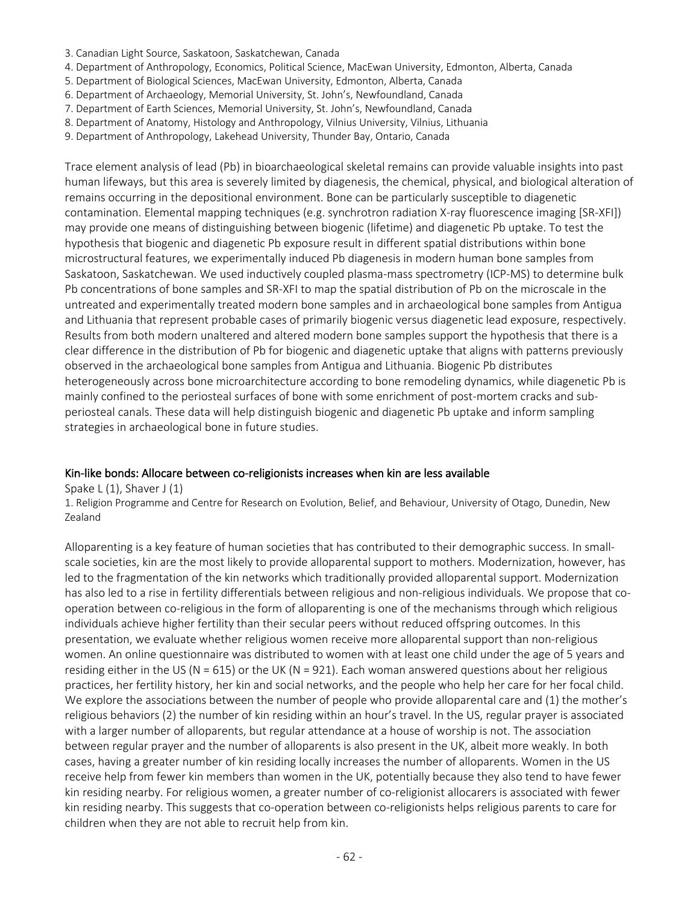- 3. Canadian Light Source, Saskatoon, Saskatchewan, Canada
- 4. Department of Anthropology, Economics, Political Science, MacEwan University, Edmonton, Alberta, Canada
- 5. Department of Biological Sciences, MacEwan University, Edmonton, Alberta, Canada
- 6. Department of Archaeology, Memorial University, St. John's, Newfoundland, Canada
- 7. Department of Earth Sciences, Memorial University, St. John's, Newfoundland, Canada
- 8. Department of Anatomy, Histology and Anthropology, Vilnius University, Vilnius, Lithuania
- 9. Department of Anthropology, Lakehead University, Thunder Bay, Ontario, Canada

Trace element analysis of lead (Pb) in bioarchaeological skeletal remains can provide valuable insights into past human lifeways, but this area is severely limited by diagenesis, the chemical, physical, and biological alteration of remains occurring in the depositional environment. Bone can be particularly susceptible to diagenetic contamination. Elemental mapping techniques (e.g. synchrotron radiation X-ray fluorescence imaging [SR-XFI]) may provide one means of distinguishing between biogenic (lifetime) and diagenetic Pb uptake. To test the hypothesis that biogenic and diagenetic Pb exposure result in different spatial distributions within bone microstructural features, we experimentally induced Pb diagenesis in modern human bone samples from Saskatoon, Saskatchewan. We used inductively coupled plasma-mass spectrometry (ICP-MS) to determine bulk Pb concentrations of bone samples and SR-XFI to map the spatial distribution of Pb on the microscale in the untreated and experimentally treated modern bone samples and in archaeological bone samples from Antigua and Lithuania that represent probable cases of primarily biogenic versus diagenetic lead exposure, respectively. Results from both modern unaltered and altered modern bone samples support the hypothesis that there is a clear difference in the distribution of Pb for biogenic and diagenetic uptake that aligns with patterns previously observed in the archaeological bone samples from Antigua and Lithuania. Biogenic Pb distributes heterogeneously across bone microarchitecture according to bone remodeling dynamics, while diagenetic Pb is mainly confined to the periosteal surfaces of bone with some enrichment of post-mortem cracks and subperiosteal canals. These data will help distinguish biogenic and diagenetic Pb uptake and inform sampling strategies in archaeological bone in future studies.

#### Kin-like bonds: Allocare between co-religionists increases when kin are less available

Spake L(1), Shaver J(1) 1. Religion Programme and Centre for Research on Evolution, Belief, and Behaviour, University of Otago, Dunedin, New Zealand

Alloparenting is a key feature of human societies that has contributed to their demographic success. In smallscale societies, kin are the most likely to provide alloparental support to mothers. Modernization, however, has led to the fragmentation of the kin networks which traditionally provided alloparental support. Modernization has also led to a rise in fertility differentials between religious and non-religious individuals. We propose that cooperation between co-religious in the form of alloparenting is one of the mechanisms through which religious individuals achieve higher fertility than their secular peers without reduced offspring outcomes. In this presentation, we evaluate whether religious women receive more alloparental support than non-religious women. An online questionnaire was distributed to women with at least one child under the age of 5 years and residing either in the US ( $N = 615$ ) or the UK ( $N = 921$ ). Each woman answered questions about her religious practices, her fertility history, her kin and social networks, and the people who help her care for her focal child. We explore the associations between the number of people who provide alloparental care and (1) the mother's religious behaviors (2) the number of kin residing within an hour's travel. In the US, regular prayer is associated with a larger number of alloparents, but regular attendance at a house of worship is not. The association between regular prayer and the number of alloparents is also present in the UK, albeit more weakly. In both cases, having a greater number of kin residing locally increases the number of alloparents. Women in the US receive help from fewer kin members than women in the UK, potentially because they also tend to have fewer kin residing nearby. For religious women, a greater number of co-religionist allocarers is associated with fewer kin residing nearby. This suggests that co-operation between co-religionists helps religious parents to care for children when they are not able to recruit help from kin.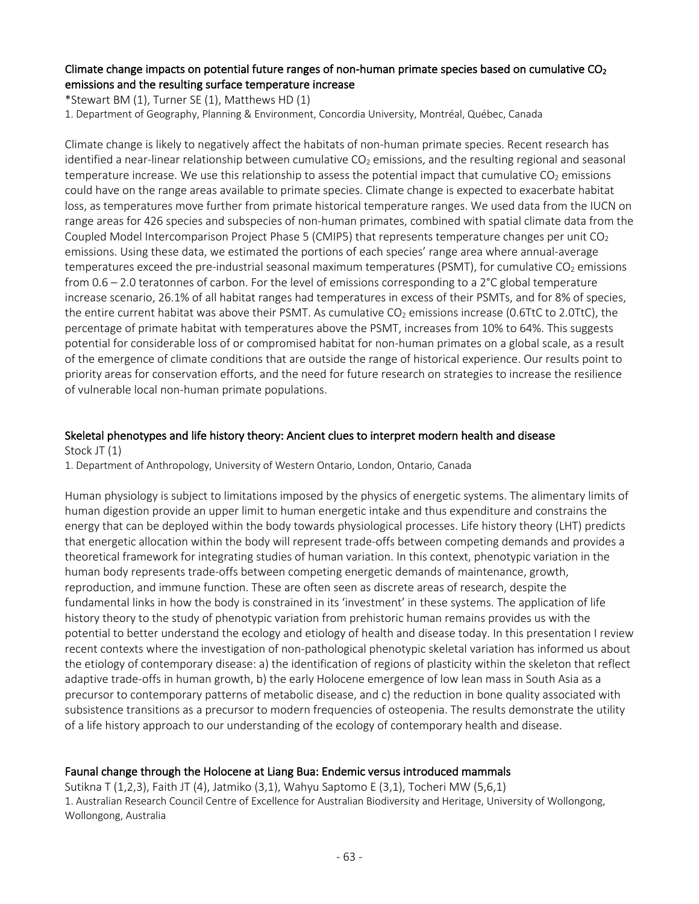# Climate change impacts on potential future ranges of non-human primate species based on cumulative  $CO<sub>2</sub>$ emissions and the resulting surface temperature increase

\*Stewart BM (1), Turner SE (1), Matthews HD (1)

1. Department of Geography, Planning & Environment, Concordia University, Montréal, Québec, Canada

Climate change is likely to negatively affect the habitats of non-human primate species. Recent research has identified a near-linear relationship between cumulative  $CO<sub>2</sub>$  emissions, and the resulting regional and seasonal temperature increase. We use this relationship to assess the potential impact that cumulative  $CO<sub>2</sub>$  emissions could have on the range areas available to primate species. Climate change is expected to exacerbate habitat loss, as temperatures move further from primate historical temperature ranges. We used data from the IUCN on range areas for 426 species and subspecies of non-human primates, combined with spatial climate data from the Coupled Model Intercomparison Project Phase 5 (CMIP5) that represents temperature changes per unit CO<sub>2</sub> emissions. Using these data, we estimated the portions of each species' range area where annual-average temperatures exceed the pre-industrial seasonal maximum temperatures (PSMT), for cumulative  $CO<sub>2</sub>$  emissions from 0.6 – 2.0 teratonnes of carbon. For the level of emissions corresponding to a 2°C global temperature increase scenario, 26.1% of all habitat ranges had temperatures in excess of their PSMTs, and for 8% of species, the entire current habitat was above their PSMT. As cumulative  $CO<sub>2</sub>$  emissions increase (0.6TtC to 2.0TtC), the percentage of primate habitat with temperatures above the PSMT, increases from 10% to 64%. This suggests potential for considerable loss of or compromised habitat for non-human primates on a global scale, as a result of the emergence of climate conditions that are outside the range of historical experience. Our results point to priority areas for conservation efforts, and the need for future research on strategies to increase the resilience of vulnerable local non-human primate populations.

## Skeletal phenotypes and life history theory: Ancient clues to interpret modern health and disease Stock JT (1)

1. Department of Anthropology, University of Western Ontario, London, Ontario, Canada

Human physiology is subject to limitations imposed by the physics of energetic systems. The alimentary limits of human digestion provide an upper limit to human energetic intake and thus expenditure and constrains the energy that can be deployed within the body towards physiological processes. Life history theory (LHT) predicts that energetic allocation within the body will represent trade-offs between competing demands and provides a theoretical framework for integrating studies of human variation. In this context, phenotypic variation in the human body represents trade-offs between competing energetic demands of maintenance, growth, reproduction, and immune function. These are often seen as discrete areas of research, despite the fundamental links in how the body is constrained in its 'investment' in these systems. The application of life history theory to the study of phenotypic variation from prehistoric human remains provides us with the potential to better understand the ecology and etiology of health and disease today. In this presentation I review recent contexts where the investigation of non-pathological phenotypic skeletal variation has informed us about the etiology of contemporary disease: a) the identification of regions of plasticity within the skeleton that reflect adaptive trade-offs in human growth, b) the early Holocene emergence of low lean mass in South Asia as a precursor to contemporary patterns of metabolic disease, and c) the reduction in bone quality associated with subsistence transitions as a precursor to modern frequencies of osteopenia. The results demonstrate the utility of a life history approach to our understanding of the ecology of contemporary health and disease.

#### Faunal change through the Holocene at Liang Bua: Endemic versus introduced mammals

Sutikna T (1,2,3), Faith JT (4), Jatmiko (3,1), Wahyu Saptomo E (3,1), Tocheri MW (5,6,1) 1. Australian Research Council Centre of Excellence for Australian Biodiversity and Heritage, University of Wollongong, Wollongong, Australia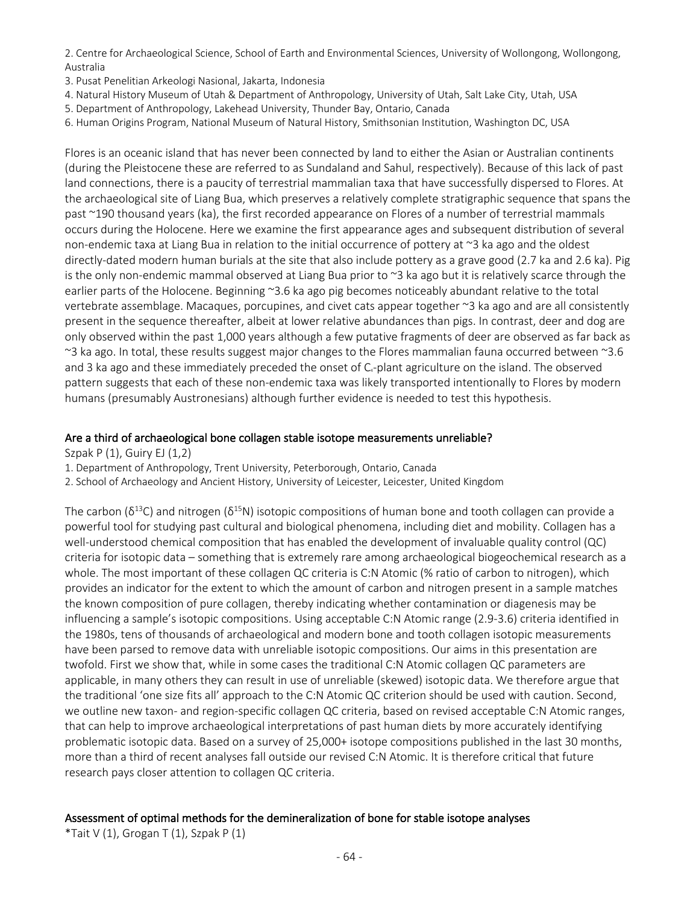2. Centre for Archaeological Science, School of Earth and Environmental Sciences, University of Wollongong, Wollongong, Australia

- 3. Pusat Penelitian Arkeologi Nasional, Jakarta, Indonesia
- 4. Natural History Museum of Utah & Department of Anthropology, University of Utah, Salt Lake City, Utah, USA
- 5. Department of Anthropology, Lakehead University, Thunder Bay, Ontario, Canada
- 6. Human Origins Program, National Museum of Natural History, Smithsonian Institution, Washington DC, USA

Flores is an oceanic island that has never been connected by land to either the Asian or Australian continents (during the Pleistocene these are referred to as Sundaland and Sahul, respectively). Because of this lack of past land connections, there is a paucity of terrestrial mammalian taxa that have successfully dispersed to Flores. At the archaeological site of Liang Bua, which preserves a relatively complete stratigraphic sequence that spans the past ~190 thousand years (ka), the first recorded appearance on Flores of a number of terrestrial mammals occurs during the Holocene. Here we examine the first appearance ages and subsequent distribution of several non-endemic taxa at Liang Bua in relation to the initial occurrence of pottery at ~3 ka ago and the oldest directly-dated modern human burials at the site that also include pottery as a grave good (2.7 ka and 2.6 ka). Pig is the only non-endemic mammal observed at Liang Bua prior to ~3 ka ago but it is relatively scarce through the earlier parts of the Holocene. Beginning ~3.6 ka ago pig becomes noticeably abundant relative to the total vertebrate assemblage. Macaques, porcupines, and civet cats appear together ~3 ka ago and are all consistently present in the sequence thereafter, albeit at lower relative abundances than pigs. In contrast, deer and dog are only observed within the past 1,000 years although a few putative fragments of deer are observed as far back as ~3 ka ago. In total, these results suggest major changes to the Flores mammalian fauna occurred between ~3.6 and 3 ka ago and these immediately preceded the onset of C<sub>4</sub>-plant agriculture on the island. The observed pattern suggests that each of these non-endemic taxa was likely transported intentionally to Flores by modern humans (presumably Austronesians) although further evidence is needed to test this hypothesis.

#### Are a third of archaeological bone collagen stable isotope measurements unreliable?

Szpak P (1), Guiry EJ (1,2)

1. Department of Anthropology, Trent University, Peterborough, Ontario, Canada

2. School of Archaeology and Ancient History, University of Leicester, Leicester, United Kingdom

The carbon ( $\delta^{13}$ C) and nitrogen ( $\delta^{15}$ N) isotopic compositions of human bone and tooth collagen can provide a powerful tool for studying past cultural and biological phenomena, including diet and mobility. Collagen has a well-understood chemical composition that has enabled the development of invaluable quality control (QC) criteria for isotopic data – something that is extremely rare among archaeological biogeochemical research as a whole. The most important of these collagen QC criteria is C:N Atomic (% ratio of carbon to nitrogen), which provides an indicator for the extent to which the amount of carbon and nitrogen present in a sample matches the known composition of pure collagen, thereby indicating whether contamination or diagenesis may be influencing a sample's isotopic compositions. Using acceptable C:N Atomic range (2.9-3.6) criteria identified in the 1980s, tens of thousands of archaeological and modern bone and tooth collagen isotopic measurements have been parsed to remove data with unreliable isotopic compositions. Our aims in this presentation are twofold. First we show that, while in some cases the traditional C:N Atomic collagen QC parameters are applicable, in many others they can result in use of unreliable (skewed) isotopic data. We therefore argue that the traditional 'one size fits all' approach to the C:N Atomic QC criterion should be used with caution. Second, we outline new taxon- and region-specific collagen QC criteria, based on revised acceptable C:N Atomic ranges, that can help to improve archaeological interpretations of past human diets by more accurately identifying problematic isotopic data. Based on a survey of 25,000+ isotope compositions published in the last 30 months, more than a third of recent analyses fall outside our revised C:N Atomic. It is therefore critical that future research pays closer attention to collagen QC criteria.

#### Assessment of optimal methods for the demineralization of bone for stable isotope analyses

\*Tait V  $(1)$ , Grogan T  $(1)$ , Szpak P  $(1)$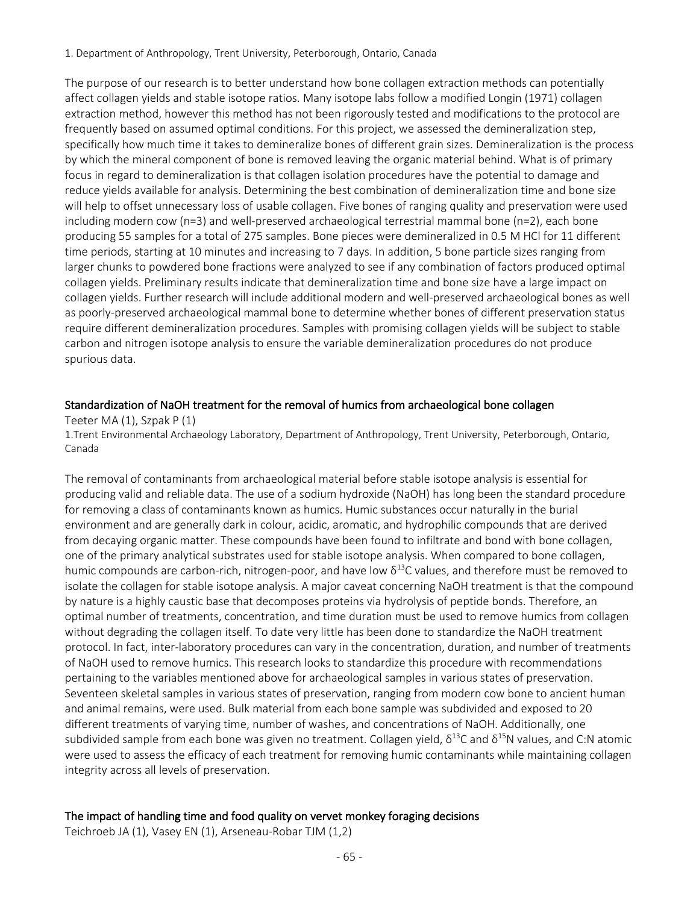1. Department of Anthropology, Trent University, Peterborough, Ontario, Canada

The purpose of our research is to better understand how bone collagen extraction methods can potentially affect collagen yields and stable isotope ratios. Many isotope labs follow a modified Longin (1971) collagen extraction method, however this method has not been rigorously tested and modifications to the protocol are frequently based on assumed optimal conditions. For this project, we assessed the demineralization step, specifically how much time it takes to demineralize bones of different grain sizes. Demineralization is the process by which the mineral component of bone is removed leaving the organic material behind. What is of primary focus in regard to demineralization is that collagen isolation procedures have the potential to damage and reduce yields available for analysis. Determining the best combination of demineralization time and bone size will help to offset unnecessary loss of usable collagen. Five bones of ranging quality and preservation were used including modern cow (n=3) and well-preserved archaeological terrestrial mammal bone (n=2), each bone producing 55 samples for a total of 275 samples. Bone pieces were demineralized in 0.5 M HCl for 11 different time periods, starting at 10 minutes and increasing to 7 days. In addition, 5 bone particle sizes ranging from larger chunks to powdered bone fractions were analyzed to see if any combination of factors produced optimal collagen yields. Preliminary results indicate that demineralization time and bone size have a large impact on collagen yields. Further research will include additional modern and well-preserved archaeological bones as well as poorly-preserved archaeological mammal bone to determine whether bones of different preservation status require different demineralization procedures. Samples with promising collagen yields will be subject to stable carbon and nitrogen isotope analysis to ensure the variable demineralization procedures do not produce spurious data.

# Standardization of NaOH treatment for the removal of humics from archaeological bone collagen

Teeter MA (1), Szpak P (1)

1.Trent Environmental Archaeology Laboratory, Department of Anthropology, Trent University, Peterborough, Ontario, Canada

The removal of contaminants from archaeological material before stable isotope analysis is essential for producing valid and reliable data. The use of a sodium hydroxide (NaOH) has long been the standard procedure for removing a class of contaminants known as humics. Humic substances occur naturally in the burial environment and are generally dark in colour, acidic, aromatic, and hydrophilic compounds that are derived from decaying organic matter. These compounds have been found to infiltrate and bond with bone collagen, one of the primary analytical substrates used for stable isotope analysis. When compared to bone collagen, humic compounds are carbon-rich, nitrogen-poor, and have low  $\delta^{13}$ C values, and therefore must be removed to isolate the collagen for stable isotope analysis. A major caveat concerning NaOH treatment is that the compound by nature is a highly caustic base that decomposes proteins via hydrolysis of peptide bonds. Therefore, an optimal number of treatments, concentration, and time duration must be used to remove humics from collagen without degrading the collagen itself. To date very little has been done to standardize the NaOH treatment protocol. In fact, inter-laboratory procedures can vary in the concentration, duration, and number of treatments of NaOH used to remove humics. This research looks to standardize this procedure with recommendations pertaining to the variables mentioned above for archaeological samples in various states of preservation. Seventeen skeletal samples in various states of preservation, ranging from modern cow bone to ancient human and animal remains, were used. Bulk material from each bone sample was subdivided and exposed to 20 different treatments of varying time, number of washes, and concentrations of NaOH. Additionally, one subdivided sample from each bone was given no treatment. Collagen yield,  $\delta^{13}$ C and  $\delta^{15}$ N values, and C:N atomic were used to assess the efficacy of each treatment for removing humic contaminants while maintaining collagen integrity across all levels of preservation.

# The impact of handling time and food quality on vervet monkey foraging decisions

Teichroeb JA (1), Vasey EN (1), Arseneau-Robar TJM (1,2)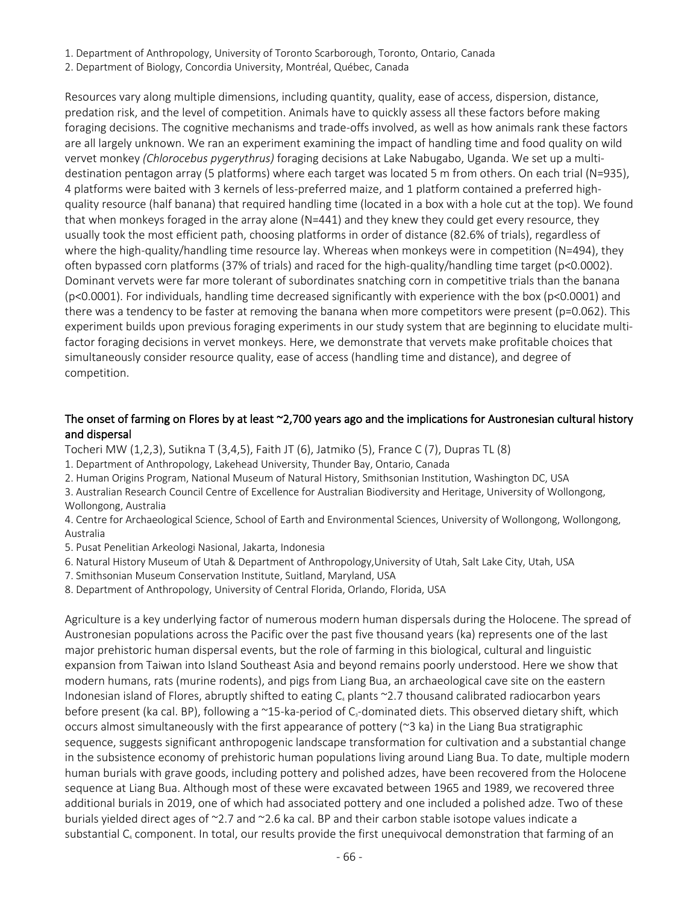- 1. Department of Anthropology, University of Toronto Scarborough, Toronto, Ontario, Canada
- 2. Department of Biology, Concordia University, Montréal, Québec, Canada

Resources vary along multiple dimensions, including quantity, quality, ease of access, dispersion, distance, predation risk, and the level of competition. Animals have to quickly assess all these factors before making foraging decisions. The cognitive mechanisms and trade-offs involved, as well as how animals rank these factors are all largely unknown. We ran an experiment examining the impact of handling time and food quality on wild vervet monkey *(Chlorocebus pygerythrus)* foraging decisions at Lake Nabugabo, Uganda. We set up a multidestination pentagon array (5 platforms) where each target was located 5 m from others. On each trial (N=935), 4 platforms were baited with 3 kernels of less-preferred maize, and 1 platform contained a preferred highquality resource (half banana) that required handling time (located in a box with a hole cut at the top). We found that when monkeys foraged in the array alone (N=441) and they knew they could get every resource, they usually took the most efficient path, choosing platforms in order of distance (82.6% of trials), regardless of where the high-quality/handling time resource lay. Whereas when monkeys were in competition (N=494), they often bypassed corn platforms (37% of trials) and raced for the high-quality/handling time target (p<0.0002). Dominant vervets were far more tolerant of subordinates snatching corn in competitive trials than the banana (p<0.0001). For individuals, handling time decreased significantly with experience with the box (p<0.0001) and there was a tendency to be faster at removing the banana when more competitors were present (p=0.062). This experiment builds upon previous foraging experiments in our study system that are beginning to elucidate multifactor foraging decisions in vervet monkeys. Here, we demonstrate that vervets make profitable choices that simultaneously consider resource quality, ease of access (handling time and distance), and degree of competition.

## The onset of farming on Flores by at least ~2,700 years ago and the implications for Austronesian cultural history and dispersal

- Tocheri MW (1,2,3), Sutikna T (3,4,5), Faith JT (6), Jatmiko (5), France C (7), Dupras TL (8)
- 1. Department of Anthropology, Lakehead University, Thunder Bay, Ontario, Canada
- 2. Human Origins Program, National Museum of Natural History, Smithsonian Institution, Washington DC, USA
- 3. Australian Research Council Centre of Excellence for Australian Biodiversity and Heritage, University of Wollongong, Wollongong, Australia

4. Centre for Archaeological Science, School of Earth and Environmental Sciences, University of Wollongong, Wollongong, Australia

- 5. Pusat Penelitian Arkeologi Nasional, Jakarta, Indonesia
- 6. Natural History Museum of Utah & Department of Anthropology,University of Utah, Salt Lake City, Utah, USA
- 7. Smithsonian Museum Conservation Institute, Suitland, Maryland, USA
- 8. Department of Anthropology, University of Central Florida, Orlando, Florida, USA

Agriculture is a key underlying factor of numerous modern human dispersals during the Holocene. The spread of Austronesian populations across the Pacific over the past five thousand years (ka) represents one of the last major prehistoric human dispersal events, but the role of farming in this biological, cultural and linguistic expansion from Taiwan into Island Southeast Asia and beyond remains poorly understood. Here we show that modern humans, rats (murine rodents), and pigs from Liang Bua, an archaeological cave site on the eastern Indonesian island of Flores, abruptly shifted to eating  $C_4$  plants  $\sim$ 2.7 thousand calibrated radiocarbon years before present (ka cal. BP), following a ~15-ka-period of C<sub>3</sub>-dominated diets. This observed dietary shift, which occurs almost simultaneously with the first appearance of pottery (~3 ka) in the Liang Bua stratigraphic sequence, suggests significant anthropogenic landscape transformation for cultivation and a substantial change in the subsistence economy of prehistoric human populations living around Liang Bua. To date, multiple modern human burials with grave goods, including pottery and polished adzes, have been recovered from the Holocene sequence at Liang Bua. Although most of these were excavated between 1965 and 1989, we recovered three additional burials in 2019, one of which had associated pottery and one included a polished adze. Two of these burials yielded direct ages of  $\approx$  2.7 and  $\approx$  2.6 ka cal. BP and their carbon stable isotope values indicate a substantial C<sub>4</sub> component. In total, our results provide the first unequivocal demonstration that farming of an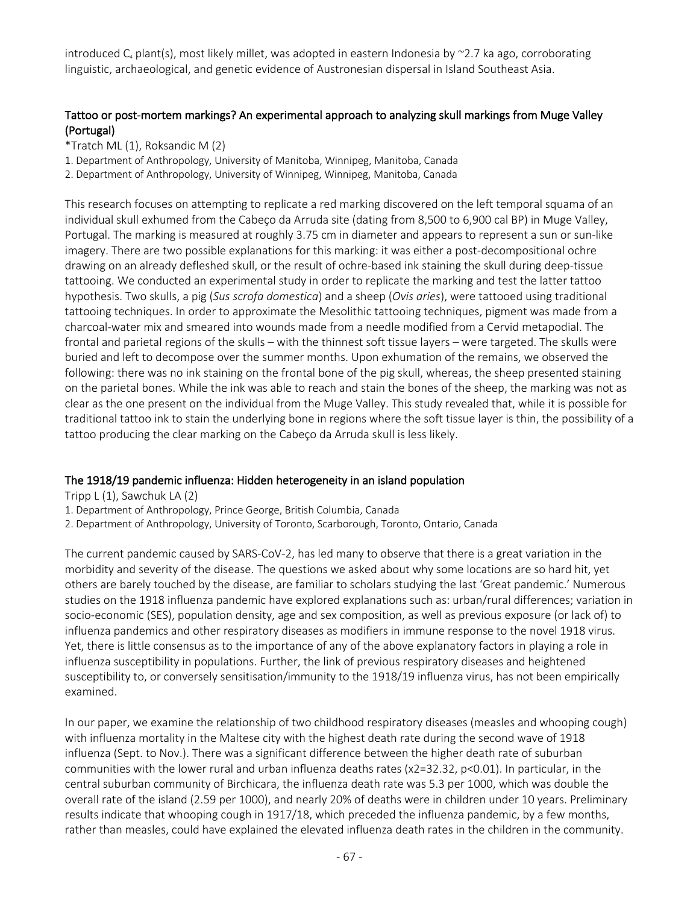introduced  $C_4$  plant(s), most likely millet, was adopted in eastern Indonesia by  $\approx$ 2.7 ka ago, corroborating linguistic, archaeological, and genetic evidence of Austronesian dispersal in Island Southeast Asia.

# Tattoo or post-mortem markings? An experimental approach to analyzing skull markings from Muge Valley (Portugal)

- \*Tratch ML (1), Roksandic M (2)
- 1. Department of Anthropology, University of Manitoba, Winnipeg, Manitoba, Canada
- 2. Department of Anthropology, University of Winnipeg, Winnipeg, Manitoba, Canada

This research focuses on attempting to replicate a red marking discovered on the left temporal squama of an individual skull exhumed from the Cabeço da Arruda site (dating from 8,500 to 6,900 cal BP) in Muge Valley, Portugal. The marking is measured at roughly 3.75 cm in diameter and appears to represent a sun or sun-like imagery. There are two possible explanations for this marking: it was either a post-decompositional ochre drawing on an already defleshed skull, or the result of ochre-based ink staining the skull during deep-tissue tattooing. We conducted an experimental study in order to replicate the marking and test the latter tattoo hypothesis. Two skulls, a pig (*Sus scrofa domestica*) and a sheep (*Ovis aries*), were tattooed using traditional tattooing techniques. In order to approximate the Mesolithic tattooing techniques, pigment was made from a charcoal-water mix and smeared into wounds made from a needle modified from a Cervid metapodial. The frontal and parietal regions of the skulls – with the thinnest soft tissue layers – were targeted. The skulls were buried and left to decompose over the summer months. Upon exhumation of the remains, we observed the following: there was no ink staining on the frontal bone of the pig skull, whereas, the sheep presented staining on the parietal bones. While the ink was able to reach and stain the bones of the sheep, the marking was not as clear as the one present on the individual from the Muge Valley. This study revealed that, while it is possible for traditional tattoo ink to stain the underlying bone in regions where the soft tissue layer is thin, the possibility of a tattoo producing the clear marking on the Cabeço da Arruda skull is less likely.

#### The 1918/19 pandemic influenza: Hidden heterogeneity in an island population

Tripp L (1), Sawchuk LA (2)

- 1. Department of Anthropology, Prince George, British Columbia, Canada
- 2. Department of Anthropology, University of Toronto, Scarborough, Toronto, Ontario, Canada

The current pandemic caused by SARS-CoV-2, has led many to observe that there is a great variation in the morbidity and severity of the disease. The questions we asked about why some locations are so hard hit, yet others are barely touched by the disease, are familiar to scholars studying the last 'Great pandemic.' Numerous studies on the 1918 influenza pandemic have explored explanations such as: urban/rural differences; variation in socio-economic (SES), population density, age and sex composition, as well as previous exposure (or lack of) to influenza pandemics and other respiratory diseases as modifiers in immune response to the novel 1918 virus. Yet, there is little consensus as to the importance of any of the above explanatory factors in playing a role in influenza susceptibility in populations. Further, the link of previous respiratory diseases and heightened susceptibility to, or conversely sensitisation/immunity to the 1918/19 influenza virus, has not been empirically examined.

In our paper, we examine the relationship of two childhood respiratory diseases (measles and whooping cough) with influenza mortality in the Maltese city with the highest death rate during the second wave of 1918 influenza (Sept. to Nov.). There was a significant difference between the higher death rate of suburban communities with the lower rural and urban influenza deaths rates (x2=32.32, p<0.01). In particular, in the central suburban community of Birchicara, the influenza death rate was 5.3 per 1000, which was double the overall rate of the island (2.59 per 1000), and nearly 20% of deaths were in children under 10 years. Preliminary results indicate that whooping cough in 1917/18, which preceded the influenza pandemic, by a few months, rather than measles, could have explained the elevated influenza death rates in the children in the community.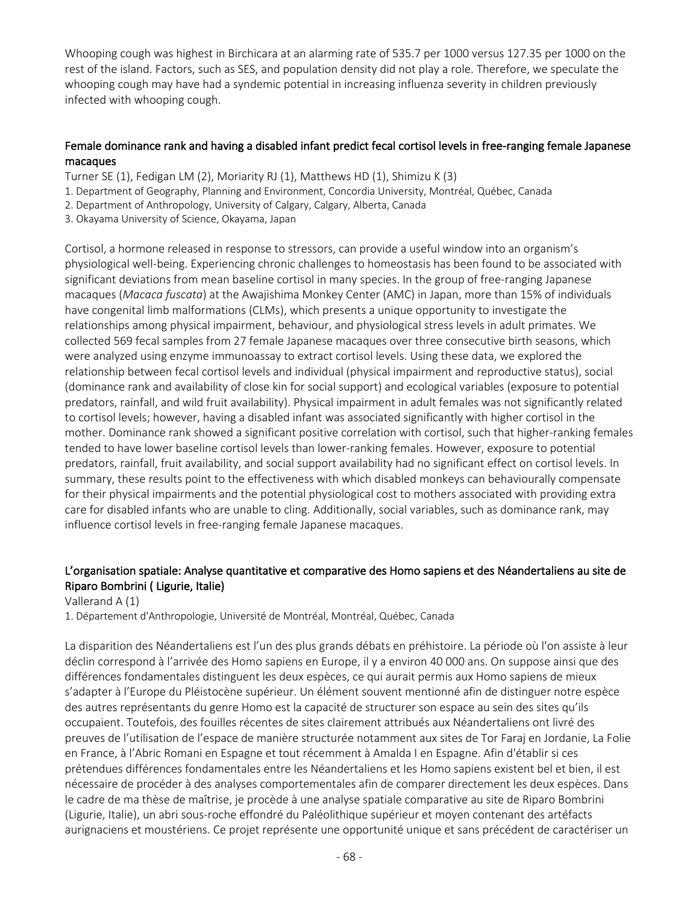Whooping cough was highest in Birchicara at an alarming rate of 535.7 per 1000 versus 127.35 per 1000 on the rest of the island. Factors, such as SES, and population density did not play a role. Therefore, we speculate the whooping cough may have had a syndemic potential in increasing influenza severity in children previously infected with whooping cough.

## Female dominance rank and having a disabled infant predict fecal cortisol levels in free-ranging female Japanese macaques

Turner SE (1), Fedigan LM (2), Moriarity RJ (1), Matthews HD (1), Shimizu K (3)

- 1. Department of Geography, Planning and Environment, Concordia University, Montréal, Québec, Canada
- 2. Department of Anthropology, University of Calgary, Calgary, Alberta, Canada
- 3. Okayama University of Science, Okayama, Japan

Cortisol, a hormone released in response to stressors, can provide a useful window into an organism's physiological well-being. Experiencing chronic challenges to homeostasis has been found to be associated with significant deviations from mean baseline cortisol in many species. In the group of free-ranging Japanese macaques (*Macaca fuscata*) at the Awajishima Monkey Center (AMC) in Japan, more than 15% of individuals have congenital limb malformations (CLMs), which presents a unique opportunity to investigate the relationships among physical impairment, behaviour, and physiological stress levels in adult primates. We collected 569 fecal samples from 27 female Japanese macaques over three consecutive birth seasons, which were analyzed using enzyme immunoassay to extract cortisol levels. Using these data, we explored the relationship between fecal cortisol levels and individual (physical impairment and reproductive status), social (dominance rank and availability of close kin for social support) and ecological variables (exposure to potential predators, rainfall, and wild fruit availability). Physical impairment in adult females was not significantly related to cortisol levels; however, having a disabled infant was associated significantly with higher cortisol in the mother. Dominance rank showed a significant positive correlation with cortisol, such that higher-ranking females tended to have lower baseline cortisol levels than lower-ranking females. However, exposure to potential predators, rainfall, fruit availability, and social support availability had no significant effect on cortisol levels. In summary, these results point to the effectiveness with which disabled monkeys can behaviourally compensate for their physical impairments and the potential physiological cost to mothers associated with providing extra care for disabled infants who are unable to cling. Additionally, social variables, such as dominance rank, may influence cortisol levels in free-ranging female Japanese macaques.

# L'organisation spatiale: Analyse quantitative et comparative des Homo sapiens et des Néandertaliens au site de Riparo Bombrini ( Ligurie, Italie)

#### Vallerand A (1)

1. Département d'Anthropologie, Université de Montréal, Montréal, Québec, Canada

La disparition des Néandertaliens est l'un des plus grands débats en préhistoire. La période où l'on assiste à leur déclin correspond à l'arrivée des Homo sapiens en Europe, il y a environ 40 000 ans. On suppose ainsi que des différences fondamentales distinguent les deux espèces, ce qui aurait permis aux Homo sapiens de mieux s'adapter à l'Europe du Pléistocène supérieur. Un élément souvent mentionné afin de distinguer notre espèce des autres représentants du genre Homo est la capacité de structurer son espace au sein des sites qu'ils occupaient. Toutefois, des fouilles récentes de sites clairement attribués aux Néandertaliens ont livré des preuves de l'utilisation de l'espace de manière structurée notamment aux sites de Tor Faraj en Jordanie, La Folie en France, à l'Abric Romani en Espagne et tout récemment à Amalda I en Espagne. Afin d'établir si ces prétendues différences fondamentales entre les Néandertaliens et les Homo sapiens existent bel et bien, il est nécessaire de procéder à des analyses comportementales afin de comparer directement les deux espèces. Dans le cadre de ma thèse de maîtrise, je procède à une analyse spatiale comparative au site de Riparo Bombrini (Ligurie, Italie), un abri sous-roche effondré du Paléolithique supérieur et moyen contenant des artéfacts aurignaciens et moustériens. Ce projet représente une opportunité unique et sans précédent de caractériser un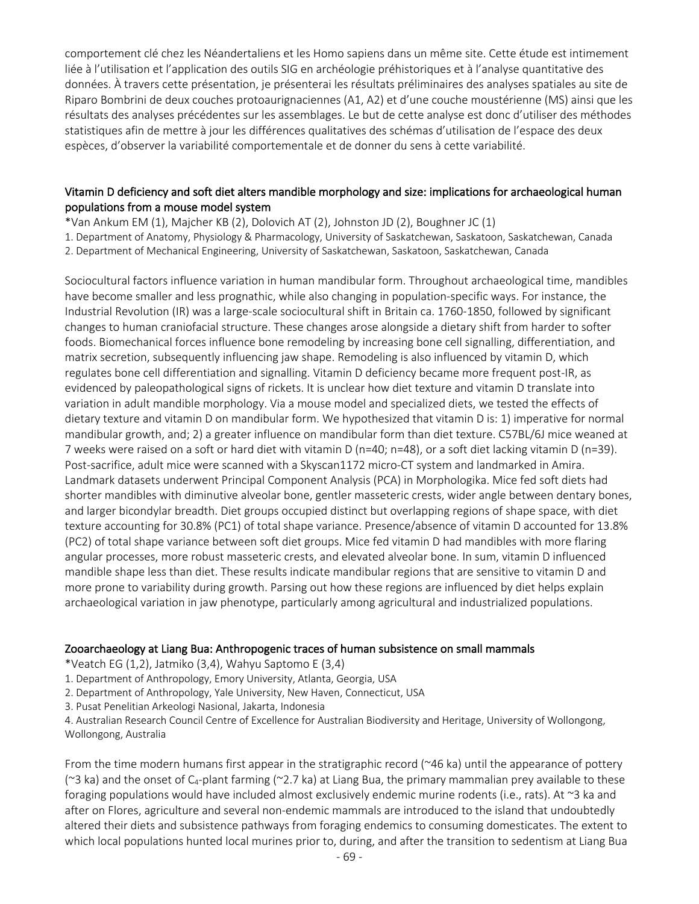comportement clé chez les Néandertaliens et les Homo sapiens dans un même site. Cette étude est intimement liée à l'utilisation et l'application des outils SIG en archéologie préhistoriques et à l'analyse quantitative des données. À travers cette présentation, je présenterai les résultats préliminaires des analyses spatiales au site de Riparo Bombrini de deux couches protoaurignaciennes (A1, A2) et d'une couche moustérienne (MS) ainsi que les résultats des analyses précédentes sur les assemblages. Le but de cette analyse est donc d'utiliser des méthodes statistiques afin de mettre à jour les différences qualitatives des schémas d'utilisation de l'espace des deux espèces, d'observer la variabilité comportementale et de donner du sens à cette variabilité.

## Vitamin D deficiency and soft diet alters mandible morphology and size: implications for archaeological human populations from a mouse model system

\*Van Ankum EM (1), Majcher KB (2), Dolovich AT (2), Johnston JD (2), Boughner JC (1)

1. Department of Anatomy, Physiology & Pharmacology, University of Saskatchewan, Saskatoon, Saskatchewan, Canada

2. Department of Mechanical Engineering, University of Saskatchewan, Saskatoon, Saskatchewan, Canada

Sociocultural factors influence variation in human mandibular form. Throughout archaeological time, mandibles have become smaller and less prognathic, while also changing in population-specific ways. For instance, the Industrial Revolution (IR) was a large-scale sociocultural shift in Britain ca. 1760-1850, followed by significant changes to human craniofacial structure. These changes arose alongside a dietary shift from harder to softer foods. Biomechanical forces influence bone remodeling by increasing bone cell signalling, differentiation, and matrix secretion, subsequently influencing jaw shape. Remodeling is also influenced by vitamin D, which regulates bone cell differentiation and signalling. Vitamin D deficiency became more frequent post-IR, as evidenced by paleopathological signs of rickets. It is unclear how diet texture and vitamin D translate into variation in adult mandible morphology. Via a mouse model and specialized diets, we tested the effects of dietary texture and vitamin D on mandibular form. We hypothesized that vitamin D is: 1) imperative for normal mandibular growth, and; 2) a greater influence on mandibular form than diet texture. C57BL/6J mice weaned at 7 weeks were raised on a soft or hard diet with vitamin D (n=40; n=48), or a soft diet lacking vitamin D (n=39). Post-sacrifice, adult mice were scanned with a Skyscan1172 micro-CT system and landmarked in Amira. Landmark datasets underwent Principal Component Analysis (PCA) in Morphologika. Mice fed soft diets had shorter mandibles with diminutive alveolar bone, gentler masseteric crests, wider angle between dentary bones, and larger bicondylar breadth. Diet groups occupied distinct but overlapping regions of shape space, with diet texture accounting for 30.8% (PC1) of total shape variance. Presence/absence of vitamin D accounted for 13.8% (PC2) of total shape variance between soft diet groups. Mice fed vitamin D had mandibles with more flaring angular processes, more robust masseteric crests, and elevated alveolar bone. In sum, vitamin D influenced mandible shape less than diet. These results indicate mandibular regions that are sensitive to vitamin D and more prone to variability during growth. Parsing out how these regions are influenced by diet helps explain archaeological variation in jaw phenotype, particularly among agricultural and industrialized populations.

#### Zooarchaeology at Liang Bua: Anthropogenic traces of human subsistence on small mammals

\*Veatch EG (1,2), Jatmiko (3,4), Wahyu Saptomo E (3,4)

1. Department of Anthropology, Emory University, Atlanta, Georgia, USA

2. Department of Anthropology, Yale University, New Haven, Connecticut, USA

3. Pusat Penelitian Arkeologi Nasional, Jakarta, Indonesia

4. Australian Research Council Centre of Excellence for Australian Biodiversity and Heritage, University of Wollongong, Wollongong, Australia

From the time modern humans first appear in the stratigraphic record (~46 ka) until the appearance of pottery ( $\approx$ 3 ka) and the onset of  $C_4$ -plant farming ( $\approx$ 2.7 ka) at Liang Bua, the primary mammalian prey available to these foraging populations would have included almost exclusively endemic murine rodents (i.e., rats). At ~3 ka and after on Flores, agriculture and several non-endemic mammals are introduced to the island that undoubtedly altered their diets and subsistence pathways from foraging endemics to consuming domesticates. The extent to which local populations hunted local murines prior to, during, and after the transition to sedentism at Liang Bua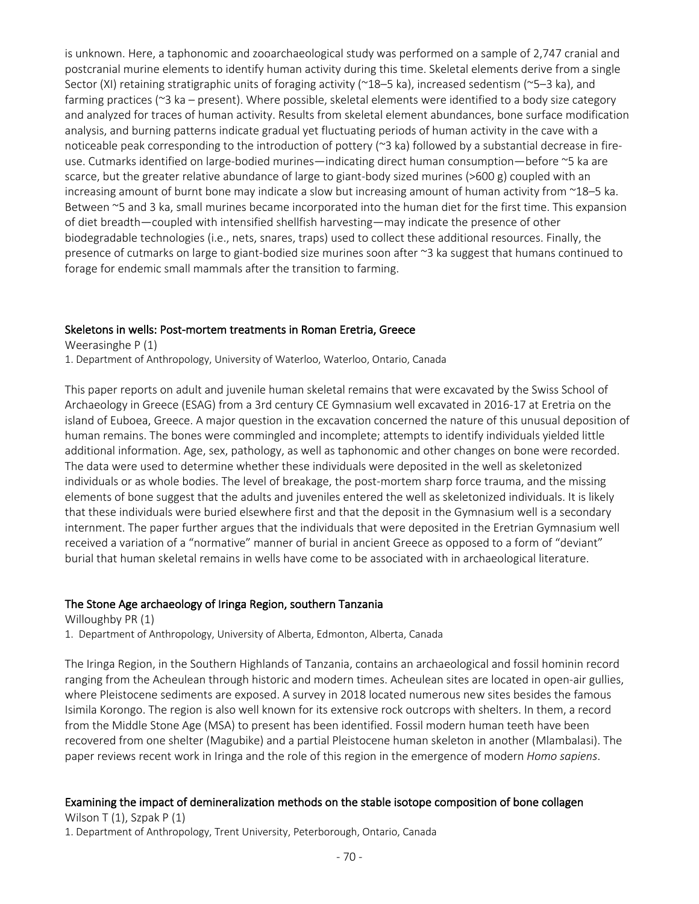is unknown. Here, a taphonomic and zooarchaeological study was performed on a sample of 2,747 cranial and postcranial murine elements to identify human activity during this time. Skeletal elements derive from a single Sector (XI) retaining stratigraphic units of foraging activity (~18–5 ka), increased sedentism (~5–3 ka), and farming practices (~3 ka – present). Where possible, skeletal elements were identified to a body size category and analyzed for traces of human activity. Results from skeletal element abundances, bone surface modification analysis, and burning patterns indicate gradual yet fluctuating periods of human activity in the cave with a noticeable peak corresponding to the introduction of pottery (~3 ka) followed by a substantial decrease in fireuse. Cutmarks identified on large-bodied murines—indicating direct human consumption—before ~5 ka are scarce, but the greater relative abundance of large to giant-body sized murines (>600 g) coupled with an increasing amount of burnt bone may indicate a slow but increasing amount of human activity from ~18–5 ka. Between ~5 and 3 ka, small murines became incorporated into the human diet for the first time. This expansion of diet breadth—coupled with intensified shellfish harvesting—may indicate the presence of other biodegradable technologies (i.e., nets, snares, traps) used to collect these additional resources. Finally, the presence of cutmarks on large to giant-bodied size murines soon after ~3 ka suggest that humans continued to forage for endemic small mammals after the transition to farming.

#### Skeletons in wells: Post-mortem treatments in Roman Eretria, Greece

Weerasinghe P (1) 1. Department of Anthropology, University of Waterloo, Waterloo, Ontario, Canada

This paper reports on adult and juvenile human skeletal remains that were excavated by the Swiss School of Archaeology in Greece (ESAG) from a 3rd century CE Gymnasium well excavated in 2016-17 at Eretria on the island of Euboea, Greece. A major question in the excavation concerned the nature of this unusual deposition of human remains. The bones were commingled and incomplete; attempts to identify individuals yielded little additional information. Age, sex, pathology, as well as taphonomic and other changes on bone were recorded. The data were used to determine whether these individuals were deposited in the well as skeletonized individuals or as whole bodies. The level of breakage, the post-mortem sharp force trauma, and the missing elements of bone suggest that the adults and juveniles entered the well as skeletonized individuals. It is likely that these individuals were buried elsewhere first and that the deposit in the Gymnasium well is a secondary internment. The paper further argues that the individuals that were deposited in the Eretrian Gymnasium well received a variation of a "normative" manner of burial in ancient Greece as opposed to a form of "deviant" burial that human skeletal remains in wells have come to be associated with in archaeological literature.

#### The Stone Age archaeology of Iringa Region, southern Tanzania

Willoughby PR (1) 1. Department of Anthropology, University of Alberta, Edmonton, Alberta, Canada

The Iringa Region, in the Southern Highlands of Tanzania, contains an archaeological and fossil hominin record ranging from the Acheulean through historic and modern times. Acheulean sites are located in open-air gullies, where Pleistocene sediments are exposed. A survey in 2018 located numerous new sites besides the famous Isimila Korongo. The region is also well known for its extensive rock outcrops with shelters. In them, a record from the Middle Stone Age (MSA) to present has been identified. Fossil modern human teeth have been recovered from one shelter (Magubike) and a partial Pleistocene human skeleton in another (Mlambalasi). The paper reviews recent work in Iringa and the role of this region in the emergence of modern *Homo sapiens*.

#### Examining the impact of demineralization methods on the stable isotope composition of bone collagen

Wilson T $(1)$ , Szpak P $(1)$ 1. Department of Anthropology, Trent University, Peterborough, Ontario, Canada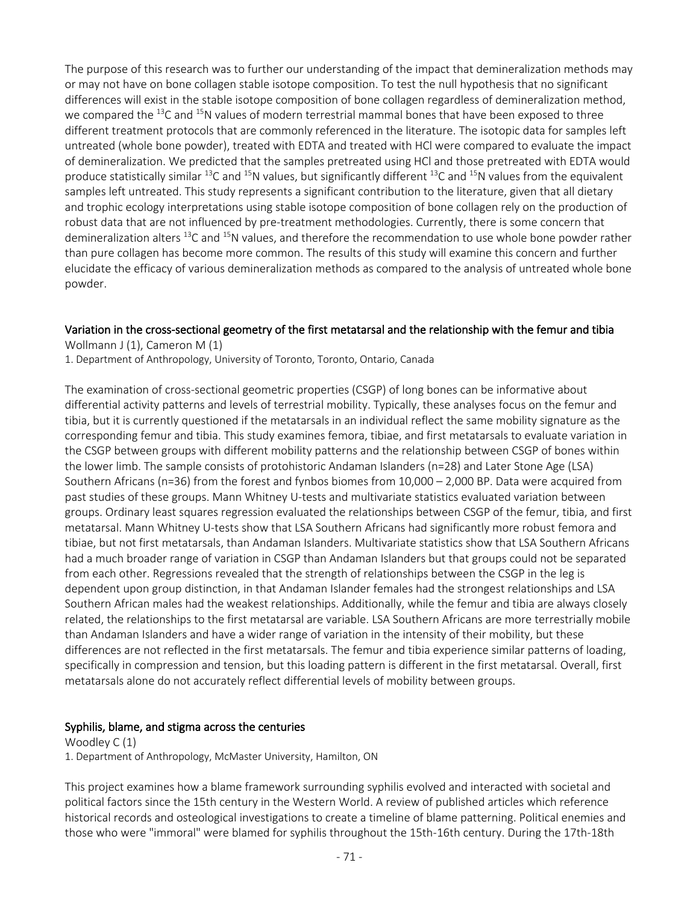The purpose of this research was to further our understanding of the impact that demineralization methods may or may not have on bone collagen stable isotope composition. To test the null hypothesis that no significant differences will exist in the stable isotope composition of bone collagen regardless of demineralization method, we compared the  $^{13}$ C and  $^{15}$ N values of modern terrestrial mammal bones that have been exposed to three different treatment protocols that are commonly referenced in the literature. The isotopic data for samples left untreated (whole bone powder), treated with EDTA and treated with HCl were compared to evaluate the impact of demineralization. We predicted that the samples pretreated using HCl and those pretreated with EDTA would produce statistically similar <sup>13</sup>C and <sup>15</sup>N values, but significantly different <sup>13</sup>C and <sup>15</sup>N values from the equivalent samples left untreated. This study represents a significant contribution to the literature, given that all dietary and trophic ecology interpretations using stable isotope composition of bone collagen rely on the production of robust data that are not influenced by pre-treatment methodologies. Currently, there is some concern that demineralization alters <sup>13</sup>C and <sup>15</sup>N values, and therefore the recommendation to use whole bone powder rather than pure collagen has become more common. The results of this study will examine this concern and further elucidate the efficacy of various demineralization methods as compared to the analysis of untreated whole bone powder.

#### Variation in the cross-sectional geometry of the first metatarsal and the relationship with the femur and tibia

Wollmann J (1), Cameron M (1)

1. Department of Anthropology, University of Toronto, Toronto, Ontario, Canada

The examination of cross-sectional geometric properties (CSGP) of long bones can be informative about differential activity patterns and levels of terrestrial mobility. Typically, these analyses focus on the femur and tibia, but it is currently questioned if the metatarsals in an individual reflect the same mobility signature as the corresponding femur and tibia. This study examines femora, tibiae, and first metatarsals to evaluate variation in the CSGP between groups with different mobility patterns and the relationship between CSGP of bones within the lower limb. The sample consists of protohistoric Andaman Islanders (n=28) and Later Stone Age (LSA) Southern Africans (n=36) from the forest and fynbos biomes from 10,000 – 2,000 BP. Data were acquired from past studies of these groups. Mann Whitney U-tests and multivariate statistics evaluated variation between groups. Ordinary least squares regression evaluated the relationships between CSGP of the femur, tibia, and first metatarsal. Mann Whitney U-tests show that LSA Southern Africans had significantly more robust femora and tibiae, but not first metatarsals, than Andaman Islanders. Multivariate statistics show that LSA Southern Africans had a much broader range of variation in CSGP than Andaman Islanders but that groups could not be separated from each other. Regressions revealed that the strength of relationships between the CSGP in the leg is dependent upon group distinction, in that Andaman Islander females had the strongest relationships and LSA Southern African males had the weakest relationships. Additionally, while the femur and tibia are always closely related, the relationships to the first metatarsal are variable. LSA Southern Africans are more terrestrially mobile than Andaman Islanders and have a wider range of variation in the intensity of their mobility, but these differences are not reflected in the first metatarsals. The femur and tibia experience similar patterns of loading, specifically in compression and tension, but this loading pattern is different in the first metatarsal. Overall, first metatarsals alone do not accurately reflect differential levels of mobility between groups.

#### Syphilis, blame, and stigma across the centuries

Woodley C (1) 1. Department of Anthropology, McMaster University, Hamilton, ON

This project examines how a blame framework surrounding syphilis evolved and interacted with societal and political factors since the 15th century in the Western World. A review of published articles which reference historical records and osteological investigations to create a timeline of blame patterning. Political enemies and those who were "immoral" were blamed for syphilis throughout the 15th-16th century. During the 17th-18th